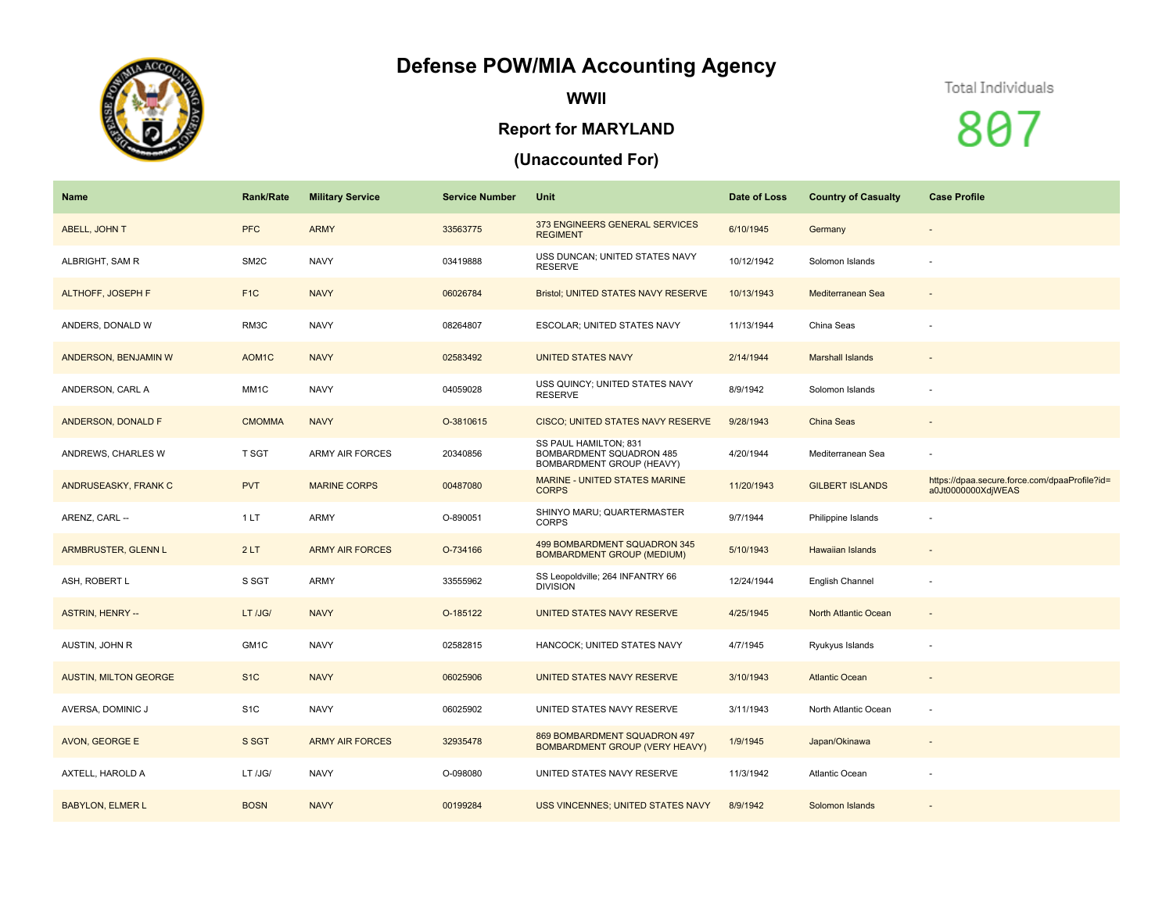# **Defense POW/MIA Accounting Agency**



**WWII**

### **Report for MARYLAND**

## **(Unaccounted For)**

#### Total Individuals

807

| Name                         | <b>Rank/Rate</b>   | <b>Military Service</b> | <b>Service Number</b> | Unit                                                                           | Date of Loss | <b>Country of Casualty</b> | <b>Case Profile</b>                                                 |
|------------------------------|--------------------|-------------------------|-----------------------|--------------------------------------------------------------------------------|--------------|----------------------------|---------------------------------------------------------------------|
| <b>ABELL, JOHN T</b>         | <b>PFC</b>         | <b>ARMY</b>             | 33563775              | 373 ENGINEERS GENERAL SERVICES<br><b>REGIMENT</b>                              | 6/10/1945    | Germany                    | $\overline{\phantom{a}}$                                            |
| ALBRIGHT, SAM R              | SM <sub>2</sub> C  | <b>NAVY</b>             | 03419888              | USS DUNCAN; UNITED STATES NAVY<br><b>RESERVE</b>                               | 10/12/1942   | Solomon Islands            |                                                                     |
| <b>ALTHOFF, JOSEPH F</b>     | F <sub>1C</sub>    | <b>NAVY</b>             | 06026784              | Bristol; UNITED STATES NAVY RESERVE                                            | 10/13/1943   | Mediterranean Sea          | $\qquad \qquad \blacksquare$                                        |
| ANDERS, DONALD W             | RM3C               | <b>NAVY</b>             | 08264807              | ESCOLAR; UNITED STATES NAVY                                                    | 11/13/1944   | China Seas                 |                                                                     |
| ANDERSON, BENJAMIN W         | AOM <sub>1</sub> C | <b>NAVY</b>             | 02583492              | <b>UNITED STATES NAVY</b>                                                      | 2/14/1944    | <b>Marshall Islands</b>    | $\overline{\phantom{a}}$                                            |
| ANDERSON, CARL A             | MM1C               | <b>NAVY</b>             | 04059028              | USS QUINCY; UNITED STATES NAVY<br><b>RESERVE</b>                               | 8/9/1942     | Solomon Islands            |                                                                     |
| ANDERSON, DONALD F           | <b>CMOMMA</b>      | <b>NAVY</b>             | O-3810615             | CISCO; UNITED STATES NAVY RESERVE                                              | 9/28/1943    | China Seas                 |                                                                     |
| ANDREWS, CHARLES W           | T SGT              | <b>ARMY AIR FORCES</b>  | 20340856              | SS PAUL HAMILTON; 831<br>BOMBARDMENT SQUADRON 485<br>BOMBARDMENT GROUP (HEAVY) | 4/20/1944    | Mediterranean Sea          |                                                                     |
| ANDRUSEASKY, FRANK C         | <b>PVT</b>         | <b>MARINE CORPS</b>     | 00487080              | <b>MARINE - UNITED STATES MARINE</b><br><b>CORPS</b>                           | 11/20/1943   | <b>GILBERT ISLANDS</b>     | https://dpaa.secure.force.com/dpaaProfile?id=<br>a0Jt0000000XdjWEAS |
| ARENZ, CARL --               | 1LT                | <b>ARMY</b>             | O-890051              | SHINYO MARU; QUARTERMASTER<br><b>CORPS</b>                                     | 9/7/1944     | Philippine Islands         |                                                                     |
| ARMBRUSTER, GLENN L          | 2LT                | <b>ARMY AIR FORCES</b>  | O-734166              | 499 BOMBARDMENT SQUADRON 345<br><b>BOMBARDMENT GROUP (MEDIUM)</b>              | 5/10/1943    | Hawaiian Islands           | $\qquad \qquad \blacksquare$                                        |
| ASH, ROBERT L                | S SGT              | <b>ARMY</b>             | 33555962              | SS Leopoldville; 264 INFANTRY 66<br><b>DIVISION</b>                            | 12/24/1944   | <b>English Channel</b>     | $\sim$                                                              |
| <b>ASTRIN, HENRY --</b>      | LT /JG/            | <b>NAVY</b>             | O-185122              | UNITED STATES NAVY RESERVE                                                     | 4/25/1945    | North Atlantic Ocean       | $\sim$                                                              |
| AUSTIN, JOHN R               | GM1C               | <b>NAVY</b>             | 02582815              | HANCOCK; UNITED STATES NAVY                                                    | 4/7/1945     | Ryukyus Islands            |                                                                     |
| <b>AUSTIN, MILTON GEORGE</b> | S <sub>1</sub> C   | <b>NAVY</b>             | 06025906              | UNITED STATES NAVY RESERVE                                                     | 3/10/1943    | <b>Atlantic Ocean</b>      |                                                                     |
| AVERSA, DOMINIC J            | S <sub>1</sub> C   | <b>NAVY</b>             | 06025902              | UNITED STATES NAVY RESERVE                                                     | 3/11/1943    | North Atlantic Ocean       |                                                                     |
| AVON, GEORGE E               | S SGT              | <b>ARMY AIR FORCES</b>  | 32935478              | 869 BOMBARDMENT SQUADRON 497<br>BOMBARDMENT GROUP (VERY HEAVY)                 | 1/9/1945     | Japan/Okinawa              |                                                                     |
| AXTELL, HAROLD A             | LT /JG/            | <b>NAVY</b>             | O-098080              | UNITED STATES NAVY RESERVE                                                     | 11/3/1942    | <b>Atlantic Ocean</b>      |                                                                     |
| <b>BABYLON, ELMER L</b>      | <b>BOSN</b>        | <b>NAVY</b>             | 00199284              | USS VINCENNES; UNITED STATES NAVY                                              | 8/9/1942     | Solomon Islands            |                                                                     |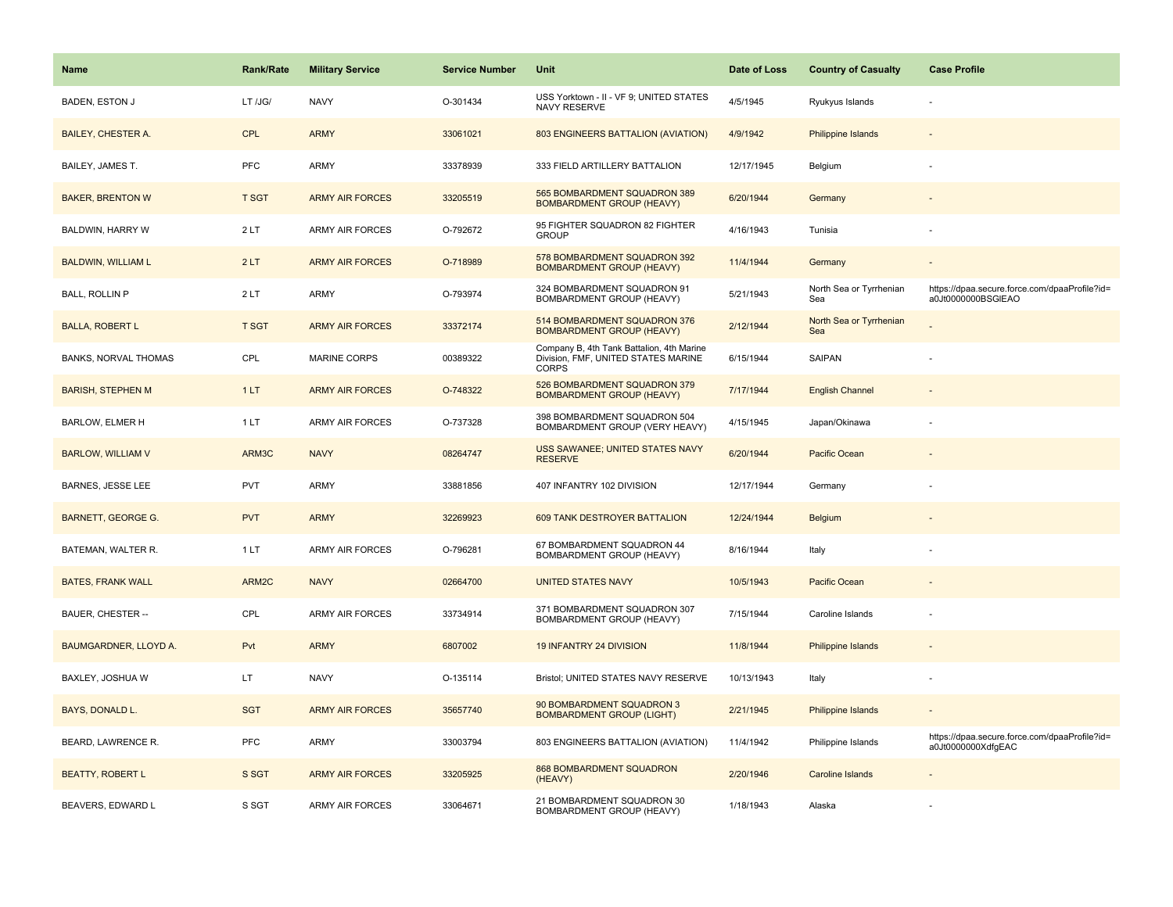| <b>Name</b>                  | <b>Rank/Rate</b> | <b>Military Service</b> | <b>Service Number</b> | Unit                                                                                             | Date of Loss | <b>Country of Casualty</b>     | <b>Case Profile</b>                                                 |
|------------------------------|------------------|-------------------------|-----------------------|--------------------------------------------------------------------------------------------------|--------------|--------------------------------|---------------------------------------------------------------------|
| <b>BADEN, ESTON J</b>        | LT /JG/          | <b>NAVY</b>             | O-301434              | USS Yorktown - II - VF 9; UNITED STATES<br>NAVY RESERVE                                          | 4/5/1945     | Ryukyus Islands                |                                                                     |
| <b>BAILEY, CHESTER A.</b>    | <b>CPL</b>       | <b>ARMY</b>             | 33061021              | 803 ENGINEERS BATTALION (AVIATION)                                                               | 4/9/1942     | <b>Philippine Islands</b>      |                                                                     |
| BAILEY, JAMES T.             | PFC              | <b>ARMY</b>             | 33378939              | 333 FIELD ARTILLERY BATTALION                                                                    | 12/17/1945   | Belgium                        |                                                                     |
| <b>BAKER, BRENTON W</b>      | <b>T SGT</b>     | <b>ARMY AIR FORCES</b>  | 33205519              | 565 BOMBARDMENT SQUADRON 389<br><b>BOMBARDMENT GROUP (HEAVY)</b>                                 | 6/20/1944    | Germany                        |                                                                     |
| BALDWIN, HARRY W             | 2LT              | <b>ARMY AIR FORCES</b>  | O-792672              | 95 FIGHTER SQUADRON 82 FIGHTER<br><b>GROUP</b>                                                   | 4/16/1943    | Tunisia                        |                                                                     |
| <b>BALDWIN, WILLIAM L</b>    | 2LT              | <b>ARMY AIR FORCES</b>  | O-718989              | 578 BOMBARDMENT SQUADRON 392<br><b>BOMBARDMENT GROUP (HEAVY)</b>                                 | 11/4/1944    | Germany                        | $\overline{\phantom{a}}$                                            |
| BALL, ROLLIN P               | 2LT              | ARMY                    | O-793974              | 324 BOMBARDMENT SQUADRON 91<br><b>BOMBARDMENT GROUP (HEAVY)</b>                                  | 5/21/1943    | North Sea or Tyrrhenian<br>Sea | https://dpaa.secure.force.com/dpaaProfile?id=<br>a0Jt0000000BSGIEAO |
| <b>BALLA, ROBERT L</b>       | <b>T SGT</b>     | <b>ARMY AIR FORCES</b>  | 33372174              | 514 BOMBARDMENT SQUADRON 376<br><b>BOMBARDMENT GROUP (HEAVY)</b>                                 | 2/12/1944    | North Sea or Tyrrhenian<br>Sea |                                                                     |
| <b>BANKS, NORVAL THOMAS</b>  | CPL              | MARINE CORPS            | 00389322              | Company B, 4th Tank Battalion, 4th Marine<br>Division, FMF, UNITED STATES MARINE<br><b>CORPS</b> | 6/15/1944    | SAIPAN                         |                                                                     |
| <b>BARISH, STEPHEN M</b>     | 1LT              | <b>ARMY AIR FORCES</b>  | O-748322              | 526 BOMBARDMENT SQUADRON 379<br><b>BOMBARDMENT GROUP (HEAVY)</b>                                 | 7/17/1944    | <b>English Channel</b>         |                                                                     |
| BARLOW, ELMER H              | 1 LT             | <b>ARMY AIR FORCES</b>  | O-737328              | 398 BOMBARDMENT SQUADRON 504<br>BOMBARDMENT GROUP (VERY HEAVY)                                   | 4/15/1945    | Japan/Okinawa                  |                                                                     |
| <b>BARLOW, WILLIAM V</b>     | ARM3C            | <b>NAVY</b>             | 08264747              | USS SAWANEE; UNITED STATES NAVY<br><b>RESERVE</b>                                                | 6/20/1944    | Pacific Ocean                  | $\overline{\phantom{a}}$                                            |
| <b>BARNES, JESSE LEE</b>     | <b>PVT</b>       | <b>ARMY</b>             | 33881856              | 407 INFANTRY 102 DIVISION                                                                        | 12/17/1944   | Germany                        |                                                                     |
| <b>BARNETT, GEORGE G.</b>    | <b>PVT</b>       | <b>ARMY</b>             | 32269923              | 609 TANK DESTROYER BATTALION                                                                     | 12/24/1944   | <b>Belgium</b>                 |                                                                     |
| BATEMAN, WALTER R.           | 1LT              | <b>ARMY AIR FORCES</b>  | O-796281              | 67 BOMBARDMENT SQUADRON 44<br>BOMBARDMENT GROUP (HEAVY)                                          | 8/16/1944    | Italy                          |                                                                     |
| <b>BATES, FRANK WALL</b>     | ARM2C            | <b>NAVY</b>             | 02664700              | <b>UNITED STATES NAVY</b>                                                                        | 10/5/1943    | Pacific Ocean                  |                                                                     |
| BAUER, CHESTER --            | CPL              | <b>ARMY AIR FORCES</b>  | 33734914              | 371 BOMBARDMENT SQUADRON 307<br>BOMBARDMENT GROUP (HEAVY)                                        | 7/15/1944    | Caroline Islands               |                                                                     |
| <b>BAUMGARDNER, LLOYD A.</b> | Pvt              | <b>ARMY</b>             | 6807002               | 19 INFANTRY 24 DIVISION                                                                          | 11/8/1944    | Philippine Islands             |                                                                     |
| BAXLEY, JOSHUA W             | LT               | <b>NAVY</b>             | O-135114              | Bristol; UNITED STATES NAVY RESERVE                                                              | 10/13/1943   | Italy                          |                                                                     |
| BAYS, DONALD L.              | <b>SGT</b>       | <b>ARMY AIR FORCES</b>  | 35657740              | 90 BOMBARDMENT SQUADRON 3<br><b>BOMBARDMENT GROUP (LIGHT)</b>                                    | 2/21/1945    | Philippine Islands             |                                                                     |
| BEARD, LAWRENCE R.           | PFC              | <b>ARMY</b>             | 33003794              | 803 ENGINEERS BATTALION (AVIATION)                                                               | 11/4/1942    | Philippine Islands             | https://dpaa.secure.force.com/dpaaProfile?id=<br>a0Jt0000000XdfgEAC |
| <b>BEATTY, ROBERT L</b>      | S SGT            | <b>ARMY AIR FORCES</b>  | 33205925              | <b>868 BOMBARDMENT SQUADRON</b><br>(HEAVY)                                                       | 2/20/1946    | <b>Caroline Islands</b>        |                                                                     |
| BEAVERS, EDWARD L            | S SGT            | <b>ARMY AIR FORCES</b>  | 33064671              | 21 BOMBARDMENT SQUADRON 30<br>BOMBARDMENT GROUP (HEAVY)                                          | 1/18/1943    | Alaska                         |                                                                     |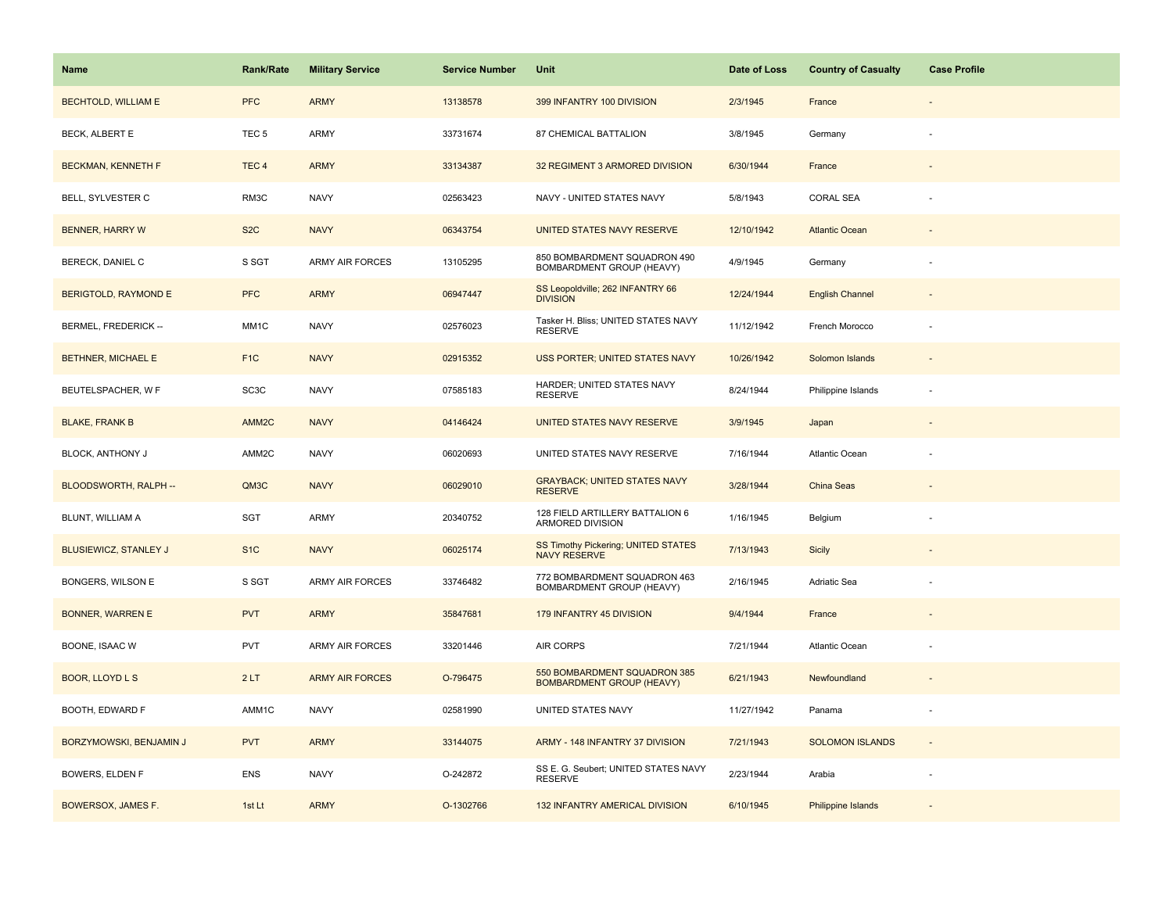| Name                         | <b>Rank/Rate</b>  | <b>Military Service</b> | <b>Service Number</b> | Unit                                                             | Date of Loss | <b>Country of Casualty</b> | <b>Case Profile</b>      |
|------------------------------|-------------------|-------------------------|-----------------------|------------------------------------------------------------------|--------------|----------------------------|--------------------------|
| <b>BECHTOLD, WILLIAM E</b>   | <b>PFC</b>        | <b>ARMY</b>             | 13138578              | 399 INFANTRY 100 DIVISION                                        | 2/3/1945     | France                     |                          |
| BECK, ALBERT E               | TEC <sub>5</sub>  | ARMY                    | 33731674              | 87 CHEMICAL BATTALION                                            | 3/8/1945     | Germany                    |                          |
| <b>BECKMAN, KENNETH F</b>    | TEC <sub>4</sub>  | <b>ARMY</b>             | 33134387              | 32 REGIMENT 3 ARMORED DIVISION                                   | 6/30/1944    | France                     |                          |
| BELL, SYLVESTER C            | RM3C              | <b>NAVY</b>             | 02563423              | NAVY - UNITED STATES NAVY                                        | 5/8/1943     | <b>CORAL SEA</b>           |                          |
| <b>BENNER, HARRY W</b>       | S <sub>2</sub> C  | <b>NAVY</b>             | 06343754              | UNITED STATES NAVY RESERVE                                       | 12/10/1942   | <b>Atlantic Ocean</b>      |                          |
| BERECK, DANIEL C             | S SGT             | <b>ARMY AIR FORCES</b>  | 13105295              | 850 BOMBARDMENT SQUADRON 490<br>BOMBARDMENT GROUP (HEAVY)        | 4/9/1945     | Germany                    |                          |
| <b>BERIGTOLD, RAYMOND E</b>  | <b>PFC</b>        | <b>ARMY</b>             | 06947447              | SS Leopoldville; 262 INFANTRY 66<br><b>DIVISION</b>              | 12/24/1944   | <b>English Channel</b>     | $\overline{\phantom{a}}$ |
| BERMEL, FREDERICK --         | MM1C              | <b>NAVY</b>             | 02576023              | Tasker H. Bliss; UNITED STATES NAVY<br><b>RESERVE</b>            | 11/12/1942   | French Morocco             |                          |
| BETHNER, MICHAEL E           | F <sub>1</sub> C  | <b>NAVY</b>             | 02915352              | USS PORTER; UNITED STATES NAVY                                   | 10/26/1942   | Solomon Islands            |                          |
| BEUTELSPACHER, W F           | SC <sub>3</sub> C | <b>NAVY</b>             | 07585183              | HARDER; UNITED STATES NAVY<br><b>RESERVE</b>                     | 8/24/1944    | Philippine Islands         | ÷.                       |
| <b>BLAKE, FRANK B</b>        | AMM <sub>2C</sub> | <b>NAVY</b>             | 04146424              | UNITED STATES NAVY RESERVE                                       | 3/9/1945     | Japan                      |                          |
| <b>BLOCK, ANTHONY J</b>      | AMM2C             | <b>NAVY</b>             | 06020693              | UNITED STATES NAVY RESERVE                                       | 7/16/1944    | Atlantic Ocean             |                          |
| BLOODSWORTH, RALPH --        | QM3C              | <b>NAVY</b>             | 06029010              | <b>GRAYBACK; UNITED STATES NAVY</b><br><b>RESERVE</b>            | 3/28/1944    | China Seas                 |                          |
| BLUNT, WILLIAM A             | SGT               | <b>ARMY</b>             | 20340752              | 128 FIELD ARTILLERY BATTALION 6<br>ARMORED DIVISION              | 1/16/1945    | Belgium                    |                          |
| <b>BLUSIEWICZ, STANLEY J</b> | S <sub>1C</sub>   | <b>NAVY</b>             | 06025174              | SS Timothy Pickering; UNITED STATES<br><b>NAVY RESERVE</b>       | 7/13/1943    | Sicily                     |                          |
| BONGERS, WILSON E            | S SGT             | ARMY AIR FORCES         | 33746482              | 772 BOMBARDMENT SQUADRON 463<br>BOMBARDMENT GROUP (HEAVY)        | 2/16/1945    | Adriatic Sea               |                          |
| <b>BONNER, WARREN E</b>      | <b>PVT</b>        | <b>ARMY</b>             | 35847681              | 179 INFANTRY 45 DIVISION                                         | 9/4/1944     | France                     |                          |
| BOONE, ISAAC W               | PVT               | ARMY AIR FORCES         | 33201446              | AIR CORPS                                                        | 7/21/1944    | Atlantic Ocean             |                          |
| <b>BOOR, LLOYD L S</b>       | 2LT               | <b>ARMY AIR FORCES</b>  | O-796475              | 550 BOMBARDMENT SQUADRON 385<br><b>BOMBARDMENT GROUP (HEAVY)</b> | 6/21/1943    | Newfoundland               |                          |
| BOOTH, EDWARD F              | AMM1C             | <b>NAVY</b>             | 02581990              | UNITED STATES NAVY                                               | 11/27/1942   | Panama                     |                          |
| BORZYMOWSKI, BENJAMIN J      | <b>PVT</b>        | <b>ARMY</b>             | 33144075              | ARMY - 148 INFANTRY 37 DIVISION                                  | 7/21/1943    | <b>SOLOMON ISLANDS</b>     | $\sim$                   |
| BOWERS, ELDEN F              | <b>ENS</b>        | <b>NAVY</b>             | O-242872              | SS E. G. Seubert; UNITED STATES NAVY<br><b>RESERVE</b>           | 2/23/1944    | Arabia                     |                          |
| BOWERSOX, JAMES F.           | 1st Lt            | <b>ARMY</b>             | O-1302766             | 132 INFANTRY AMERICAL DIVISION                                   | 6/10/1945    | Philippine Islands         |                          |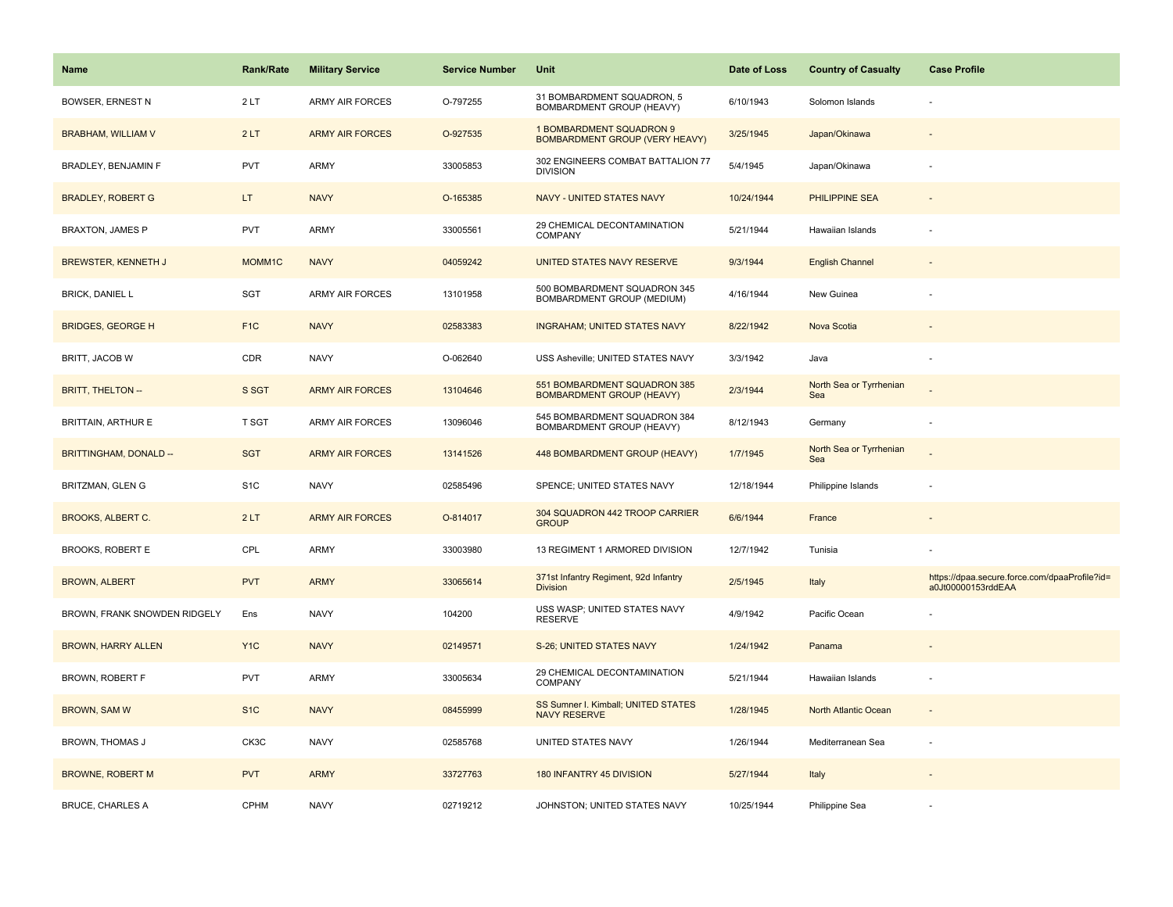| Name                          | <b>Rank/Rate</b> | <b>Military Service</b> | <b>Service Number</b> | Unit                                                              | Date of Loss | <b>Country of Casualty</b>     | <b>Case Profile</b>                                                 |
|-------------------------------|------------------|-------------------------|-----------------------|-------------------------------------------------------------------|--------------|--------------------------------|---------------------------------------------------------------------|
| <b>BOWSER, ERNEST N</b>       | 2LT              | <b>ARMY AIR FORCES</b>  | O-797255              | 31 BOMBARDMENT SQUADRON, 5<br>BOMBARDMENT GROUP (HEAVY)           | 6/10/1943    | Solomon Islands                |                                                                     |
| <b>BRABHAM, WILLIAM V</b>     | 2LT              | <b>ARMY AIR FORCES</b>  | O-927535              | 1 BOMBARDMENT SQUADRON 9<br><b>BOMBARDMENT GROUP (VERY HEAVY)</b> | 3/25/1945    | Japan/Okinawa                  |                                                                     |
| BRADLEY, BENJAMIN F           | <b>PVT</b>       | ARMY                    | 33005853              | 302 ENGINEERS COMBAT BATTALION 77<br><b>DIVISION</b>              | 5/4/1945     | Japan/Okinawa                  |                                                                     |
| <b>BRADLEY, ROBERT G</b>      | LT.              | <b>NAVY</b>             | O-165385              | NAVY - UNITED STATES NAVY                                         | 10/24/1944   | PHILIPPINE SEA                 |                                                                     |
| <b>BRAXTON, JAMES P</b>       | <b>PVT</b>       | ARMY                    | 33005561              | 29 CHEMICAL DECONTAMINATION<br>COMPANY                            | 5/21/1944    | Hawaiian Islands               |                                                                     |
| <b>BREWSTER, KENNETH J</b>    | MOMM1C           | <b>NAVY</b>             | 04059242              | UNITED STATES NAVY RESERVE                                        | 9/3/1944     | <b>English Channel</b>         |                                                                     |
| <b>BRICK, DANIEL L</b>        | SGT              | ARMY AIR FORCES         | 13101958              | 500 BOMBARDMENT SQUADRON 345<br>BOMBARDMENT GROUP (MEDIUM)        | 4/16/1944    | New Guinea                     |                                                                     |
| <b>BRIDGES, GEORGE H</b>      | F <sub>1</sub> C | <b>NAVY</b>             | 02583383              | <b>INGRAHAM; UNITED STATES NAVY</b>                               | 8/22/1942    | Nova Scotia                    |                                                                     |
| BRITT, JACOB W                | CDR              | <b>NAVY</b>             | O-062640              | USS Asheville; UNITED STATES NAVY                                 | 3/3/1942     | Java                           |                                                                     |
| <b>BRITT, THELTON --</b>      | S SGT            | <b>ARMY AIR FORCES</b>  | 13104646              | 551 BOMBARDMENT SQUADRON 385<br><b>BOMBARDMENT GROUP (HEAVY)</b>  | 2/3/1944     | North Sea or Tyrrhenian<br>Sea |                                                                     |
| <b>BRITTAIN, ARTHUR E</b>     | T SGT            | <b>ARMY AIR FORCES</b>  | 13096046              | 545 BOMBARDMENT SQUADRON 384<br>BOMBARDMENT GROUP (HEAVY)         | 8/12/1943    | Germany                        |                                                                     |
| <b>BRITTINGHAM, DONALD --</b> | <b>SGT</b>       | <b>ARMY AIR FORCES</b>  | 13141526              | 448 BOMBARDMENT GROUP (HEAVY)                                     | 1/7/1945     | North Sea or Tyrrhenian<br>Sea |                                                                     |
| BRITZMAN, GLEN G              | S <sub>1</sub> C | <b>NAVY</b>             | 02585496              | SPENCE; UNITED STATES NAVY                                        | 12/18/1944   | Philippine Islands             |                                                                     |
| <b>BROOKS, ALBERT C.</b>      | 2LT              | <b>ARMY AIR FORCES</b>  | O-814017              | 304 SQUADRON 442 TROOP CARRIER<br><b>GROUP</b>                    | 6/6/1944     | France                         |                                                                     |
| <b>BROOKS, ROBERT E</b>       | CPL              | ARMY                    | 33003980              | 13 REGIMENT 1 ARMORED DIVISION                                    | 12/7/1942    | Tunisia                        |                                                                     |
| <b>BROWN, ALBERT</b>          | <b>PVT</b>       | <b>ARMY</b>             | 33065614              | 371st Infantry Regiment, 92d Infantry<br><b>Division</b>          | 2/5/1945     | Italy                          | https://dpaa.secure.force.com/dpaaProfile?id=<br>a0Jt00000153rddEAA |
| BROWN, FRANK SNOWDEN RIDGELY  | Ens              | <b>NAVY</b>             | 104200                | USS WASP; UNITED STATES NAVY<br><b>RESERVE</b>                    | 4/9/1942     | Pacific Ocean                  |                                                                     |
| <b>BROWN, HARRY ALLEN</b>     | Y <sub>1C</sub>  | <b>NAVY</b>             | 02149571              | S-26; UNITED STATES NAVY                                          | 1/24/1942    | Panama                         |                                                                     |
| BROWN, ROBERT F               | <b>PVT</b>       | <b>ARMY</b>             | 33005634              | 29 CHEMICAL DECONTAMINATION<br>COMPANY                            | 5/21/1944    | Hawaiian Islands               |                                                                     |
| BROWN, SAM W                  | S <sub>1C</sub>  | <b>NAVY</b>             | 08455999              | SS Sumner I. Kimball; UNITED STATES<br><b>NAVY RESERVE</b>        | 1/28/1945    | North Atlantic Ocean           | $\overline{\phantom{a}}$                                            |
| <b>BROWN, THOMAS J</b>        | CK3C             | <b>NAVY</b>             | 02585768              | UNITED STATES NAVY                                                | 1/26/1944    | Mediterranean Sea              |                                                                     |
| <b>BROWNE, ROBERT M</b>       | <b>PVT</b>       | <b>ARMY</b>             | 33727763              | 180 INFANTRY 45 DIVISION                                          | 5/27/1944    | Italy                          |                                                                     |
| <b>BRUCE, CHARLES A</b>       | CPHM             | <b>NAVY</b>             | 02719212              | JOHNSTON; UNITED STATES NAVY                                      | 10/25/1944   | Philippine Sea                 |                                                                     |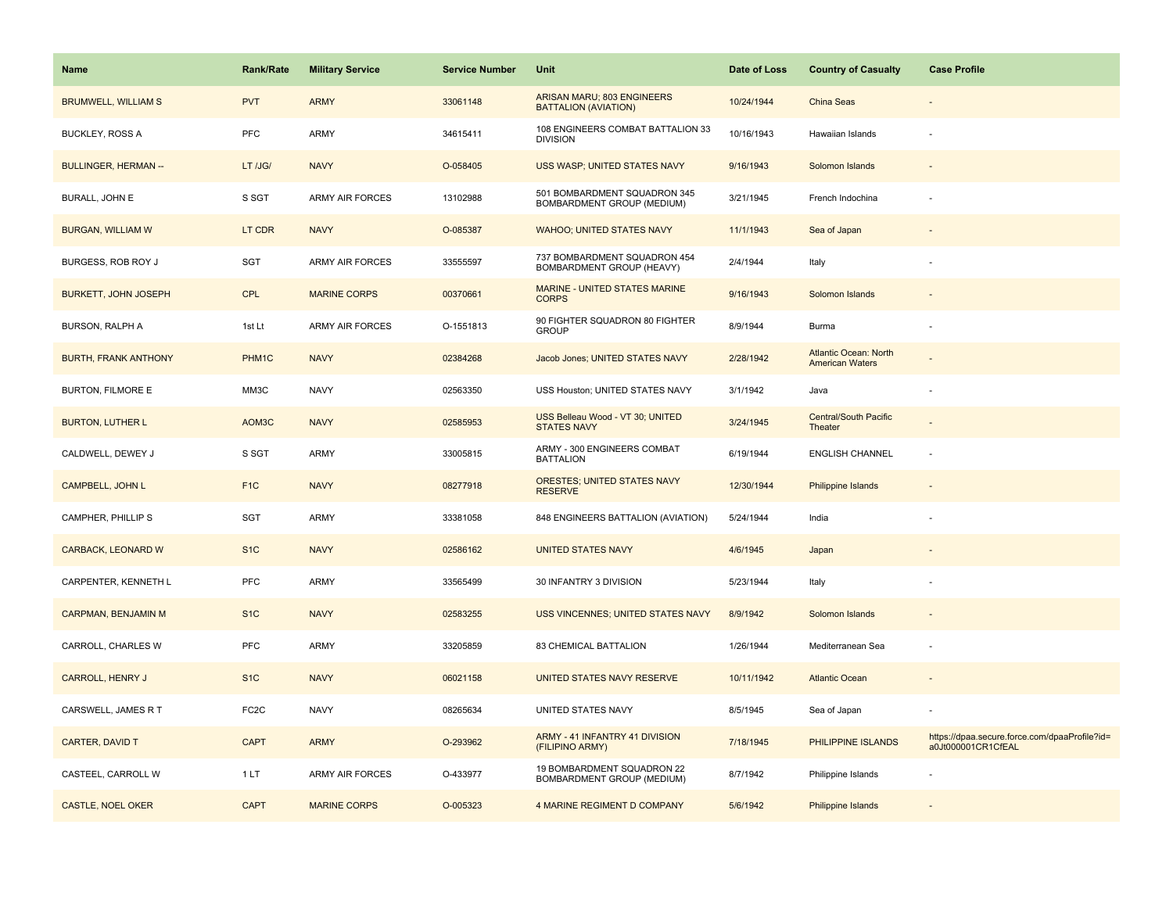| <b>Name</b>                 | <b>Rank/Rate</b>  | <b>Military Service</b> | <b>Service Number</b> | Unit                                                              | Date of Loss | <b>Country of Casualty</b>                             | <b>Case Profile</b>                                                 |
|-----------------------------|-------------------|-------------------------|-----------------------|-------------------------------------------------------------------|--------------|--------------------------------------------------------|---------------------------------------------------------------------|
| <b>BRUMWELL, WILLIAM S</b>  | <b>PVT</b>        | <b>ARMY</b>             | 33061148              | ARISAN MARU; 803 ENGINEERS<br><b>BATTALION (AVIATION)</b>         | 10/24/1944   | China Seas                                             |                                                                     |
| <b>BUCKLEY, ROSS A</b>      | PFC               | ARMY                    | 34615411              | 108 ENGINEERS COMBAT BATTALION 33<br><b>DIVISION</b>              | 10/16/1943   | Hawaiian Islands                                       |                                                                     |
| <b>BULLINGER, HERMAN --</b> | LT /JG/           | <b>NAVY</b>             | O-058405              | USS WASP; UNITED STATES NAVY                                      | 9/16/1943    | Solomon Islands                                        |                                                                     |
| BURALL, JOHN E              | S SGT             | <b>ARMY AIR FORCES</b>  | 13102988              | 501 BOMBARDMENT SQUADRON 345<br><b>BOMBARDMENT GROUP (MEDIUM)</b> | 3/21/1945    | French Indochina                                       |                                                                     |
| <b>BURGAN, WILLIAM W</b>    | LT CDR            | <b>NAVY</b>             | O-085387              | <b>WAHOO; UNITED STATES NAVY</b>                                  | 11/1/1943    | Sea of Japan                                           |                                                                     |
| BURGESS, ROB ROY J          | SGT               | ARMY AIR FORCES         | 33555597              | 737 BOMBARDMENT SQUADRON 454<br>BOMBARDMENT GROUP (HEAVY)         | 2/4/1944     | Italy                                                  |                                                                     |
| <b>BURKETT, JOHN JOSEPH</b> | <b>CPL</b>        | <b>MARINE CORPS</b>     | 00370661              | <b>MARINE - UNITED STATES MARINE</b><br><b>CORPS</b>              | 9/16/1943    | Solomon Islands                                        |                                                                     |
| BURSON, RALPH A             | 1st Lt            | <b>ARMY AIR FORCES</b>  | O-1551813             | 90 FIGHTER SQUADRON 80 FIGHTER<br><b>GROUP</b>                    | 8/9/1944     | <b>Burma</b>                                           |                                                                     |
| <b>BURTH, FRANK ANTHONY</b> | PHM1C             | <b>NAVY</b>             | 02384268              | Jacob Jones; UNITED STATES NAVY                                   | 2/28/1942    | <b>Atlantic Ocean: North</b><br><b>American Waters</b> |                                                                     |
| <b>BURTON, FILMORE E</b>    | MM3C              | <b>NAVY</b>             | 02563350              | USS Houston; UNITED STATES NAVY                                   | 3/1/1942     | Java                                                   |                                                                     |
| <b>BURTON, LUTHER L</b>     | AOM3C             | <b>NAVY</b>             | 02585953              | USS Belleau Wood - VT 30; UNITED<br><b>STATES NAVY</b>            | 3/24/1945    | Central/South Pacific<br>Theater                       |                                                                     |
| CALDWELL, DEWEY J           | S SGT             | <b>ARMY</b>             | 33005815              | ARMY - 300 ENGINEERS COMBAT<br><b>BATTALION</b>                   | 6/19/1944    | <b>ENGLISH CHANNEL</b>                                 |                                                                     |
| <b>CAMPBELL, JOHN L</b>     | F <sub>1C</sub>   | <b>NAVY</b>             | 08277918              | ORESTES; UNITED STATES NAVY<br><b>RESERVE</b>                     | 12/30/1944   | Philippine Islands                                     |                                                                     |
| CAMPHER, PHILLIP S          | <b>SGT</b>        | <b>ARMY</b>             | 33381058              | 848 ENGINEERS BATTALION (AVIATION)                                | 5/24/1944    | India                                                  |                                                                     |
| CARBACK, LEONARD W          | S <sub>1C</sub>   | <b>NAVY</b>             | 02586162              | <b>UNITED STATES NAVY</b>                                         | 4/6/1945     | Japan                                                  |                                                                     |
| CARPENTER, KENNETH L        | PFC               | ARMY                    | 33565499              | 30 INFANTRY 3 DIVISION                                            | 5/23/1944    | Italy                                                  |                                                                     |
| CARPMAN, BENJAMIN M         | S <sub>1</sub> C  | <b>NAVY</b>             | 02583255              | <b>USS VINCENNES; UNITED STATES NAVY</b>                          | 8/9/1942     | Solomon Islands                                        |                                                                     |
| CARROLL, CHARLES W          | <b>PFC</b>        | ARMY                    | 33205859              | 83 CHEMICAL BATTALION                                             | 1/26/1944    | Mediterranean Sea                                      |                                                                     |
| <b>CARROLL, HENRY J</b>     | S <sub>1C</sub>   | <b>NAVY</b>             | 06021158              | UNITED STATES NAVY RESERVE                                        | 10/11/1942   | <b>Atlantic Ocean</b>                                  |                                                                     |
| CARSWELL, JAMES R T         | FC <sub>2</sub> C | <b>NAVY</b>             | 08265634              | UNITED STATES NAVY                                                | 8/5/1945     | Sea of Japan                                           |                                                                     |
| CARTER, DAVID T             | <b>CAPT</b>       | <b>ARMY</b>             | O-293962              | ARMY - 41 INFANTRY 41 DIVISION<br>(FILIPINO ARMY)                 | 7/18/1945    | PHILIPPINE ISLANDS                                     | https://dpaa.secure.force.com/dpaaProfile?id=<br>a0Jt000001CR1CfEAL |
| CASTEEL, CARROLL W          | 1 LT              | ARMY AIR FORCES         | O-433977              | 19 BOMBARDMENT SQUADRON 22<br>BOMBARDMENT GROUP (MEDIUM)          | 8/7/1942     | Philippine Islands                                     |                                                                     |
| <b>CASTLE, NOEL OKER</b>    | <b>CAPT</b>       | <b>MARINE CORPS</b>     | O-005323              | <b>4 MARINE REGIMENT D COMPANY</b>                                | 5/6/1942     | Philippine Islands                                     |                                                                     |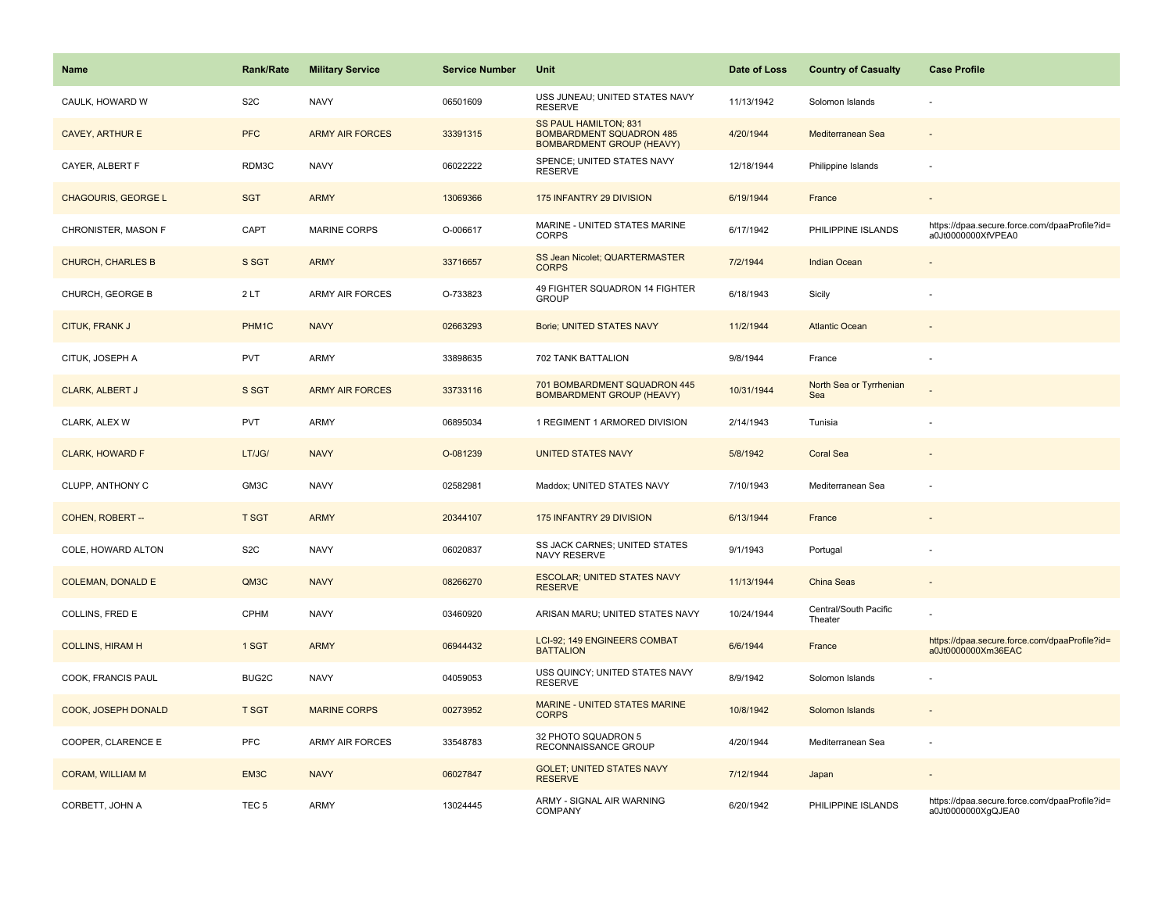| Name                       | <b>Rank/Rate</b> | <b>Military Service</b> | <b>Service Number</b> | Unit                                                                                         | Date of Loss | <b>Country of Casualty</b>       | <b>Case Profile</b>                                                 |
|----------------------------|------------------|-------------------------|-----------------------|----------------------------------------------------------------------------------------------|--------------|----------------------------------|---------------------------------------------------------------------|
| CAULK, HOWARD W            | S <sub>2</sub> C | <b>NAVY</b>             | 06501609              | USS JUNEAU; UNITED STATES NAVY<br><b>RESERVE</b>                                             | 11/13/1942   | Solomon Islands                  |                                                                     |
| <b>CAVEY, ARTHUR E</b>     | <b>PFC</b>       | <b>ARMY AIR FORCES</b>  | 33391315              | SS PAUL HAMILTON; 831<br><b>BOMBARDMENT SQUADRON 485</b><br><b>BOMBARDMENT GROUP (HEAVY)</b> | 4/20/1944    | Mediterranean Sea                |                                                                     |
| CAYER, ALBERT F            | RDM3C            | <b>NAVY</b>             | 06022222              | SPENCE; UNITED STATES NAVY<br><b>RESERVE</b>                                                 | 12/18/1944   | Philippine Islands               | ÷,                                                                  |
| <b>CHAGOURIS, GEORGE L</b> | <b>SGT</b>       | <b>ARMY</b>             | 13069366              | 175 INFANTRY 29 DIVISION                                                                     | 6/19/1944    | France                           | $\overline{\phantom{a}}$                                            |
| CHRONISTER, MASON F        | CAPT             | <b>MARINE CORPS</b>     | O-006617              | MARINE - UNITED STATES MARINE<br><b>CORPS</b>                                                | 6/17/1942    | PHILIPPINE ISLANDS               | https://dpaa.secure.force.com/dpaaProfile?id=<br>a0Jt0000000XfVPEA0 |
| <b>CHURCH, CHARLES B</b>   | S SGT            | <b>ARMY</b>             | 33716657              | SS Jean Nicolet; QUARTERMASTER<br><b>CORPS</b>                                               | 7/2/1944     | <b>Indian Ocean</b>              |                                                                     |
| CHURCH, GEORGE B           | 2LT              | <b>ARMY AIR FORCES</b>  | O-733823              | 49 FIGHTER SQUADRON 14 FIGHTER<br><b>GROUP</b>                                               | 6/18/1943    | Sicily                           |                                                                     |
| CITUK, FRANK J             | PHM1C            | <b>NAVY</b>             | 02663293              | Borie; UNITED STATES NAVY                                                                    | 11/2/1944    | <b>Atlantic Ocean</b>            |                                                                     |
| CITUK, JOSEPH A            | <b>PVT</b>       | <b>ARMY</b>             | 33898635              | 702 TANK BATTALION                                                                           | 9/8/1944     | France                           |                                                                     |
| <b>CLARK, ALBERT J</b>     | S SGT            | <b>ARMY AIR FORCES</b>  | 33733116              | 701 BOMBARDMENT SQUADRON 445<br><b>BOMBARDMENT GROUP (HEAVY)</b>                             | 10/31/1944   | North Sea or Tyrrhenian<br>Sea   |                                                                     |
| CLARK, ALEX W              | <b>PVT</b>       | <b>ARMY</b>             | 06895034              | 1 REGIMENT 1 ARMORED DIVISION                                                                | 2/14/1943    | Tunisia                          |                                                                     |
| <b>CLARK, HOWARD F</b>     | LT/JG/           | <b>NAVY</b>             | O-081239              | <b>UNITED STATES NAVY</b>                                                                    | 5/8/1942     | <b>Coral Sea</b>                 |                                                                     |
| CLUPP, ANTHONY C           | GM3C             | <b>NAVY</b>             | 02582981              | Maddox; UNITED STATES NAVY                                                                   | 7/10/1943    | Mediterranean Sea                |                                                                     |
| COHEN, ROBERT --           | <b>T SGT</b>     | <b>ARMY</b>             | 20344107              | 175 INFANTRY 29 DIVISION                                                                     | 6/13/1944    | France                           | ÷                                                                   |
| COLE, HOWARD ALTON         | S <sub>2</sub> C | <b>NAVY</b>             | 06020837              | <b>SS JACK CARNES; UNITED STATES</b><br>NAVY RESERVE                                         | 9/1/1943     | Portugal                         |                                                                     |
| <b>COLEMAN, DONALD E</b>   | QM3C             | <b>NAVY</b>             | 08266270              | <b>ESCOLAR; UNITED STATES NAVY</b><br><b>RESERVE</b>                                         | 11/13/1944   | China Seas                       | $\overline{\phantom{a}}$                                            |
| COLLINS, FRED E            | CPHM             | <b>NAVY</b>             | 03460920              | ARISAN MARU; UNITED STATES NAVY                                                              | 10/24/1944   | Central/South Pacific<br>Theater |                                                                     |
| <b>COLLINS, HIRAM H</b>    | 1 SGT            | <b>ARMY</b>             | 06944432              | LCI-92; 149 ENGINEERS COMBAT<br><b>BATTALION</b>                                             | 6/6/1944     | France                           | https://dpaa.secure.force.com/dpaaProfile?id=<br>a0Jt0000000Xm36EAC |
| COOK, FRANCIS PAUL         | BUG2C            | <b>NAVY</b>             | 04059053              | USS QUINCY; UNITED STATES NAVY<br><b>RESERVE</b>                                             | 8/9/1942     | Solomon Islands                  |                                                                     |
| COOK, JOSEPH DONALD        | <b>T SGT</b>     | <b>MARINE CORPS</b>     | 00273952              | MARINE - UNITED STATES MARINE<br><b>CORPS</b>                                                | 10/8/1942    | Solomon Islands                  |                                                                     |
| COOPER, CLARENCE E         | PFC              | <b>ARMY AIR FORCES</b>  | 33548783              | 32 PHOTO SQUADRON 5<br>RECONNAISSANCE GROUP                                                  | 4/20/1944    | Mediterranean Sea                |                                                                     |
| <b>CORAM, WILLIAM M</b>    | EM3C             | <b>NAVY</b>             | 06027847              | <b>GOLET; UNITED STATES NAVY</b><br><b>RESERVE</b>                                           | 7/12/1944    | Japan                            | $\overline{\phantom{a}}$                                            |
| CORBETT, JOHN A            | TEC <sub>5</sub> | <b>ARMY</b>             | 13024445              | ARMY - SIGNAL AIR WARNING<br>COMPANY                                                         | 6/20/1942    | PHILIPPINE ISLANDS               | https://dpaa.secure.force.com/dpaaProfile?id=<br>a0Jt0000000XgQJEA0 |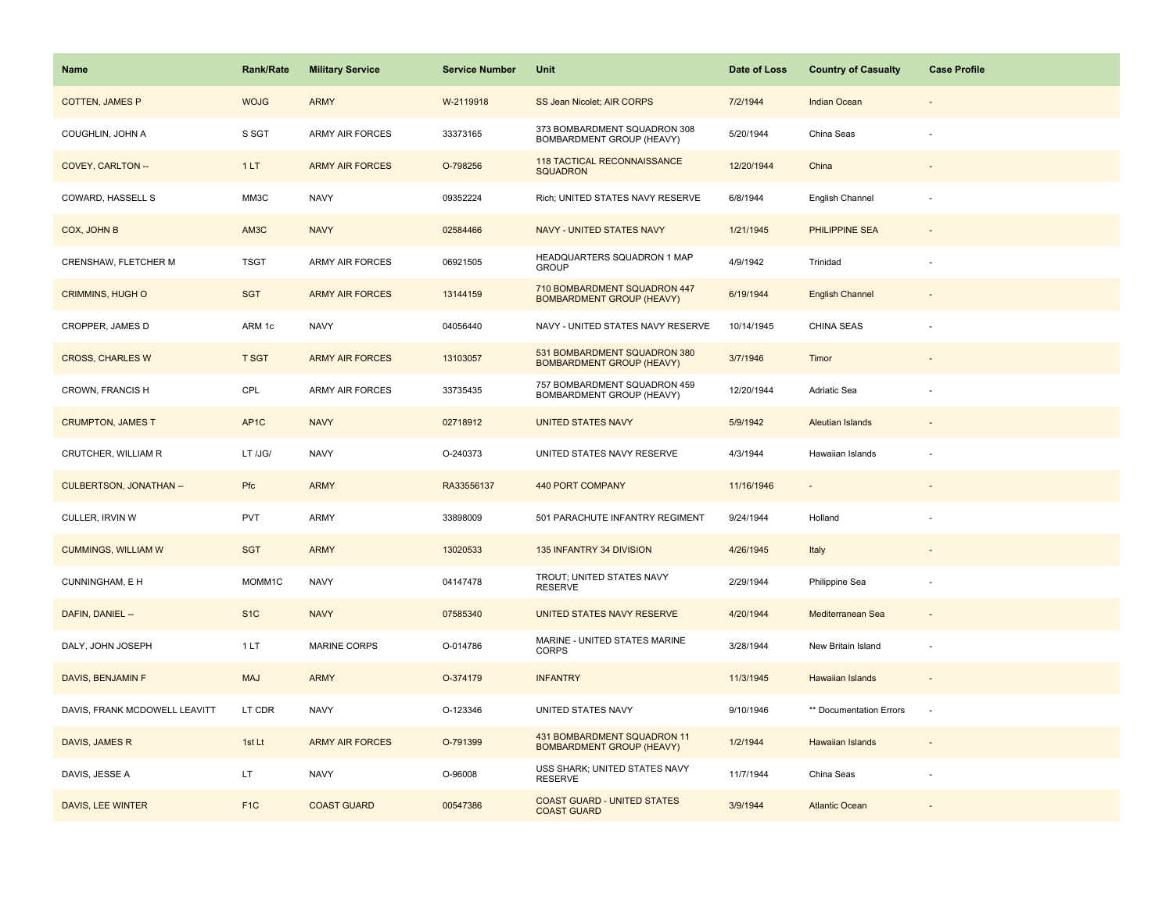| Name                           | <b>Rank/Rate</b>  | <b>Military Service</b> | <b>Service Number</b> | Unit                                                                   | Date of Loss | <b>Country of Casualty</b> | <b>Case Profile</b>      |
|--------------------------------|-------------------|-------------------------|-----------------------|------------------------------------------------------------------------|--------------|----------------------------|--------------------------|
| <b>COTTEN, JAMES P</b>         | <b>WOJG</b>       | <b>ARMY</b>             | W-2119918             | SS Jean Nicolet; AIR CORPS                                             | 7/2/1944     | <b>Indian Ocean</b>        |                          |
| COUGHLIN, JOHN A               | S SGT             | <b>ARMY AIR FORCES</b>  | 33373165              | 373 BOMBARDMENT SQUADRON 308<br>BOMBARDMENT GROUP (HEAVY)              | 5/20/1944    | China Seas                 |                          |
| COVEY, CARLTON --              | 1LT               | <b>ARMY AIR FORCES</b>  | O-798256              | 118 TACTICAL RECONNAISSANCE<br><b>SQUADRON</b>                         | 12/20/1944   | China                      |                          |
| COWARD, HASSELL S              | MM3C              | <b>NAVY</b>             | 09352224              | Rich; UNITED STATES NAVY RESERVE                                       | 6/8/1944     | English Channel            |                          |
| COX, JOHN B                    | AM3C              | <b>NAVY</b>             | 02584466              | NAVY - UNITED STATES NAVY                                              | 1/21/1945    | PHILIPPINE SEA             |                          |
| CRENSHAW, FLETCHER M           | <b>TSGT</b>       | <b>ARMY AIR FORCES</b>  | 06921505              | HEADQUARTERS SQUADRON 1 MAP<br><b>GROUP</b>                            | 4/9/1942     | Trinidad                   |                          |
| <b>CRIMMINS, HUGH O</b>        | <b>SGT</b>        | <b>ARMY AIR FORCES</b>  | 13144159              | 710 BOMBARDMENT SQUADRON 447<br><b>BOMBARDMENT GROUP (HEAVY)</b>       | 6/19/1944    | <b>English Channel</b>     | $\overline{\phantom{a}}$ |
| CROPPER, JAMES D               | ARM 1c            | <b>NAVY</b>             | 04056440              | NAVY - UNITED STATES NAVY RESERVE                                      | 10/14/1945   | CHINA SEAS                 |                          |
| <b>CROSS, CHARLES W</b>        | <b>T SGT</b>      | <b>ARMY AIR FORCES</b>  | 13103057              | 531 BOMBARDMENT SQUADRON 380<br><b>BOMBARDMENT GROUP (HEAVY)</b>       | 3/7/1946     | Timor                      |                          |
| CROWN, FRANCIS H               | CPL               | ARMY AIR FORCES         | 33735435              | 757 BOMBARDMENT SQUADRON 459<br>BOMBARDMENT GROUP (HEAVY)              | 12/20/1944   | Adriatic Sea               |                          |
| <b>CRUMPTON, JAMES T</b>       | AP <sub>1</sub> C | <b>NAVY</b>             | 02718912              | <b>UNITED STATES NAVY</b>                                              | 5/9/1942     | <b>Aleutian Islands</b>    |                          |
| CRUTCHER, WILLIAM R            | LT /JG/           | <b>NAVY</b>             | O-240373              | UNITED STATES NAVY RESERVE                                             | 4/3/1944     | Hawaiian Islands           |                          |
| <b>CULBERTSON, JONATHAN --</b> | <b>Pfc</b>        | <b>ARMY</b>             | RA33556137            | 440 PORT COMPANY                                                       | 11/16/1946   |                            |                          |
| CULLER, IRVIN W                | PVT               | <b>ARMY</b>             | 33898009              | 501 PARACHUTE INFANTRY REGIMENT                                        | 9/24/1944    | Holland                    |                          |
| <b>CUMMINGS, WILLIAM W</b>     | <b>SGT</b>        | <b>ARMY</b>             | 13020533              | 135 INFANTRY 34 DIVISION                                               | 4/26/1945    | Italy                      |                          |
| CUNNINGHAM, E H                | MOMM1C            | <b>NAVY</b>             | 04147478              | TROUT; UNITED STATES NAVY<br><b>RESERVE</b>                            | 2/29/1944    | Philippine Sea             |                          |
| DAFIN, DANIEL --               | S <sub>1</sub> C  | <b>NAVY</b>             | 07585340              | <b>UNITED STATES NAVY RESERVE</b>                                      | 4/20/1944    | Mediterranean Sea          |                          |
| DALY, JOHN JOSEPH              | 1LT               | MARINE CORPS            | O-014786              | MARINE - UNITED STATES MARINE<br><b>CORPS</b>                          | 3/28/1944    | New Britain Island         | $\overline{\phantom{a}}$ |
| DAVIS, BENJAMIN F              | <b>MAJ</b>        | <b>ARMY</b>             | O-374179              | <b>INFANTRY</b>                                                        | 11/3/1945    | Hawaiian Islands           |                          |
| DAVIS, FRANK MCDOWELL LEAVITT  | LT CDR            | <b>NAVY</b>             | O-123346              | UNITED STATES NAVY                                                     | 9/10/1946    | ** Documentation Errors    | $\sim$                   |
| DAVIS, JAMES R                 | 1st Lt            | <b>ARMY AIR FORCES</b>  | O-791399              | <b>431 BOMBARDMENT SQUADRON 11</b><br><b>BOMBARDMENT GROUP (HEAVY)</b> | 1/2/1944     | Hawaiian Islands           |                          |
| DAVIS, JESSE A                 | LT.               | <b>NAVY</b>             | O-96008               | USS SHARK; UNITED STATES NAVY<br><b>RESERVE</b>                        | 11/7/1944    | China Seas                 |                          |
| DAVIS, LEE WINTER              | F <sub>1C</sub>   | <b>COAST GUARD</b>      | 00547386              | <b>COAST GUARD - UNITED STATES</b><br><b>COAST GUARD</b>               | 3/9/1944     | <b>Atlantic Ocean</b>      |                          |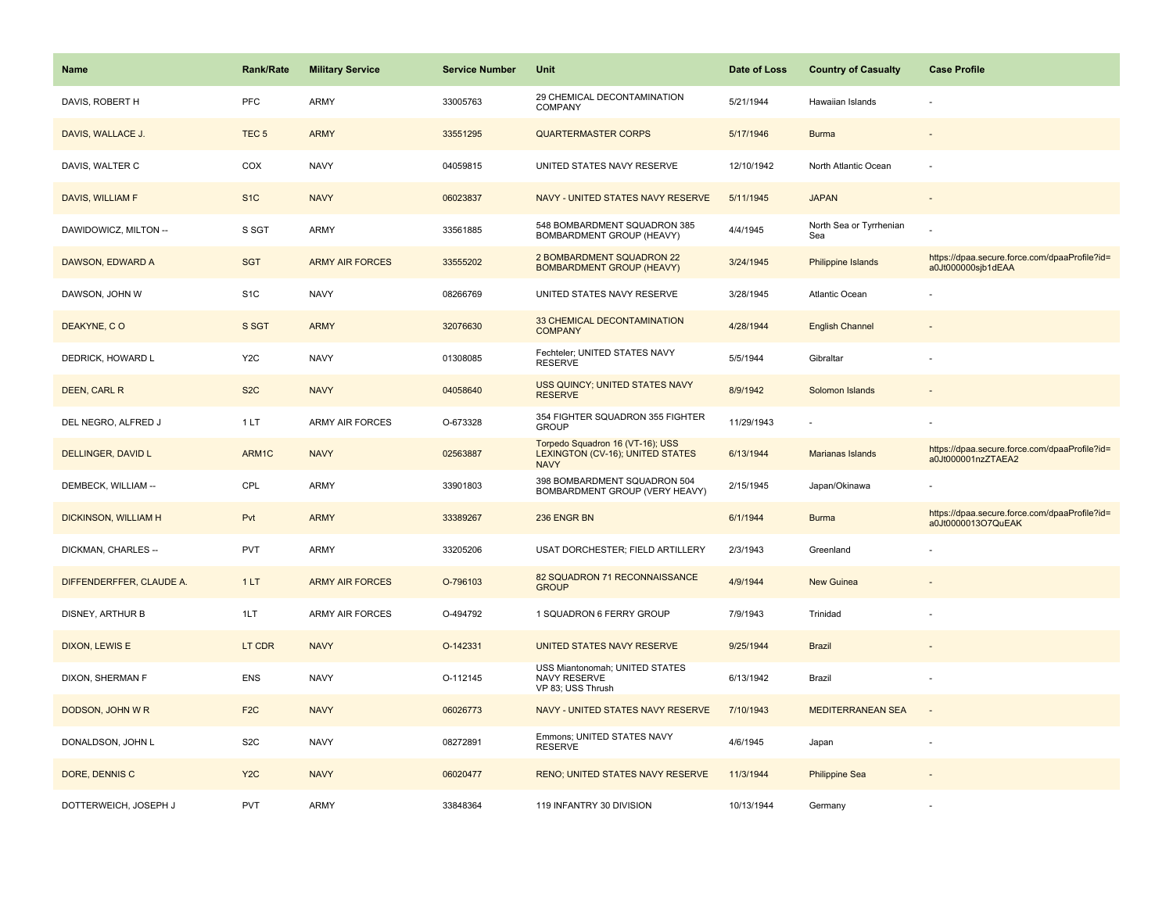| <b>Name</b>              | <b>Rank/Rate</b> | <b>Military Service</b> | <b>Service Number</b> | Unit                                                                                       | Date of Loss | <b>Country of Casualty</b>     | <b>Case Profile</b>                                                 |
|--------------------------|------------------|-------------------------|-----------------------|--------------------------------------------------------------------------------------------|--------------|--------------------------------|---------------------------------------------------------------------|
| DAVIS, ROBERT H          | <b>PFC</b>       | <b>ARMY</b>             | 33005763              | 29 CHEMICAL DECONTAMINATION<br>COMPANY                                                     | 5/21/1944    | Hawaiian Islands               |                                                                     |
| DAVIS, WALLACE J.        | TEC <sub>5</sub> | <b>ARMY</b>             | 33551295              | <b>QUARTERMASTER CORPS</b>                                                                 | 5/17/1946    | <b>Burma</b>                   |                                                                     |
| DAVIS, WALTER C          | COX              | <b>NAVY</b>             | 04059815              | UNITED STATES NAVY RESERVE                                                                 | 12/10/1942   | North Atlantic Ocean           |                                                                     |
| DAVIS, WILLIAM F         | S <sub>1</sub> C | <b>NAVY</b>             | 06023837              | NAVY - UNITED STATES NAVY RESERVE                                                          | 5/11/1945    | <b>JAPAN</b>                   |                                                                     |
| DAWIDOWICZ, MILTON --    | S SGT            | <b>ARMY</b>             | 33561885              | 548 BOMBARDMENT SQUADRON 385<br>BOMBARDMENT GROUP (HEAVY)                                  | 4/4/1945     | North Sea or Tyrrhenian<br>Sea |                                                                     |
| DAWSON, EDWARD A         | <b>SGT</b>       | <b>ARMY AIR FORCES</b>  | 33555202              | 2 BOMBARDMENT SQUADRON 22<br><b>BOMBARDMENT GROUP (HEAVY)</b>                              | 3/24/1945    | Philippine Islands             | https://dpaa.secure.force.com/dpaaProfile?id=<br>a0Jt000000sjb1dEAA |
| DAWSON, JOHN W           | S <sub>1</sub> C | <b>NAVY</b>             | 08266769              | UNITED STATES NAVY RESERVE                                                                 | 3/28/1945    | Atlantic Ocean                 |                                                                     |
| DEAKYNE, CO              | S SGT            | <b>ARMY</b>             | 32076630              | 33 CHEMICAL DECONTAMINATION<br><b>COMPANY</b>                                              | 4/28/1944    | <b>English Channel</b>         |                                                                     |
| DEDRICK, HOWARD L        | Y <sub>2</sub> C | <b>NAVY</b>             | 01308085              | Fechteler; UNITED STATES NAVY<br><b>RESERVE</b>                                            | 5/5/1944     | Gibraltar                      |                                                                     |
| <b>DEEN, CARL R</b>      | S <sub>2</sub> C | <b>NAVY</b>             | 04058640              | <b>USS QUINCY; UNITED STATES NAVY</b><br><b>RESERVE</b>                                    | 8/9/1942     | Solomon Islands                |                                                                     |
| DEL NEGRO, ALFRED J      | 1 LT             | <b>ARMY AIR FORCES</b>  | O-673328              | 354 FIGHTER SQUADRON 355 FIGHTER<br><b>GROUP</b>                                           | 11/29/1943   |                                |                                                                     |
| DELLINGER, DAVID L       | ARM1C            | <b>NAVY</b>             | 02563887              | Torpedo Squadron 16 (VT-16); USS<br><b>LEXINGTON (CV-16); UNITED STATES</b><br><b>NAVY</b> | 6/13/1944    | Marianas Islands               | https://dpaa.secure.force.com/dpaaProfile?id=<br>a0Jt000001nzZTAEA2 |
| DEMBECK, WILLIAM --      | CPL              | <b>ARMY</b>             | 33901803              | 398 BOMBARDMENT SQUADRON 504<br>BOMBARDMENT GROUP (VERY HEAVY)                             | 2/15/1945    | Japan/Okinawa                  |                                                                     |
| DICKINSON, WILLIAM H     | Pvt              | <b>ARMY</b>             | 33389267              | 236 ENGR BN                                                                                | 6/1/1944     | <b>Burma</b>                   | https://dpaa.secure.force.com/dpaaProfile?id=<br>a0Jt0000013O7QuEAK |
| DICKMAN, CHARLES --      | <b>PVT</b>       | ARMY                    | 33205206              | USAT DORCHESTER; FIELD ARTILLERY                                                           | 2/3/1943     | Greenland                      |                                                                     |
| DIFFENDERFFER, CLAUDE A. | 1LT              | <b>ARMY AIR FORCES</b>  | O-796103              | 82 SQUADRON 71 RECONNAISSANCE<br><b>GROUP</b>                                              | 4/9/1944     | <b>New Guinea</b>              |                                                                     |
| DISNEY, ARTHUR B         | 1LT              | <b>ARMY AIR FORCES</b>  | O-494792              | 1 SQUADRON 6 FERRY GROUP                                                                   | 7/9/1943     | Trinidad                       |                                                                     |
| <b>DIXON, LEWIS E</b>    | LT CDR           | <b>NAVY</b>             | O-142331              | UNITED STATES NAVY RESERVE                                                                 | 9/25/1944    | <b>Brazil</b>                  |                                                                     |
| DIXON, SHERMAN F         | ENS              | <b>NAVY</b>             | O-112145              | USS Miantonomah; UNITED STATES<br>NAVY RESERVE<br>VP 83; USS Thrush                        | 6/13/1942    | Brazil                         |                                                                     |
| DODSON, JOHN W R         | F <sub>2C</sub>  | <b>NAVY</b>             | 06026773              | NAVY - UNITED STATES NAVY RESERVE                                                          | 7/10/1943    | <b>MEDITERRANEAN SEA</b>       | $\sim$                                                              |
| DONALDSON, JOHN L        | S <sub>2</sub> C | <b>NAVY</b>             | 08272891              | Emmons; UNITED STATES NAVY<br><b>RESERVE</b>                                               | 4/6/1945     | Japan                          |                                                                     |
| DORE, DENNIS C           | Y <sub>2</sub> C | <b>NAVY</b>             | 06020477              | <b>RENO; UNITED STATES NAVY RESERVE</b>                                                    | 11/3/1944    | <b>Philippine Sea</b>          |                                                                     |
| DOTTERWEICH, JOSEPH J    | <b>PVT</b>       | ARMY                    | 33848364              | 119 INFANTRY 30 DIVISION                                                                   | 10/13/1944   | Germany                        |                                                                     |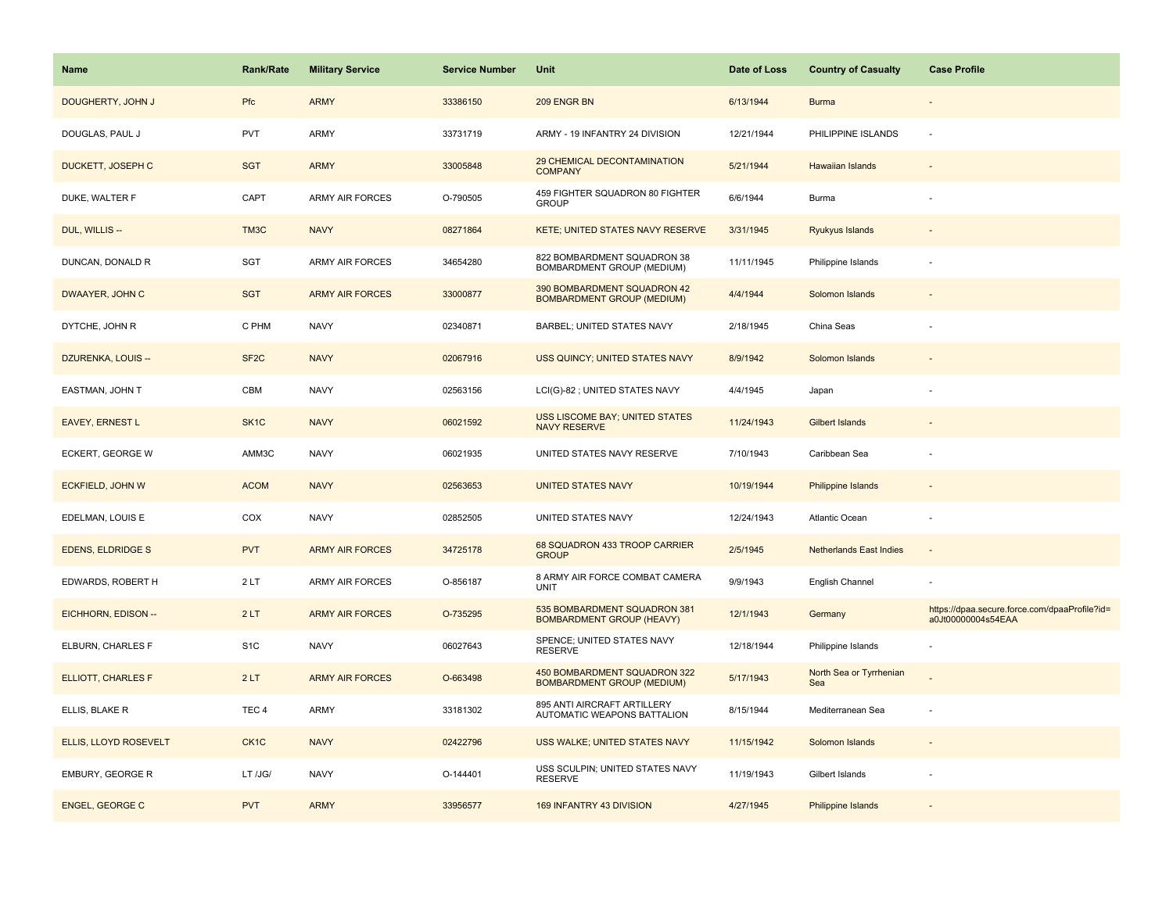| <b>Name</b>               | <b>Rank/Rate</b>  | <b>Military Service</b> | <b>Service Number</b> | Unit                                                              | Date of Loss | <b>Country of Casualty</b>     | <b>Case Profile</b>                                                 |
|---------------------------|-------------------|-------------------------|-----------------------|-------------------------------------------------------------------|--------------|--------------------------------|---------------------------------------------------------------------|
| DOUGHERTY, JOHN J         | Pfc               | <b>ARMY</b>             | 33386150              | 209 ENGR BN                                                       | 6/13/1944    | <b>Burma</b>                   |                                                                     |
| DOUGLAS, PAUL J           | <b>PVT</b>        | ARMY                    | 33731719              | ARMY - 19 INFANTRY 24 DIVISION                                    | 12/21/1944   | PHILIPPINE ISLANDS             |                                                                     |
| DUCKETT, JOSEPH C         | <b>SGT</b>        | <b>ARMY</b>             | 33005848              | 29 CHEMICAL DECONTAMINATION<br><b>COMPANY</b>                     | 5/21/1944    | <b>Hawaiian Islands</b>        |                                                                     |
| DUKE, WALTER F            | CAPT              | <b>ARMY AIR FORCES</b>  | O-790505              | 459 FIGHTER SQUADRON 80 FIGHTER<br><b>GROUP</b>                   | 6/6/1944     | Burma                          |                                                                     |
| DUL, WILLIS --            | TM3C              | <b>NAVY</b>             | 08271864              | KETE; UNITED STATES NAVY RESERVE                                  | 3/31/1945    | Ryukyus Islands                |                                                                     |
| DUNCAN, DONALD R          | SGT               | <b>ARMY AIR FORCES</b>  | 34654280              | 822 BOMBARDMENT SQUADRON 38<br>BOMBARDMENT GROUP (MEDIUM)         | 11/11/1945   | Philippine Islands             |                                                                     |
| DWAAYER, JOHN C           | <b>SGT</b>        | <b>ARMY AIR FORCES</b>  | 33000877              | 390 BOMBARDMENT SQUADRON 42<br><b>BOMBARDMENT GROUP (MEDIUM)</b>  | 4/4/1944     | Solomon Islands                |                                                                     |
| DYTCHE, JOHN R            | C PHM             | <b>NAVY</b>             | 02340871              | BARBEL; UNITED STATES NAVY                                        | 2/18/1945    | China Seas                     |                                                                     |
| DZURENKA, LOUIS --        | SF <sub>2</sub> C | <b>NAVY</b>             | 02067916              | USS QUINCY; UNITED STATES NAVY                                    | 8/9/1942     | Solomon Islands                |                                                                     |
| EASTMAN, JOHN T           | CBM               | <b>NAVY</b>             | 02563156              | LCI(G)-82 ; UNITED STATES NAVY                                    | 4/4/1945     | Japan                          |                                                                     |
| <b>EAVEY, ERNEST L</b>    | SK <sub>1</sub> C | <b>NAVY</b>             | 06021592              | <b>USS LISCOME BAY; UNITED STATES</b><br><b>NAVY RESERVE</b>      | 11/24/1943   | <b>Gilbert Islands</b>         |                                                                     |
| ECKERT, GEORGE W          | AMM3C             | <b>NAVY</b>             | 06021935              | UNITED STATES NAVY RESERVE                                        | 7/10/1943    | Caribbean Sea                  |                                                                     |
| <b>ECKFIELD, JOHN W</b>   | <b>ACOM</b>       | <b>NAVY</b>             | 02563653              | <b>UNITED STATES NAVY</b>                                         | 10/19/1944   | Philippine Islands             |                                                                     |
| EDELMAN, LOUIS E          | COX               | <b>NAVY</b>             | 02852505              | UNITED STATES NAVY                                                | 12/24/1943   | Atlantic Ocean                 |                                                                     |
| <b>EDENS, ELDRIDGE S</b>  | <b>PVT</b>        | <b>ARMY AIR FORCES</b>  | 34725178              | 68 SQUADRON 433 TROOP CARRIER<br><b>GROUP</b>                     | 2/5/1945     | <b>Netherlands East Indies</b> |                                                                     |
| EDWARDS, ROBERT H         | 2LT               | ARMY AIR FORCES         | O-856187              | 8 ARMY AIR FORCE COMBAT CAMERA<br><b>UNIT</b>                     | 9/9/1943     | English Channel                |                                                                     |
| EICHHORN, EDISON --       | 2LT               | <b>ARMY AIR FORCES</b>  | O-735295              | 535 BOMBARDMENT SQUADRON 381<br><b>BOMBARDMENT GROUP (HEAVY)</b>  | 12/1/1943    | Germany                        | https://dpaa.secure.force.com/dpaaProfile?id=<br>a0Jt00000004s54EAA |
| ELBURN, CHARLES F         | S <sub>1</sub> C  | <b>NAVY</b>             | 06027643              | SPENCE; UNITED STATES NAVY<br><b>RESERVE</b>                      | 12/18/1944   | Philippine Islands             |                                                                     |
| <b>ELLIOTT, CHARLES F</b> | 2LT               | <b>ARMY AIR FORCES</b>  | O-663498              | 450 BOMBARDMENT SQUADRON 322<br><b>BOMBARDMENT GROUP (MEDIUM)</b> | 5/17/1943    | North Sea or Tyrrhenian<br>Sea |                                                                     |
| ELLIS, BLAKE R            | TEC <sub>4</sub>  | ARMY                    | 33181302              | 895 ANTI AIRCRAFT ARTILLERY<br>AUTOMATIC WEAPONS BATTALION        | 8/15/1944    | Mediterranean Sea              |                                                                     |
| ELLIS, LLOYD ROSEVELT     | CK <sub>1</sub> C | <b>NAVY</b>             | 02422796              | USS WALKE; UNITED STATES NAVY                                     | 11/15/1942   | Solomon Islands                |                                                                     |
| EMBURY, GEORGE R          | LT /JG/           | <b>NAVY</b>             | O-144401              | USS SCULPIN; UNITED STATES NAVY<br><b>RESERVE</b>                 | 11/19/1943   | Gilbert Islands                |                                                                     |
| <b>ENGEL, GEORGE C</b>    | <b>PVT</b>        | <b>ARMY</b>             | 33956577              | 169 INFANTRY 43 DIVISION                                          | 4/27/1945    | Philippine Islands             |                                                                     |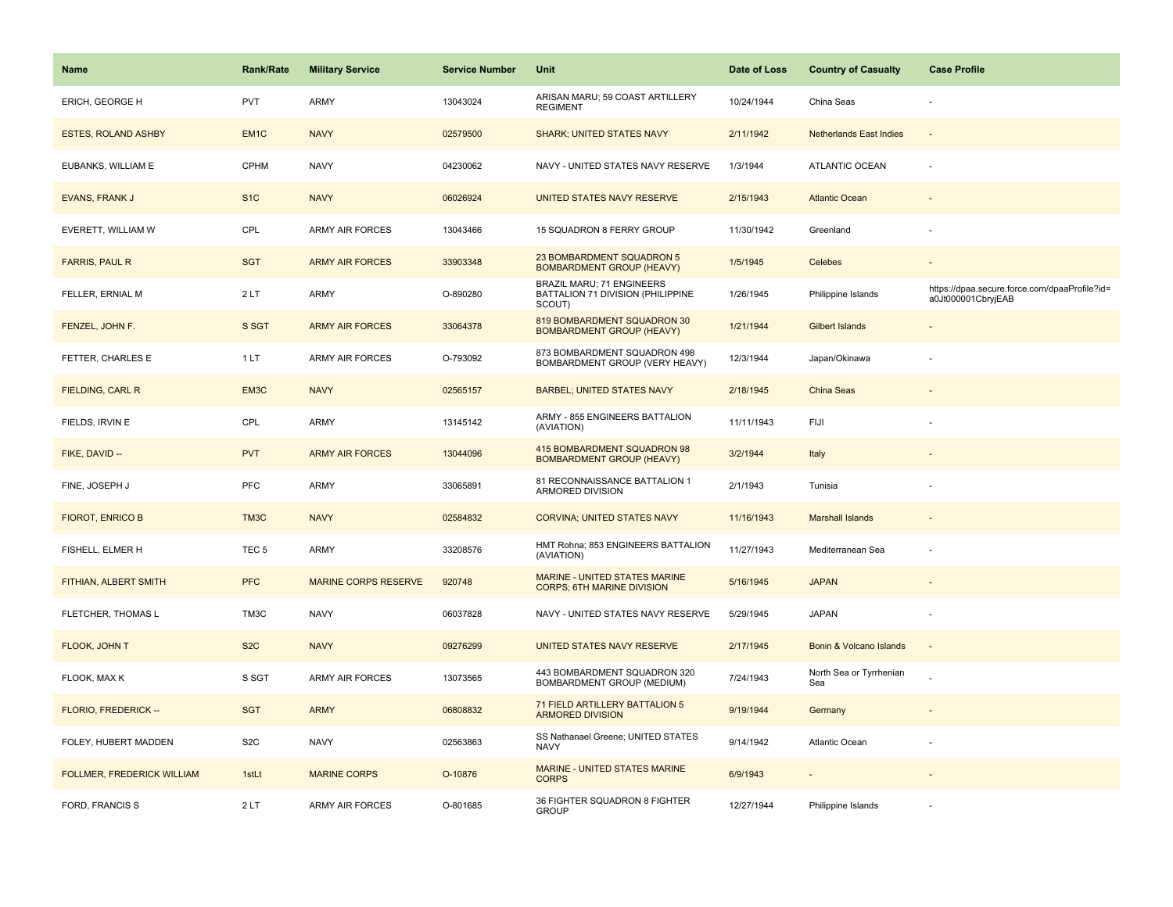| <b>Name</b>                       | Rank/Rate        | <b>Military Service</b>     | <b>Service Number</b> | Unit                                                                     | Date of Loss | <b>Country of Casualty</b>     | <b>Case Profile</b>                                                 |
|-----------------------------------|------------------|-----------------------------|-----------------------|--------------------------------------------------------------------------|--------------|--------------------------------|---------------------------------------------------------------------|
| ERICH, GEORGE H                   | <b>PVT</b>       | ARMY                        | 13043024              | ARISAN MARU; 59 COAST ARTILLERY<br><b>REGIMENT</b>                       | 10/24/1944   | China Seas                     |                                                                     |
| <b>ESTES, ROLAND ASHBY</b>        | EM <sub>1C</sub> | <b>NAVY</b>                 | 02579500              | <b>SHARK; UNITED STATES NAVY</b>                                         | 2/11/1942    | <b>Netherlands East Indies</b> | $\sim$                                                              |
| EUBANKS, WILLIAM E                | CPHM             | <b>NAVY</b>                 | 04230062              | NAVY - UNITED STATES NAVY RESERVE                                        | 1/3/1944     | <b>ATLANTIC OCEAN</b>          |                                                                     |
| EVANS, FRANK J                    | S <sub>1</sub> C | <b>NAVY</b>                 | 06026924              | UNITED STATES NAVY RESERVE                                               | 2/15/1943    | <b>Atlantic Ocean</b>          |                                                                     |
| EVERETT, WILLIAM W                | CPL              | <b>ARMY AIR FORCES</b>      | 13043466              | 15 SQUADRON 8 FERRY GROUP                                                | 11/30/1942   | Greenland                      |                                                                     |
| <b>FARRIS, PAUL R</b>             | <b>SGT</b>       | <b>ARMY AIR FORCES</b>      | 33903348              | 23 BOMBARDMENT SQUADRON 5<br><b>BOMBARDMENT GROUP (HEAVY)</b>            | 1/5/1945     | Celebes                        | $\overline{\phantom{a}}$                                            |
| FELLER, ERNIAL M                  | 2LT              | <b>ARMY</b>                 | O-890280              | BRAZIL MARU; 71 ENGINEERS<br>BATTALION 71 DIVISION (PHILIPPINE<br>SCOUT) | 1/26/1945    | Philippine Islands             | https://dpaa.secure.force.com/dpaaProfile?id=<br>a0Jt000001CbryjEAB |
| FENZEL, JOHN F.                   | S SGT            | <b>ARMY AIR FORCES</b>      | 33064378              | 819 BOMBARDMENT SQUADRON 30<br><b>BOMBARDMENT GROUP (HEAVY)</b>          | 1/21/1944    | <b>Gilbert Islands</b>         |                                                                     |
| FETTER, CHARLES E                 | 1LT              | <b>ARMY AIR FORCES</b>      | O-793092              | 873 BOMBARDMENT SQUADRON 498<br>BOMBARDMENT GROUP (VERY HEAVY)           | 12/3/1944    | Japan/Okinawa                  |                                                                     |
| <b>FIELDING, CARL R</b>           | EM3C             | <b>NAVY</b>                 | 02565157              | <b>BARBEL; UNITED STATES NAVY</b>                                        | 2/18/1945    | <b>China Seas</b>              |                                                                     |
| FIELDS, IRVIN E                   | CPL              | <b>ARMY</b>                 | 13145142              | ARMY - 855 ENGINEERS BATTALION<br>(AVIATION)                             | 11/11/1943   | FIJI                           |                                                                     |
| FIKE, DAVID --                    | <b>PVT</b>       | <b>ARMY AIR FORCES</b>      | 13044096              | 415 BOMBARDMENT SQUADRON 98<br><b>BOMBARDMENT GROUP (HEAVY)</b>          | 3/2/1944     | Italy                          |                                                                     |
| FINE, JOSEPH J                    | PFC              | <b>ARMY</b>                 | 33065891              | 81 RECONNAISSANCE BATTALION 1<br>ARMORED DIVISION                        | 2/1/1943     | Tunisia                        |                                                                     |
| <b>FIOROT, ENRICO B</b>           | TM3C             | <b>NAVY</b>                 | 02584832              | <b>CORVINA; UNITED STATES NAVY</b>                                       | 11/16/1943   | <b>Marshall Islands</b>        |                                                                     |
| FISHELL, ELMER H                  | TEC <sub>5</sub> | ARMY                        | 33208576              | HMT Rohna; 853 ENGINEERS BATTALION<br>(AVIATION)                         | 11/27/1943   | Mediterranean Sea              |                                                                     |
| FITHIAN, ALBERT SMITH             | <b>PFC</b>       | <b>MARINE CORPS RESERVE</b> | 920748                | MARINE - UNITED STATES MARINE<br><b>CORPS; 6TH MARINE DIVISION</b>       | 5/16/1945    | <b>JAPAN</b>                   |                                                                     |
| FLETCHER, THOMAS L                | TM3C             | <b>NAVY</b>                 | 06037828              | NAVY - UNITED STATES NAVY RESERVE                                        | 5/29/1945    | <b>JAPAN</b>                   |                                                                     |
| FLOOK, JOHN T                     | S <sub>2</sub> C | <b>NAVY</b>                 | 09276299              | UNITED STATES NAVY RESERVE                                               | 2/17/1945    | Bonin & Volcano Islands        |                                                                     |
| FLOOK, MAX K                      | S SGT            | <b>ARMY AIR FORCES</b>      | 13073565              | 443 BOMBARDMENT SQUADRON 320<br>BOMBARDMENT GROUP (MEDIUM)               | 7/24/1943    | North Sea or Tyrrhenian<br>Sea |                                                                     |
| FLORIO, FREDERICK --              | <b>SGT</b>       | <b>ARMY</b>                 | 06808832              | 71 FIELD ARTILLERY BATTALION 5<br><b>ARMORED DIVISION</b>                | 9/19/1944    | Germany                        |                                                                     |
| FOLEY, HUBERT MADDEN              | S <sub>2</sub> C | <b>NAVY</b>                 | 02563863              | SS Nathanael Greene; UNITED STATES<br><b>NAVY</b>                        | 9/14/1942    | Atlantic Ocean                 |                                                                     |
| <b>FOLLMER, FREDERICK WILLIAM</b> | 1stLt            | <b>MARINE CORPS</b>         | O-10876               | MARINE - UNITED STATES MARINE<br><b>CORPS</b>                            | 6/9/1943     |                                |                                                                     |
| FORD, FRANCIS S                   | 2LT              | <b>ARMY AIR FORCES</b>      | O-801685              | 36 FIGHTER SQUADRON 8 FIGHTER<br><b>GROUP</b>                            | 12/27/1944   | Philippine Islands             |                                                                     |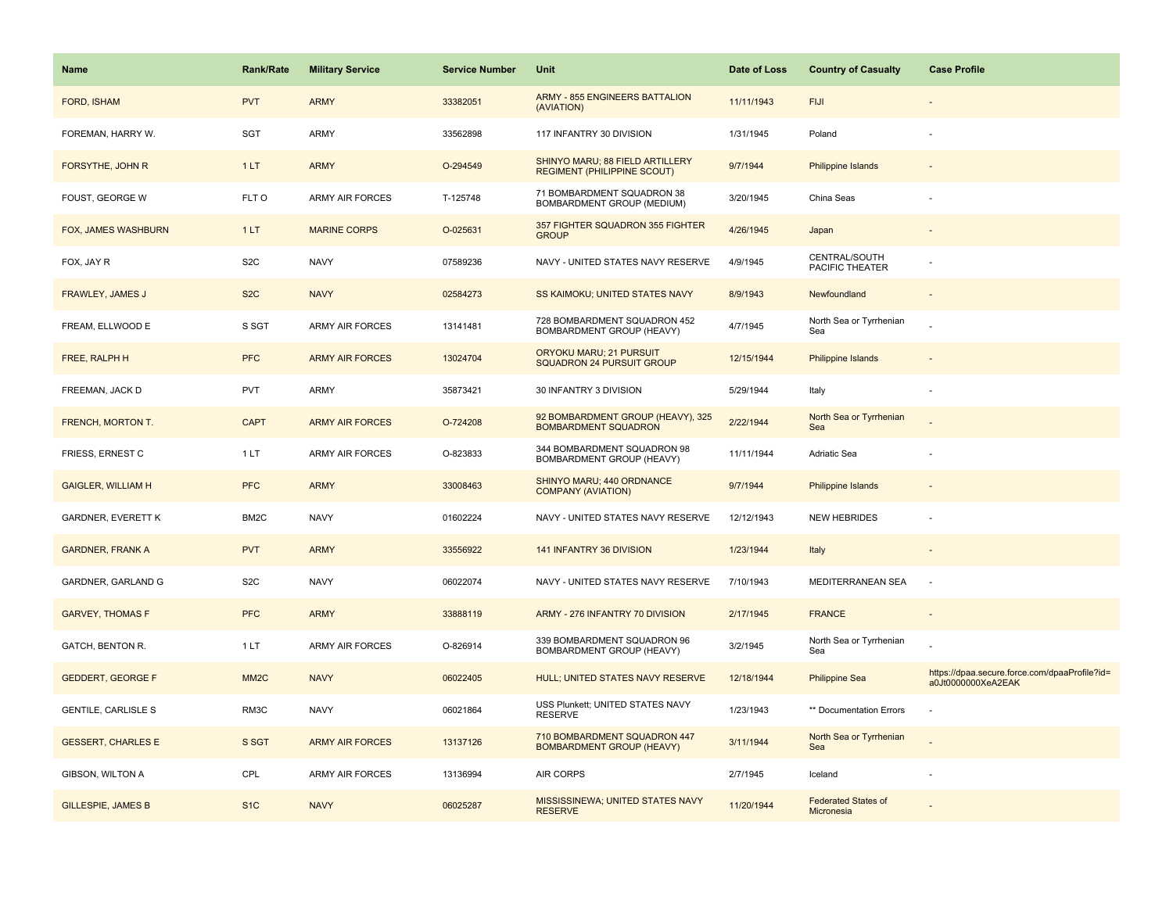| Name                       | <b>Rank/Rate</b>  | <b>Military Service</b> | <b>Service Number</b> | Unit                                                                  | Date of Loss | <b>Country of Casualty</b>               | <b>Case Profile</b>                                                 |
|----------------------------|-------------------|-------------------------|-----------------------|-----------------------------------------------------------------------|--------------|------------------------------------------|---------------------------------------------------------------------|
| FORD, ISHAM                | <b>PVT</b>        | <b>ARMY</b>             | 33382051              | <b>ARMY - 855 ENGINEERS BATTALION</b><br>(AVIATION)                   | 11/11/1943   | <b>FIJI</b>                              |                                                                     |
| FOREMAN, HARRY W.          | SGT               | ARMY                    | 33562898              | 117 INFANTRY 30 DIVISION                                              | 1/31/1945    | Poland                                   |                                                                     |
| FORSYTHE, JOHN R           | 1LT               | <b>ARMY</b>             | O-294549              | SHINYO MARU; 88 FIELD ARTILLERY<br><b>REGIMENT (PHILIPPINE SCOUT)</b> | 9/7/1944     | <b>Philippine Islands</b>                |                                                                     |
| FOUST, GEORGE W            | FLT O             | <b>ARMY AIR FORCES</b>  | T-125748              | 71 BOMBARDMENT SQUADRON 38<br>BOMBARDMENT GROUP (MEDIUM)              | 3/20/1945    | China Seas                               |                                                                     |
| FOX, JAMES WASHBURN        | 1LT               | <b>MARINE CORPS</b>     | O-025631              | 357 FIGHTER SQUADRON 355 FIGHTER<br><b>GROUP</b>                      | 4/26/1945    | Japan                                    |                                                                     |
| FOX, JAY R                 | S <sub>2</sub> C  | <b>NAVY</b>             | 07589236              | NAVY - UNITED STATES NAVY RESERVE                                     | 4/9/1945     | CENTRAL/SOUTH<br>PACIFIC THEATER         |                                                                     |
| FRAWLEY, JAMES J           | S <sub>2</sub> C  | <b>NAVY</b>             | 02584273              | SS KAIMOKU; UNITED STATES NAVY                                        | 8/9/1943     | Newfoundland                             | $\overline{\phantom{a}}$                                            |
| FREAM, ELLWOOD E           | S SGT             | <b>ARMY AIR FORCES</b>  | 13141481              | 728 BOMBARDMENT SQUADRON 452<br>BOMBARDMENT GROUP (HEAVY)             | 4/7/1945     | North Sea or Tyrrhenian<br>Sea           |                                                                     |
| FREE, RALPH H              | <b>PFC</b>        | <b>ARMY AIR FORCES</b>  | 13024704              | ORYOKU MARU; 21 PURSUIT<br><b>SQUADRON 24 PURSUIT GROUP</b>           | 12/15/1944   | Philippine Islands                       |                                                                     |
| FREEMAN, JACK D            | <b>PVT</b>        | <b>ARMY</b>             | 35873421              | 30 INFANTRY 3 DIVISION                                                | 5/29/1944    | Italy                                    |                                                                     |
| FRENCH, MORTON T.          | <b>CAPT</b>       | <b>ARMY AIR FORCES</b>  | O-724208              | 92 BOMBARDMENT GROUP (HEAVY), 325<br><b>BOMBARDMENT SQUADRON</b>      | 2/22/1944    | North Sea or Tyrrhenian<br>Sea           |                                                                     |
| FRIESS, ERNEST C           | 1 LT              | <b>ARMY AIR FORCES</b>  | O-823833              | 344 BOMBARDMENT SQUADRON 98<br>BOMBARDMENT GROUP (HEAVY)              | 11/11/1944   | Adriatic Sea                             |                                                                     |
| <b>GAIGLER, WILLIAM H</b>  | <b>PFC</b>        | <b>ARMY</b>             | 33008463              | SHINYO MARU; 440 ORDNANCE<br><b>COMPANY (AVIATION)</b>                | 9/7/1944     | <b>Philippine Islands</b>                |                                                                     |
| <b>GARDNER, EVERETT K</b>  | BM2C              | <b>NAVY</b>             | 01602224              | NAVY - UNITED STATES NAVY RESERVE                                     | 12/12/1943   | <b>NEW HEBRIDES</b>                      |                                                                     |
| <b>GARDNER, FRANK A</b>    | <b>PVT</b>        | <b>ARMY</b>             | 33556922              | 141 INFANTRY 36 DIVISION                                              | 1/23/1944    | Italy                                    |                                                                     |
| GARDNER, GARLAND G         | S <sub>2</sub> C  | <b>NAVY</b>             | 06022074              | NAVY - UNITED STATES NAVY RESERVE                                     | 7/10/1943    | MEDITERRANEAN SEA                        | $\overline{\phantom{a}}$                                            |
| <b>GARVEY, THOMAS F</b>    | <b>PFC</b>        | <b>ARMY</b>             | 33888119              | ARMY - 276 INFANTRY 70 DIVISION                                       | 2/17/1945    | <b>FRANCE</b>                            |                                                                     |
| GATCH, BENTON R.           | 1LT               | <b>ARMY AIR FORCES</b>  | O-826914              | 339 BOMBARDMENT SQUADRON 96<br>BOMBARDMENT GROUP (HEAVY)              | 3/2/1945     | North Sea or Tyrrhenian<br>Sea           |                                                                     |
| <b>GEDDERT, GEORGE F</b>   | MM <sub>2</sub> C | <b>NAVY</b>             | 06022405              | HULL; UNITED STATES NAVY RESERVE                                      | 12/18/1944   | <b>Philippine Sea</b>                    | https://dpaa.secure.force.com/dpaaProfile?id=<br>a0Jt0000000XeA2EAK |
| <b>GENTILE, CARLISLE S</b> | RM3C              | <b>NAVY</b>             | 06021864              | USS Plunkett; UNITED STATES NAVY<br><b>RESERVE</b>                    | 1/23/1943    | ** Documentation Errors                  |                                                                     |
| <b>GESSERT, CHARLES E</b>  | S SGT             | <b>ARMY AIR FORCES</b>  | 13137126              | 710 BOMBARDMENT SQUADRON 447<br><b>BOMBARDMENT GROUP (HEAVY)</b>      | 3/11/1944    | North Sea or Tyrrhenian<br>Sea           |                                                                     |
| GIBSON, WILTON A           | CPL               | <b>ARMY AIR FORCES</b>  | 13136994              | <b>AIR CORPS</b>                                                      | 2/7/1945     | Iceland                                  |                                                                     |
| <b>GILLESPIE, JAMES B</b>  | S <sub>1</sub> C  | <b>NAVY</b>             | 06025287              | MISSISSINEWA; UNITED STATES NAVY<br><b>RESERVE</b>                    | 11/20/1944   | <b>Federated States of</b><br>Micronesia |                                                                     |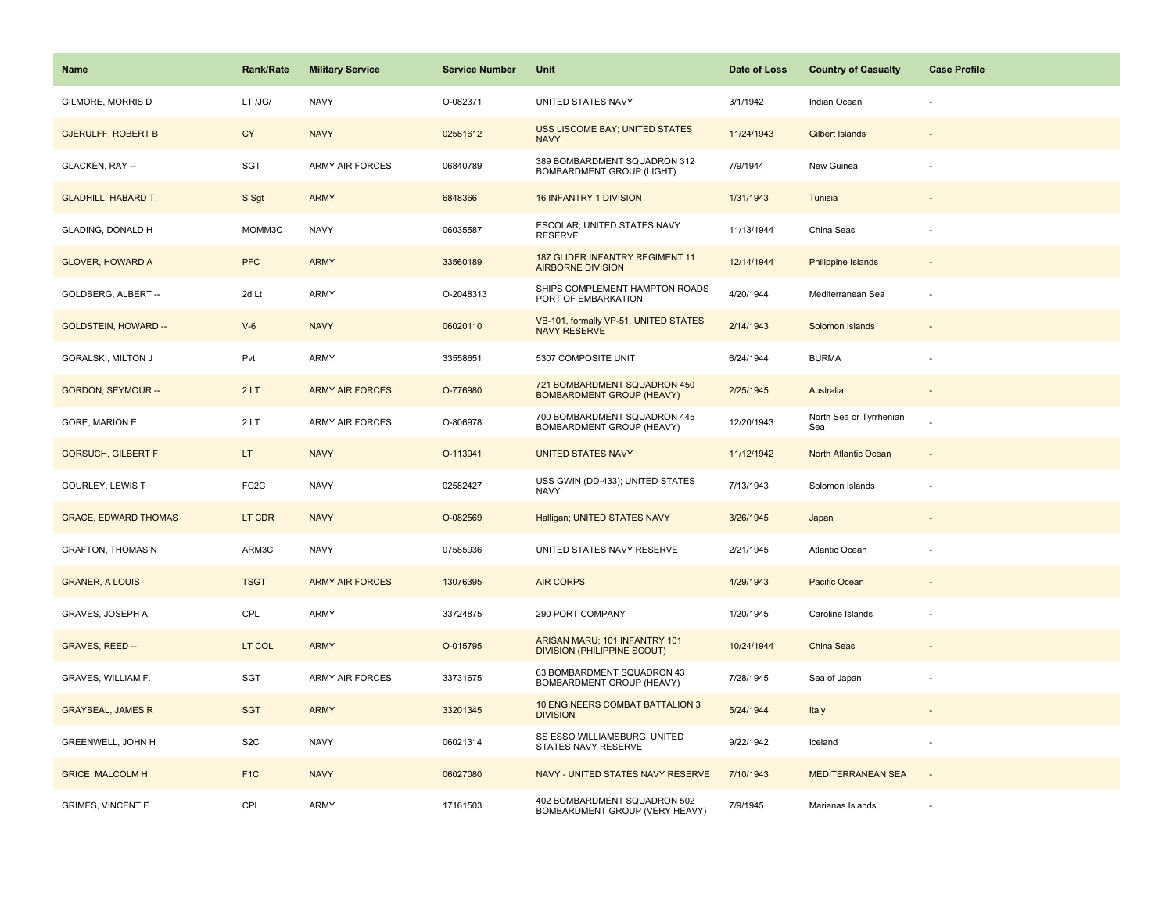| <b>Name</b>                 | <b>Rank/Rate</b>  | <b>Military Service</b> | <b>Service Number</b> | Unit                                                                | Date of Loss | <b>Country of Casualty</b>     | <b>Case Profile</b> |
|-----------------------------|-------------------|-------------------------|-----------------------|---------------------------------------------------------------------|--------------|--------------------------------|---------------------|
| GILMORE, MORRIS D           | LT /JG/           | <b>NAVY</b>             | O-082371              | UNITED STATES NAVY                                                  | 3/1/1942     | Indian Ocean                   |                     |
| <b>GJERULFF, ROBERT B</b>   | <b>CY</b>         | <b>NAVY</b>             | 02581612              | USS LISCOME BAY; UNITED STATES<br><b>NAVY</b>                       | 11/24/1943   | Gilbert Islands                |                     |
| GLACKEN, RAY --             | SGT               | <b>ARMY AIR FORCES</b>  | 06840789              | 389 BOMBARDMENT SQUADRON 312<br><b>BOMBARDMENT GROUP (LIGHT)</b>    | 7/9/1944     | New Guinea                     |                     |
| <b>GLADHILL, HABARD T.</b>  | S Sgt             | <b>ARMY</b>             | 6848366               | 16 INFANTRY 1 DIVISION                                              | 1/31/1943    | Tunisia                        |                     |
| <b>GLADING, DONALD H</b>    | MOMM3C            | <b>NAVY</b>             | 06035587              | ESCOLAR; UNITED STATES NAVY<br><b>RESERVE</b>                       | 11/13/1944   | China Seas                     |                     |
| <b>GLOVER, HOWARD A</b>     | <b>PFC</b>        | <b>ARMY</b>             | 33560189              | 187 GLIDER INFANTRY REGIMENT 11<br><b>AIRBORNE DIVISION</b>         | 12/14/1944   | <b>Philippine Islands</b>      |                     |
| GOLDBERG, ALBERT --         | 2d Lt             | <b>ARMY</b>             | O-2048313             | SHIPS COMPLEMENT HAMPTON ROADS<br>PORT OF EMBARKATION               | 4/20/1944    | Mediterranean Sea              | ÷.                  |
| <b>GOLDSTEIN, HOWARD --</b> | $V-6$             | <b>NAVY</b>             | 06020110              | VB-101, formally VP-51, UNITED STATES<br><b>NAVY RESERVE</b>        | 2/14/1943    | Solomon Islands                |                     |
| GORALSKI, MILTON J          | Pvt               | ARMY                    | 33558651              | 5307 COMPOSITE UNIT                                                 | 6/24/1944    | <b>BURMA</b>                   |                     |
| <b>GORDON, SEYMOUR --</b>   | 2LT               | <b>ARMY AIR FORCES</b>  | O-776980              | 721 BOMBARDMENT SQUADRON 450<br><b>BOMBARDMENT GROUP (HEAVY)</b>    | 2/25/1945    | Australia                      |                     |
| <b>GORE, MARION E</b>       | 2LT               | <b>ARMY AIR FORCES</b>  | O-806978              | 700 BOMBARDMENT SQUADRON 445<br>BOMBARDMENT GROUP (HEAVY)           | 12/20/1943   | North Sea or Tyrrhenian<br>Sea |                     |
| <b>GORSUCH, GILBERT F</b>   | LT.               | <b>NAVY</b>             | O-113941              | <b>UNITED STATES NAVY</b>                                           | 11/12/1942   | North Atlantic Ocean           | ۰                   |
| GOURLEY, LEWIS T            | FC <sub>2</sub> C | <b>NAVY</b>             | 02582427              | USS GWIN (DD-433); UNITED STATES<br><b>NAVY</b>                     | 7/13/1943    | Solomon Islands                |                     |
| <b>GRACE, EDWARD THOMAS</b> | LT CDR            | <b>NAVY</b>             | O-082569              | Halligan; UNITED STATES NAVY                                        | 3/26/1945    | Japan                          |                     |
| <b>GRAFTON, THOMAS N</b>    | ARM3C             | <b>NAVY</b>             | 07585936              | UNITED STATES NAVY RESERVE                                          | 2/21/1945    | Atlantic Ocean                 |                     |
| <b>GRANER, A LOUIS</b>      | <b>TSGT</b>       | <b>ARMY AIR FORCES</b>  | 13076395              | <b>AIR CORPS</b>                                                    | 4/29/1943    | Pacific Ocean                  |                     |
| GRAVES, JOSEPH A.           | CPL               | <b>ARMY</b>             | 33724875              | 290 PORT COMPANY                                                    | 1/20/1945    | Caroline Islands               |                     |
| <b>GRAVES, REED --</b>      | LT COL            | <b>ARMY</b>             | O-015795              | ARISAN MARU; 101 INFANTRY 101<br><b>DIVISION (PHILIPPINE SCOUT)</b> | 10/24/1944   | China Seas                     |                     |
| GRAVES, WILLIAM F.          | SGT               | <b>ARMY AIR FORCES</b>  | 33731675              | 63 BOMBARDMENT SQUADRON 43<br>BOMBARDMENT GROUP (HEAVY)             | 7/28/1945    | Sea of Japan                   |                     |
| <b>GRAYBEAL, JAMES R</b>    | <b>SGT</b>        | <b>ARMY</b>             | 33201345              | 10 ENGINEERS COMBAT BATTALION 3<br><b>DIVISION</b>                  | 5/24/1944    | Italy                          |                     |
| GREENWELL, JOHN H           | S <sub>2</sub> C  | <b>NAVY</b>             | 06021314              | SS ESSO WILLIAMSBURG; UNITED<br>STATES NAVY RESERVE                 | 9/22/1942    | Iceland                        | ÷,                  |
| <b>GRICE, MALCOLM H</b>     | F <sub>1</sub> C  | <b>NAVY</b>             | 06027080              | NAVY - UNITED STATES NAVY RESERVE                                   | 7/10/1943    | <b>MEDITERRANEAN SEA</b>       | $\overline{a}$      |
| <b>GRIMES, VINCENT E</b>    | CPL               | <b>ARMY</b>             | 17161503              | 402 BOMBARDMENT SQUADRON 502<br>BOMBARDMENT GROUP (VERY HEAVY)      | 7/9/1945     | Marianas Islands               |                     |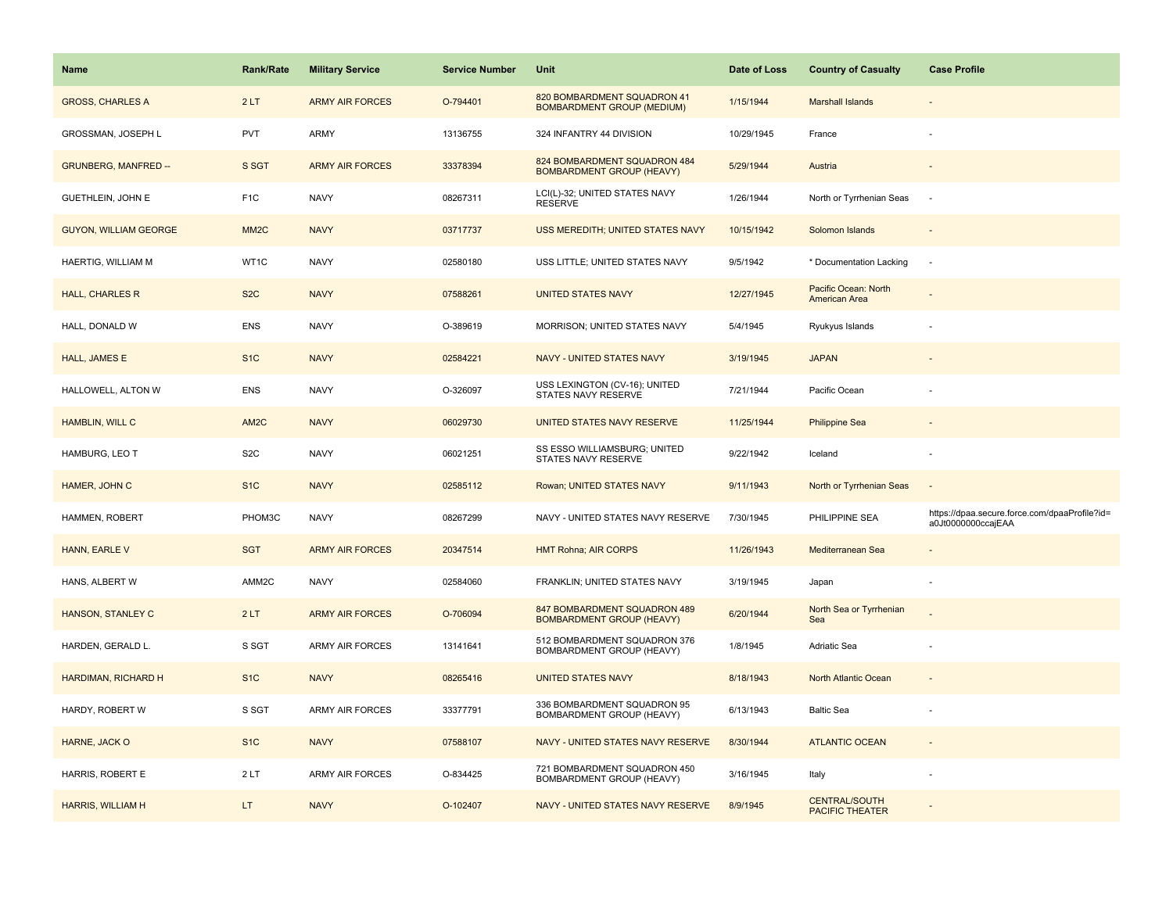| <b>Name</b>                  | <b>Rank/Rate</b>  | <b>Military Service</b> | <b>Service Number</b> | Unit                                                             | Date of Loss | <b>Country of Casualty</b>                     | <b>Case Profile</b>                                                 |
|------------------------------|-------------------|-------------------------|-----------------------|------------------------------------------------------------------|--------------|------------------------------------------------|---------------------------------------------------------------------|
| <b>GROSS, CHARLES A</b>      | 2LT               | <b>ARMY AIR FORCES</b>  | O-794401              | 820 BOMBARDMENT SQUADRON 41<br><b>BOMBARDMENT GROUP (MEDIUM)</b> | 1/15/1944    | <b>Marshall Islands</b>                        |                                                                     |
| GROSSMAN, JOSEPH L           | PVT               | ARMY                    | 13136755              | 324 INFANTRY 44 DIVISION                                         | 10/29/1945   | France                                         |                                                                     |
| <b>GRUNBERG, MANFRED --</b>  | S SGT             | <b>ARMY AIR FORCES</b>  | 33378394              | 824 BOMBARDMENT SQUADRON 484<br><b>BOMBARDMENT GROUP (HEAVY)</b> | 5/29/1944    | Austria                                        |                                                                     |
| GUETHLEIN, JOHN E            | F <sub>1</sub> C  | <b>NAVY</b>             | 08267311              | LCI(L)-32; UNITED STATES NAVY<br><b>RESERVE</b>                  | 1/26/1944    | North or Tyrrhenian Seas                       | $\sim$                                                              |
| <b>GUYON, WILLIAM GEORGE</b> | MM <sub>2</sub> C | <b>NAVY</b>             | 03717737              | USS MEREDITH; UNITED STATES NAVY                                 | 10/15/1942   | Solomon Islands                                |                                                                     |
| HAERTIG, WILLIAM M           | WT1C              | <b>NAVY</b>             | 02580180              | USS LITTLE; UNITED STATES NAVY                                   | 9/5/1942     | * Documentation Lacking                        | $\overline{\phantom{a}}$                                            |
| <b>HALL, CHARLES R</b>       | S <sub>2</sub> C  | <b>NAVY</b>             | 07588261              | <b>UNITED STATES NAVY</b>                                        | 12/27/1945   | Pacific Ocean: North<br>American Area          |                                                                     |
| HALL, DONALD W               | <b>ENS</b>        | <b>NAVY</b>             | O-389619              | MORRISON; UNITED STATES NAVY                                     | 5/4/1945     | Ryukyus Islands                                |                                                                     |
| <b>HALL, JAMES E</b>         | S <sub>1C</sub>   | <b>NAVY</b>             | 02584221              | <b>NAVY - UNITED STATES NAVY</b>                                 | 3/19/1945    | <b>JAPAN</b>                                   |                                                                     |
| HALLOWELL, ALTON W           | <b>ENS</b>        | <b>NAVY</b>             | O-326097              | USS LEXINGTON (CV-16); UNITED<br>STATES NAVY RESERVE             | 7/21/1944    | Pacific Ocean                                  |                                                                     |
| HAMBLIN, WILL C              | AM2C              | <b>NAVY</b>             | 06029730              | UNITED STATES NAVY RESERVE                                       | 11/25/1944   | <b>Philippine Sea</b>                          |                                                                     |
| HAMBURG, LEO T               | S <sub>2</sub> C  | <b>NAVY</b>             | 06021251              | SS ESSO WILLIAMSBURG; UNITED<br>STATES NAVY RESERVE              | 9/22/1942    | Iceland                                        |                                                                     |
| HAMER, JOHN C                | S <sub>1C</sub>   | <b>NAVY</b>             | 02585112              | Rowan; UNITED STATES NAVY                                        | 9/11/1943    | North or Tyrrhenian Seas                       |                                                                     |
| HAMMEN, ROBERT               | PHOM3C            | <b>NAVY</b>             | 08267299              | NAVY - UNITED STATES NAVY RESERVE                                | 7/30/1945    | PHILIPPINE SEA                                 | https://dpaa.secure.force.com/dpaaProfile?id=<br>a0Jt0000000ccajEAA |
| HANN, EARLE V                | <b>SGT</b>        | <b>ARMY AIR FORCES</b>  | 20347514              | <b>HMT Rohna; AIR CORPS</b>                                      | 11/26/1943   | Mediterranean Sea                              |                                                                     |
| HANS, ALBERT W               | AMM2C             | <b>NAVY</b>             | 02584060              | FRANKLIN; UNITED STATES NAVY                                     | 3/19/1945    | Japan                                          |                                                                     |
| HANSON, STANLEY C            | 2LT               | <b>ARMY AIR FORCES</b>  | O-706094              | 847 BOMBARDMENT SQUADRON 489<br><b>BOMBARDMENT GROUP (HEAVY)</b> | 6/20/1944    | North Sea or Tyrrhenian<br>Sea                 |                                                                     |
| HARDEN, GERALD L.            | S SGT             | <b>ARMY AIR FORCES</b>  | 13141641              | 512 BOMBARDMENT SQUADRON 376<br>BOMBARDMENT GROUP (HEAVY)        | 1/8/1945     | Adriatic Sea                                   |                                                                     |
| <b>HARDIMAN, RICHARD H</b>   | S <sub>1</sub> C  | <b>NAVY</b>             | 08265416              | <b>UNITED STATES NAVY</b>                                        | 8/18/1943    | North Atlantic Ocean                           |                                                                     |
| HARDY, ROBERT W              | S SGT             | <b>ARMY AIR FORCES</b>  | 33377791              | 336 BOMBARDMENT SQUADRON 95<br>BOMBARDMENT GROUP (HEAVY)         | 6/13/1943    | <b>Baltic Sea</b>                              |                                                                     |
| HARNE, JACK O                | S <sub>1</sub> C  | <b>NAVY</b>             | 07588107              | NAVY - UNITED STATES NAVY RESERVE                                | 8/30/1944    | <b>ATLANTIC OCEAN</b>                          |                                                                     |
| HARRIS, ROBERT E             | 2LT               | <b>ARMY AIR FORCES</b>  | O-834425              | 721 BOMBARDMENT SQUADRON 450<br>BOMBARDMENT GROUP (HEAVY)        | 3/16/1945    | Italy                                          |                                                                     |
| <b>HARRIS, WILLIAM H</b>     | LT.               | <b>NAVY</b>             | O-102407              | NAVY - UNITED STATES NAVY RESERVE                                | 8/9/1945     | <b>CENTRAL/SOUTH</b><br><b>PACIFIC THEATER</b> |                                                                     |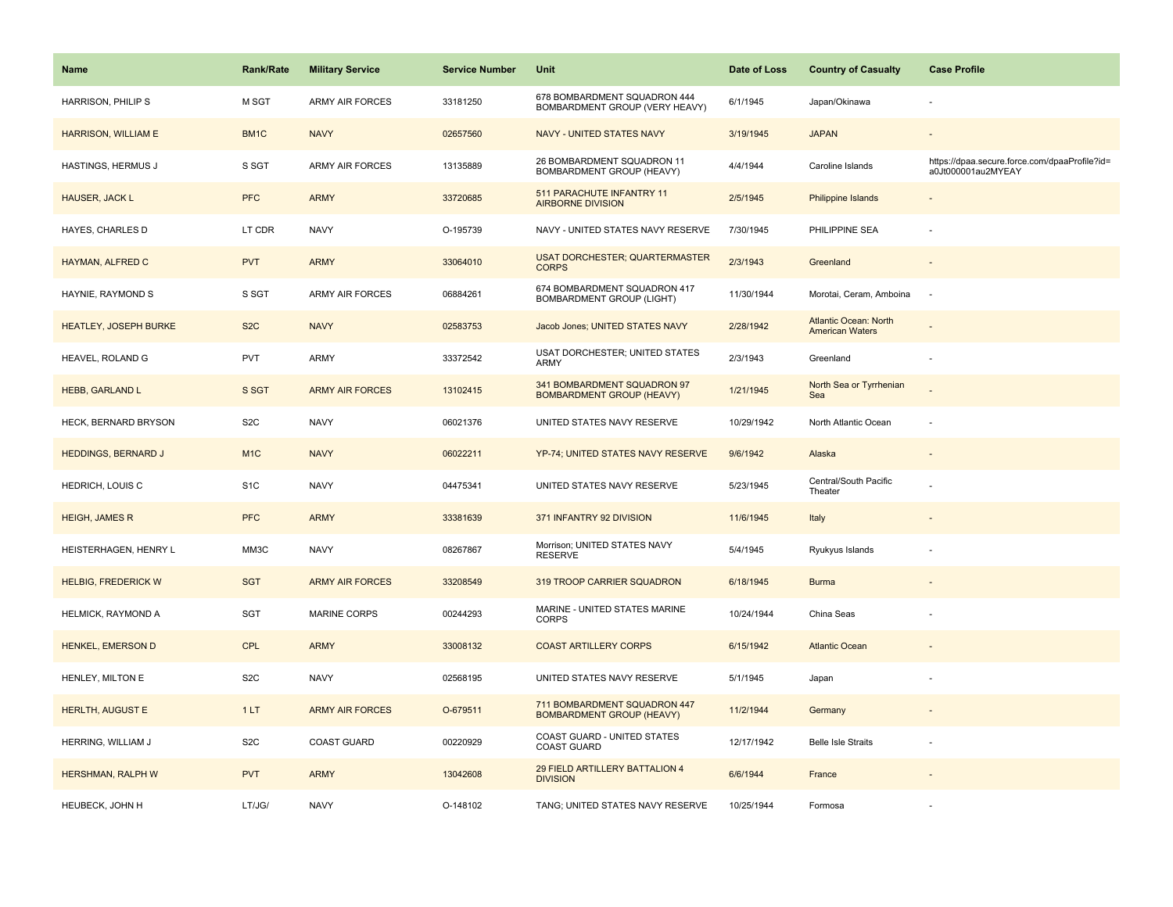| Name                         | <b>Rank/Rate</b> | <b>Military Service</b> | <b>Service Number</b> | Unit                                                             | Date of Loss | <b>Country of Casualty</b>                             | <b>Case Profile</b>                                                 |
|------------------------------|------------------|-------------------------|-----------------------|------------------------------------------------------------------|--------------|--------------------------------------------------------|---------------------------------------------------------------------|
| HARRISON, PHILIP S           | M SGT            | ARMY AIR FORCES         | 33181250              | 678 BOMBARDMENT SQUADRON 444<br>BOMBARDMENT GROUP (VERY HEAVY)   | 6/1/1945     | Japan/Okinawa                                          |                                                                     |
| <b>HARRISON, WILLIAM E</b>   | BM1C             | <b>NAVY</b>             | 02657560              | NAVY - UNITED STATES NAVY                                        | 3/19/1945    | <b>JAPAN</b>                                           |                                                                     |
| HASTINGS, HERMUS J           | S SGT            | <b>ARMY AIR FORCES</b>  | 13135889              | 26 BOMBARDMENT SQUADRON 11<br>BOMBARDMENT GROUP (HEAVY)          | 4/4/1944     | Caroline Islands                                       | https://dpaa.secure.force.com/dpaaProfile?id=<br>a0Jt000001au2MYEAY |
| HAUSER, JACK L               | <b>PFC</b>       | <b>ARMY</b>             | 33720685              | 511 PARACHUTE INFANTRY 11<br><b>AIRBORNE DIVISION</b>            | 2/5/1945     | Philippine Islands                                     |                                                                     |
| HAYES, CHARLES D             | LT CDR           | <b>NAVY</b>             | O-195739              | NAVY - UNITED STATES NAVY RESERVE                                | 7/30/1945    | PHILIPPINE SEA                                         |                                                                     |
| HAYMAN, ALFRED C             | <b>PVT</b>       | <b>ARMY</b>             | 33064010              | <b>USAT DORCHESTER; QUARTERMASTER</b><br><b>CORPS</b>            | 2/3/1943     | Greenland                                              |                                                                     |
| HAYNIE, RAYMOND S            | S SGT            | ARMY AIR FORCES         | 06884261              | 674 BOMBARDMENT SQUADRON 417<br><b>BOMBARDMENT GROUP (LIGHT)</b> | 11/30/1944   | Morotai, Ceram, Amboina                                | $\sim$                                                              |
| <b>HEATLEY, JOSEPH BURKE</b> | S <sub>2</sub> C | <b>NAVY</b>             | 02583753              | Jacob Jones; UNITED STATES NAVY                                  | 2/28/1942    | <b>Atlantic Ocean: North</b><br><b>American Waters</b> |                                                                     |
| HEAVEL, ROLAND G             | <b>PVT</b>       | ARMY                    | 33372542              | USAT DORCHESTER; UNITED STATES<br>ARMY                           | 2/3/1943     | Greenland                                              |                                                                     |
| <b>HEBB, GARLAND L</b>       | S SGT            | <b>ARMY AIR FORCES</b>  | 13102415              | 341 BOMBARDMENT SQUADRON 97<br><b>BOMBARDMENT GROUP (HEAVY)</b>  | 1/21/1945    | North Sea or Tyrrhenian<br>Sea                         |                                                                     |
| HECK, BERNARD BRYSON         | S <sub>2</sub> C | <b>NAVY</b>             | 06021376              | UNITED STATES NAVY RESERVE                                       | 10/29/1942   | North Atlantic Ocean                                   |                                                                     |
| <b>HEDDINGS, BERNARD J</b>   | M <sub>1</sub> C | <b>NAVY</b>             | 06022211              | YP-74; UNITED STATES NAVY RESERVE                                | 9/6/1942     | Alaska                                                 |                                                                     |
| HEDRICH, LOUIS C             | S <sub>1</sub> C | <b>NAVY</b>             | 04475341              | UNITED STATES NAVY RESERVE                                       | 5/23/1945    | Central/South Pacific<br>Theater                       |                                                                     |
| <b>HEIGH, JAMES R</b>        | <b>PFC</b>       | <b>ARMY</b>             | 33381639              | 371 INFANTRY 92 DIVISION                                         | 11/6/1945    | Italy                                                  |                                                                     |
| HEISTERHAGEN, HENRY L        | MM3C             | <b>NAVY</b>             | 08267867              | Morrison; UNITED STATES NAVY<br><b>RESERVE</b>                   | 5/4/1945     | Ryukyus Islands                                        |                                                                     |
| <b>HELBIG, FREDERICK W</b>   | <b>SGT</b>       | <b>ARMY AIR FORCES</b>  | 33208549              | 319 TROOP CARRIER SQUADRON                                       | 6/18/1945    | <b>Burma</b>                                           |                                                                     |
| HELMICK, RAYMOND A           | SGT              | <b>MARINE CORPS</b>     | 00244293              | MARINE - UNITED STATES MARINE<br><b>CORPS</b>                    | 10/24/1944   | China Seas                                             |                                                                     |
| <b>HENKEL, EMERSON D</b>     | <b>CPL</b>       | <b>ARMY</b>             | 33008132              | <b>COAST ARTILLERY CORPS</b>                                     | 6/15/1942    | <b>Atlantic Ocean</b>                                  |                                                                     |
| HENLEY, MILTON E             | S <sub>2</sub> C | <b>NAVY</b>             | 02568195              | UNITED STATES NAVY RESERVE                                       | 5/1/1945     | Japan                                                  |                                                                     |
| <b>HERLTH, AUGUST E</b>      | 1LT              | <b>ARMY AIR FORCES</b>  | O-679511              | 711 BOMBARDMENT SQUADRON 447<br><b>BOMBARDMENT GROUP (HEAVY)</b> | 11/2/1944    | Germany                                                |                                                                     |
| HERRING, WILLIAM J           | S <sub>2</sub> C | <b>COAST GUARD</b>      | 00220929              | COAST GUARD - UNITED STATES<br><b>COAST GUARD</b>                | 12/17/1942   | <b>Belle Isle Straits</b>                              |                                                                     |
| <b>HERSHMAN, RALPH W</b>     | <b>PVT</b>       | <b>ARMY</b>             | 13042608              | 29 FIELD ARTILLERY BATTALION 4<br><b>DIVISION</b>                | 6/6/1944     | France                                                 |                                                                     |
| HEUBECK, JOHN H              | LT/JG/           | <b>NAVY</b>             | O-148102              | TANG; UNITED STATES NAVY RESERVE                                 | 10/25/1944   | Formosa                                                |                                                                     |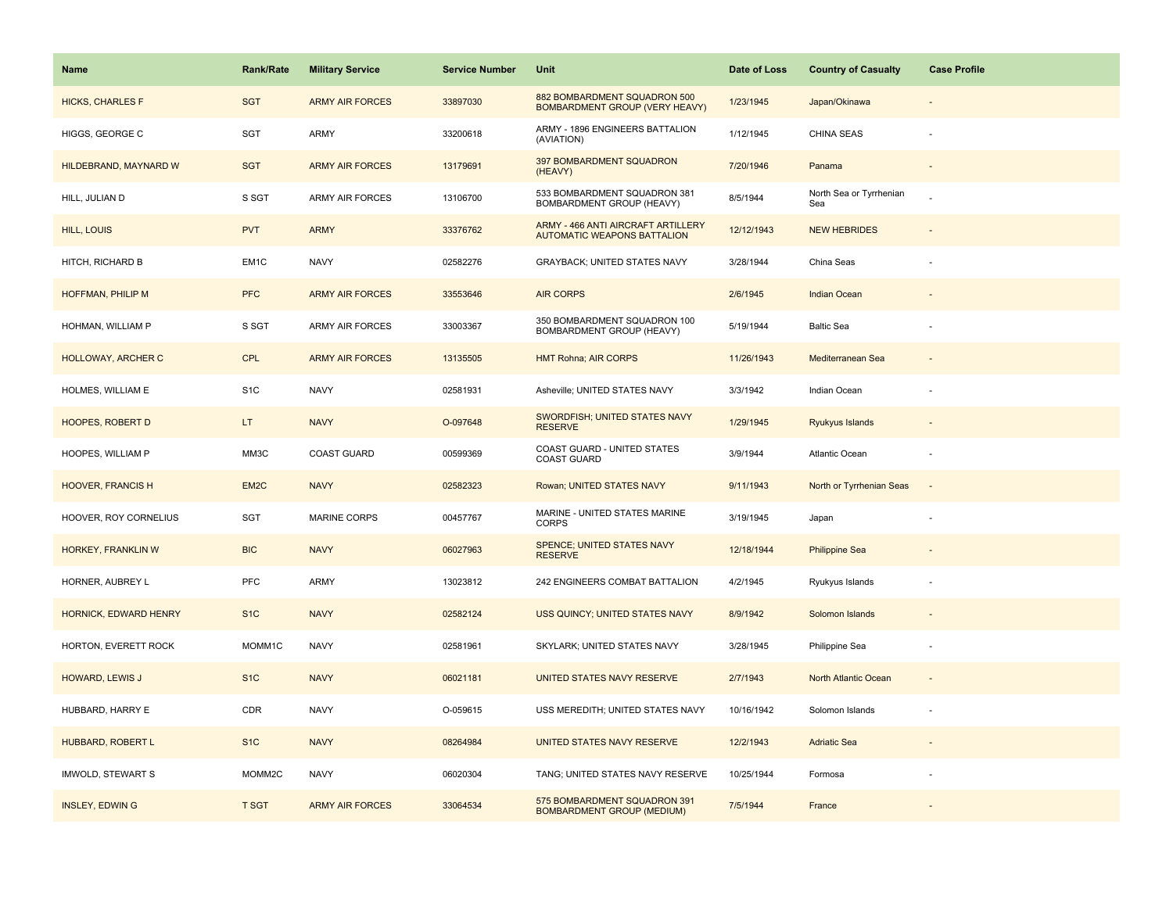| Name                     | <b>Rank/Rate</b> | <b>Military Service</b> | <b>Service Number</b> | Unit                                                                     | Date of Loss | <b>Country of Casualty</b>     | <b>Case Profile</b> |
|--------------------------|------------------|-------------------------|-----------------------|--------------------------------------------------------------------------|--------------|--------------------------------|---------------------|
| <b>HICKS, CHARLES F</b>  | <b>SGT</b>       | <b>ARMY AIR FORCES</b>  | 33897030              | 882 BOMBARDMENT SQUADRON 500<br><b>BOMBARDMENT GROUP (VERY HEAVY)</b>    | 1/23/1945    | Japan/Okinawa                  |                     |
| HIGGS, GEORGE C          | SGT              | ARMY                    | 33200618              | ARMY - 1896 ENGINEERS BATTALION<br>(AVIATION)                            | 1/12/1945    | CHINA SEAS                     |                     |
| HILDEBRAND, MAYNARD W    | <b>SGT</b>       | <b>ARMY AIR FORCES</b>  | 13179691              | 397 BOMBARDMENT SQUADRON<br>(HEAVY)                                      | 7/20/1946    | Panama                         |                     |
| HILL, JULIAN D           | S SGT            | ARMY AIR FORCES         | 13106700              | 533 BOMBARDMENT SQUADRON 381<br>BOMBARDMENT GROUP (HEAVY)                | 8/5/1944     | North Sea or Tyrrhenian<br>Sea |                     |
| HILL, LOUIS              | <b>PVT</b>       | <b>ARMY</b>             | 33376762              | ARMY - 466 ANTI AIRCRAFT ARTILLERY<br><b>AUTOMATIC WEAPONS BATTALION</b> | 12/12/1943   | <b>NEW HEBRIDES</b>            |                     |
| HITCH, RICHARD B         | EM1C             | <b>NAVY</b>             | 02582276              | GRAYBACK; UNITED STATES NAVY                                             | 3/28/1944    | China Seas                     |                     |
| HOFFMAN, PHILIP M        | <b>PFC</b>       | <b>ARMY AIR FORCES</b>  | 33553646              | <b>AIR CORPS</b>                                                         | 2/6/1945     | Indian Ocean                   |                     |
| HOHMAN, WILLIAM P        | S SGT            | ARMY AIR FORCES         | 33003367              | 350 BOMBARDMENT SQUADRON 100<br>BOMBARDMENT GROUP (HEAVY)                | 5/19/1944    | <b>Baltic Sea</b>              |                     |
| HOLLOWAY, ARCHER C       | <b>CPL</b>       | <b>ARMY AIR FORCES</b>  | 13135505              | <b>HMT Rohna; AIR CORPS</b>                                              | 11/26/1943   | Mediterranean Sea              |                     |
| HOLMES, WILLIAM E        | S <sub>1</sub> C | <b>NAVY</b>             | 02581931              | Asheville; UNITED STATES NAVY                                            | 3/3/1942     | Indian Ocean                   |                     |
| <b>HOOPES, ROBERT D</b>  | LT.              | <b>NAVY</b>             | O-097648              | SWORDFISH; UNITED STATES NAVY<br><b>RESERVE</b>                          | 1/29/1945    | <b>Ryukyus Islands</b>         |                     |
| HOOPES, WILLIAM P        | MM3C             | COAST GUARD             | 00599369              | COAST GUARD - UNITED STATES<br><b>COAST GUARD</b>                        | 3/9/1944     | Atlantic Ocean                 |                     |
| <b>HOOVER, FRANCIS H</b> | EM <sub>2C</sub> | <b>NAVY</b>             | 02582323              | Rowan; UNITED STATES NAVY                                                | 9/11/1943    | North or Tyrrhenian Seas       |                     |
| HOOVER, ROY CORNELIUS    | <b>SGT</b>       | MARINE CORPS            | 00457767              | MARINE - UNITED STATES MARINE<br><b>CORPS</b>                            | 3/19/1945    | Japan                          |                     |
| HORKEY, FRANKLIN W       | <b>BIC</b>       | <b>NAVY</b>             | 06027963              | SPENCE; UNITED STATES NAVY<br><b>RESERVE</b>                             | 12/18/1944   | <b>Philippine Sea</b>          |                     |
| HORNER, AUBREY L         | PFC              | ARMY                    | 13023812              | 242 ENGINEERS COMBAT BATTALION                                           | 4/2/1945     | Ryukyus Islands                |                     |
| HORNICK, EDWARD HENRY    | S <sub>1</sub> C | <b>NAVY</b>             | 02582124              | USS QUINCY; UNITED STATES NAVY                                           | 8/9/1942     | Solomon Islands                |                     |
| HORTON, EVERETT ROCK     | MOMM1C           | <b>NAVY</b>             | 02581961              | SKYLARK; UNITED STATES NAVY                                              | 3/28/1945    | Philippine Sea                 |                     |
| HOWARD, LEWIS J          | S <sub>1C</sub>  | <b>NAVY</b>             | 06021181              | UNITED STATES NAVY RESERVE                                               | 2/7/1943     | North Atlantic Ocean           |                     |
| HUBBARD, HARRY E         | CDR              | <b>NAVY</b>             | O-059615              | USS MEREDITH; UNITED STATES NAVY                                         | 10/16/1942   | Solomon Islands                |                     |
| HUBBARD, ROBERT L        | S <sub>1C</sub>  | <b>NAVY</b>             | 08264984              | UNITED STATES NAVY RESERVE                                               | 12/2/1943    | <b>Adriatic Sea</b>            |                     |
| IMWOLD, STEWART S        | MOMM2C           | <b>NAVY</b>             | 06020304              | TANG; UNITED STATES NAVY RESERVE                                         | 10/25/1944   | Formosa                        |                     |
| <b>INSLEY, EDWING</b>    | <b>T SGT</b>     | <b>ARMY AIR FORCES</b>  | 33064534              | 575 BOMBARDMENT SQUADRON 391<br><b>BOMBARDMENT GROUP (MEDIUM)</b>        | 7/5/1944     | France                         |                     |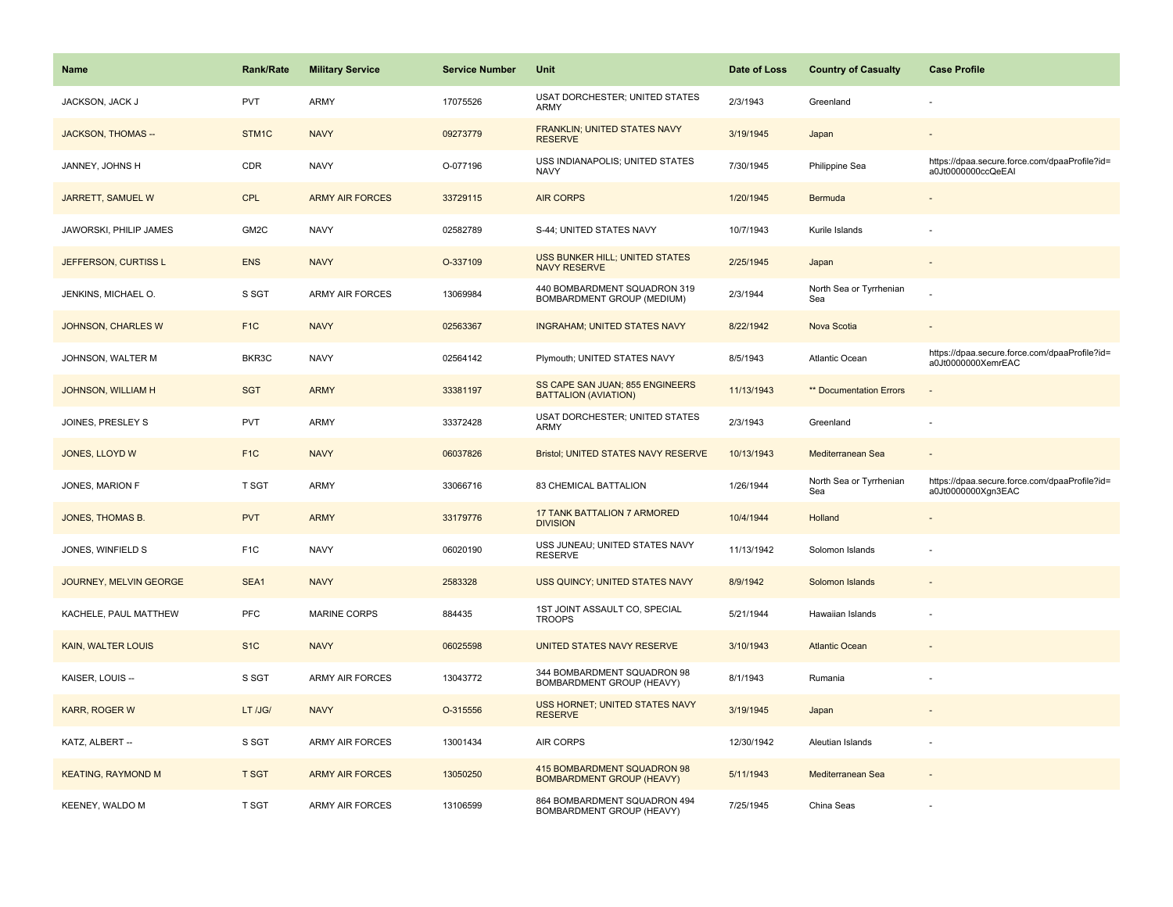| <b>Name</b>               | Rank/Rate        | <b>Military Service</b> | <b>Service Number</b> | Unit                                                             | Date of Loss | <b>Country of Casualty</b>     | <b>Case Profile</b>                                                 |
|---------------------------|------------------|-------------------------|-----------------------|------------------------------------------------------------------|--------------|--------------------------------|---------------------------------------------------------------------|
| JACKSON, JACK J           | <b>PVT</b>       | ARMY                    | 17075526              | <b>USAT DORCHESTER; UNITED STATES</b><br>ARMY                    | 2/3/1943     | Greenland                      |                                                                     |
| <b>JACKSON, THOMAS --</b> | STM1C            | <b>NAVY</b>             | 09273779              | FRANKLIN; UNITED STATES NAVY<br><b>RESERVE</b>                   | 3/19/1945    | Japan                          |                                                                     |
| JANNEY, JOHNS H           | <b>CDR</b>       | <b>NAVY</b>             | O-077196              | USS INDIANAPOLIS; UNITED STATES<br><b>NAVY</b>                   | 7/30/1945    | Philippine Sea                 | https://dpaa.secure.force.com/dpaaProfile?id=<br>a0Jt0000000ccQeEAI |
| JARRETT, SAMUEL W         | <b>CPL</b>       | <b>ARMY AIR FORCES</b>  | 33729115              | <b>AIR CORPS</b>                                                 | 1/20/1945    | Bermuda                        |                                                                     |
| JAWORSKI, PHILIP JAMES    | GM2C             | <b>NAVY</b>             | 02582789              | S-44; UNITED STATES NAVY                                         | 10/7/1943    | Kurile Islands                 |                                                                     |
| JEFFERSON, CURTISS L      | <b>ENS</b>       | <b>NAVY</b>             | O-337109              | USS BUNKER HILL; UNITED STATES<br><b>NAVY RESERVE</b>            | 2/25/1945    | Japan                          |                                                                     |
| JENKINS, MICHAEL O.       | S SGT            | <b>ARMY AIR FORCES</b>  | 13069984              | 440 BOMBARDMENT SQUADRON 319<br>BOMBARDMENT GROUP (MEDIUM)       | 2/3/1944     | North Sea or Tyrrhenian<br>Sea |                                                                     |
| <b>JOHNSON, CHARLES W</b> | F <sub>1C</sub>  | <b>NAVY</b>             | 02563367              | <b>INGRAHAM; UNITED STATES NAVY</b>                              | 8/22/1942    | Nova Scotia                    |                                                                     |
| JOHNSON, WALTER M         | BKR3C            | <b>NAVY</b>             | 02564142              | Plymouth; UNITED STATES NAVY                                     | 8/5/1943     | <b>Atlantic Ocean</b>          | https://dpaa.secure.force.com/dpaaProfile?id=<br>a0Jt0000000XemrEAC |
| JOHNSON, WILLIAM H        | <b>SGT</b>       | <b>ARMY</b>             | 33381197              | SS CAPE SAN JUAN; 855 ENGINEERS<br><b>BATTALION (AVIATION)</b>   | 11/13/1943   | ** Documentation Errors        |                                                                     |
| JOINES, PRESLEY S         | <b>PVT</b>       | ARMY                    | 33372428              | USAT DORCHESTER; UNITED STATES<br>ARMY                           | 2/3/1943     | Greenland                      |                                                                     |
| JONES, LLOYD W            | F <sub>1C</sub>  | <b>NAVY</b>             | 06037826              | Bristol; UNITED STATES NAVY RESERVE                              | 10/13/1943   | Mediterranean Sea              | $\sim$                                                              |
| JONES, MARION F           | T SGT            | <b>ARMY</b>             | 33066716              | 83 CHEMICAL BATTALION                                            | 1/26/1944    | North Sea or Tyrrhenian<br>Sea | https://dpaa.secure.force.com/dpaaProfile?id=<br>a0Jt0000000Xgn3EAC |
| JONES, THOMAS B.          | <b>PVT</b>       | <b>ARMY</b>             | 33179776              | <b>17 TANK BATTALION 7 ARMORED</b><br><b>DIVISION</b>            | 10/4/1944    | Holland                        |                                                                     |
| JONES, WINFIELD S         | F <sub>1</sub> C | <b>NAVY</b>             | 06020190              | USS JUNEAU; UNITED STATES NAVY<br><b>RESERVE</b>                 | 11/13/1942   | Solomon Islands                |                                                                     |
| JOURNEY, MELVIN GEORGE    | SEA1             | <b>NAVY</b>             | 2583328               | USS QUINCY; UNITED STATES NAVY                                   | 8/9/1942     | Solomon Islands                |                                                                     |
| KACHELE, PAUL MATTHEW     | PFC              | <b>MARINE CORPS</b>     | 884435                | 1ST JOINT ASSAULT CO, SPECIAL<br><b>TROOPS</b>                   | 5/21/1944    | Hawaiian Islands               |                                                                     |
| <b>KAIN, WALTER LOUIS</b> | S <sub>1</sub> C | <b>NAVY</b>             | 06025598              | UNITED STATES NAVY RESERVE                                       | 3/10/1943    | <b>Atlantic Ocean</b>          |                                                                     |
| KAISER, LOUIS --          | S SGT            | <b>ARMY AIR FORCES</b>  | 13043772              | 344 BOMBARDMENT SQUADRON 98<br>BOMBARDMENT GROUP (HEAVY)         | 8/1/1943     | Rumania                        |                                                                     |
| KARR, ROGER W             | LT /JG/          | <b>NAVY</b>             | O-315556              | <b>USS HORNET; UNITED STATES NAVY</b><br><b>RESERVE</b>          | 3/19/1945    | Japan                          |                                                                     |
| KATZ, ALBERT --           | S SGT            | <b>ARMY AIR FORCES</b>  | 13001434              | AIR CORPS                                                        | 12/30/1942   | Aleutian Islands               |                                                                     |
| <b>KEATING, RAYMOND M</b> | <b>T SGT</b>     | <b>ARMY AIR FORCES</b>  | 13050250              | 415 BOMBARDMENT SQUADRON 98<br><b>BOMBARDMENT GROUP (HEAVY)</b>  | 5/11/1943    | Mediterranean Sea              |                                                                     |
| KEENEY, WALDO M           | T SGT            | ARMY AIR FORCES         | 13106599              | 864 BOMBARDMENT SQUADRON 494<br><b>BOMBARDMENT GROUP (HEAVY)</b> | 7/25/1945    | China Seas                     |                                                                     |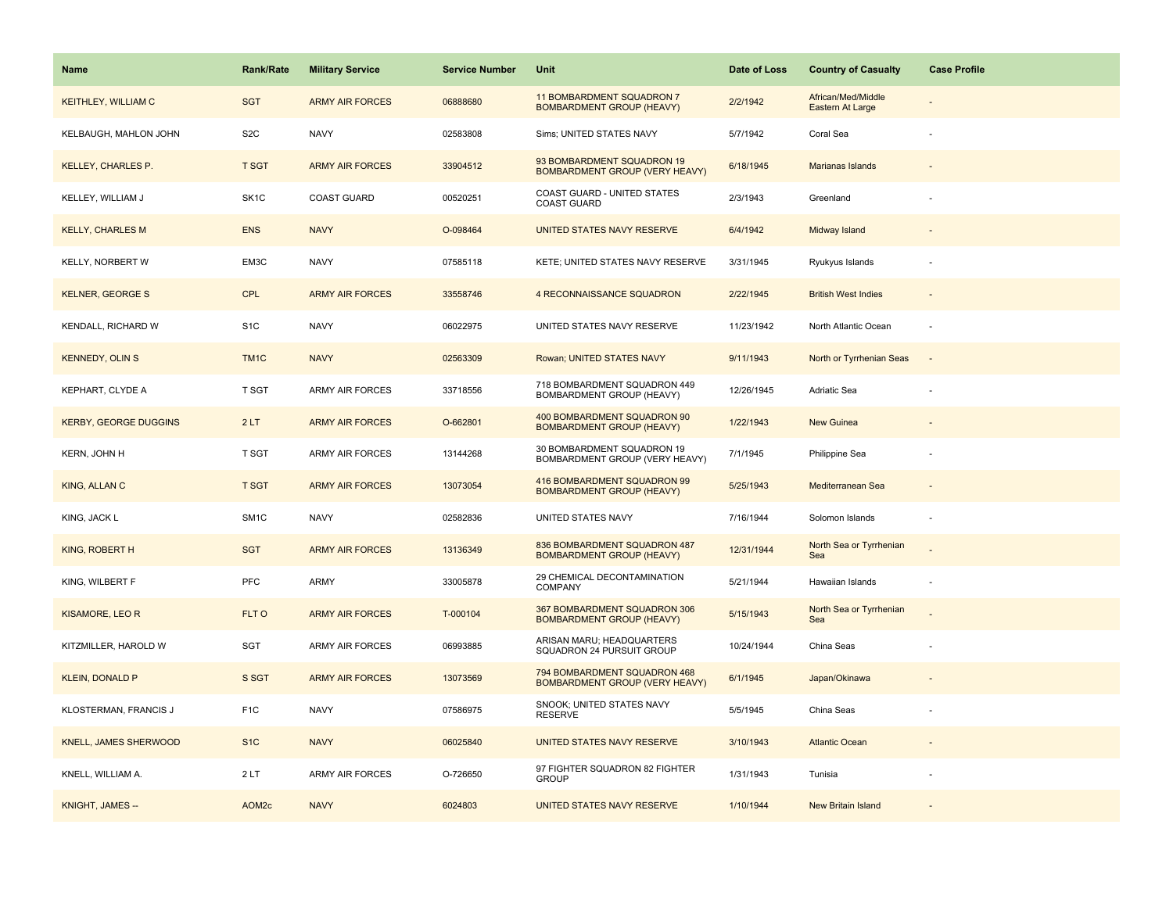| <b>Name</b>                  | <b>Rank/Rate</b>  | <b>Military Service</b> | <b>Service Number</b> | Unit                                                                  | Date of Loss | <b>Country of Casualty</b>             | <b>Case Profile</b> |
|------------------------------|-------------------|-------------------------|-----------------------|-----------------------------------------------------------------------|--------------|----------------------------------------|---------------------|
| <b>KEITHLEY, WILLIAM C</b>   | <b>SGT</b>        | <b>ARMY AIR FORCES</b>  | 06888680              | 11 BOMBARDMENT SQUADRON 7<br><b>BOMBARDMENT GROUP (HEAVY)</b>         | 2/2/1942     | African/Med/Middle<br>Eastern At Large |                     |
| KELBAUGH, MAHLON JOHN        | S <sub>2</sub> C  | <b>NAVY</b>             | 02583808              | Sims; UNITED STATES NAVY                                              | 5/7/1942     | Coral Sea                              |                     |
| <b>KELLEY, CHARLES P.</b>    | <b>T SGT</b>      | <b>ARMY AIR FORCES</b>  | 33904512              | 93 BOMBARDMENT SQUADRON 19<br>BOMBARDMENT GROUP (VERY HEAVY)          | 6/18/1945    | Marianas Islands                       |                     |
| KELLEY, WILLIAM J            | SK <sub>1</sub> C | <b>COAST GUARD</b>      | 00520251              | COAST GUARD - UNITED STATES<br><b>COAST GUARD</b>                     | 2/3/1943     | Greenland                              |                     |
| <b>KELLY, CHARLES M</b>      | <b>ENS</b>        | <b>NAVY</b>             | O-098464              | UNITED STATES NAVY RESERVE                                            | 6/4/1942     | Midway Island                          |                     |
| KELLY, NORBERT W             | EM3C              | <b>NAVY</b>             | 07585118              | KETE; UNITED STATES NAVY RESERVE                                      | 3/31/1945    | Ryukyus Islands                        |                     |
| <b>KELNER, GEORGE S</b>      | <b>CPL</b>        | <b>ARMY AIR FORCES</b>  | 33558746              | 4 RECONNAISSANCE SQUADRON                                             | 2/22/1945    | <b>British West Indies</b>             | $\sim$              |
| KENDALL, RICHARD W           | S <sub>1</sub> C  | <b>NAVY</b>             | 06022975              | UNITED STATES NAVY RESERVE                                            | 11/23/1942   | North Atlantic Ocean                   | $\sim$              |
| <b>KENNEDY, OLIN S</b>       | TM <sub>1C</sub>  | <b>NAVY</b>             | 02563309              | Rowan; UNITED STATES NAVY                                             | 9/11/1943    | North or Tyrrhenian Seas               | $\sim$              |
| KEPHART, CLYDE A             | T SGT             | <b>ARMY AIR FORCES</b>  | 33718556              | 718 BOMBARDMENT SQUADRON 449<br>BOMBARDMENT GROUP (HEAVY)             | 12/26/1945   | Adriatic Sea                           |                     |
| <b>KERBY, GEORGE DUGGINS</b> | 2LT               | <b>ARMY AIR FORCES</b>  | O-662801              | 400 BOMBARDMENT SQUADRON 90<br><b>BOMBARDMENT GROUP (HEAVY)</b>       | 1/22/1943    | <b>New Guinea</b>                      |                     |
| KERN, JOHN H                 | <b>T SGT</b>      | <b>ARMY AIR FORCES</b>  | 13144268              | 30 BOMBARDMENT SQUADRON 19<br>BOMBARDMENT GROUP (VERY HEAVY)          | 7/1/1945     | Philippine Sea                         |                     |
| KING, ALLAN C                | <b>T SGT</b>      | <b>ARMY AIR FORCES</b>  | 13073054              | 416 BOMBARDMENT SQUADRON 99<br><b>BOMBARDMENT GROUP (HEAVY)</b>       | 5/25/1943    | Mediterranean Sea                      |                     |
| KING, JACK L                 | SM <sub>1</sub> C | <b>NAVY</b>             | 02582836              | UNITED STATES NAVY                                                    | 7/16/1944    | Solomon Islands                        |                     |
| KING, ROBERT H               | <b>SGT</b>        | <b>ARMY AIR FORCES</b>  | 13136349              | 836 BOMBARDMENT SQUADRON 487<br><b>BOMBARDMENT GROUP (HEAVY)</b>      | 12/31/1944   | North Sea or Tyrrhenian<br>Sea         |                     |
| KING, WILBERT F              | PFC               | <b>ARMY</b>             | 33005878              | 29 CHEMICAL DECONTAMINATION<br>COMPANY                                | 5/21/1944    | Hawaiian Islands                       |                     |
| KISAMORE, LEO R              | FLT O             | <b>ARMY AIR FORCES</b>  | T-000104              | 367 BOMBARDMENT SQUADRON 306<br><b>BOMBARDMENT GROUP (HEAVY)</b>      | 5/15/1943    | North Sea or Tyrrhenian<br>Sea         |                     |
| KITZMILLER, HAROLD W         | SGT               | <b>ARMY AIR FORCES</b>  | 06993885              | ARISAN MARU; HEADQUARTERS<br>SQUADRON 24 PURSUIT GROUP                | 10/24/1944   | China Seas                             |                     |
| <b>KLEIN, DONALD P</b>       | S SGT             | <b>ARMY AIR FORCES</b>  | 13073569              | 794 BOMBARDMENT SQUADRON 468<br><b>BOMBARDMENT GROUP (VERY HEAVY)</b> | 6/1/1945     | Japan/Okinawa                          |                     |
| KLOSTERMAN, FRANCIS J        | F <sub>1</sub> C  | <b>NAVY</b>             | 07586975              | SNOOK; UNITED STATES NAVY<br><b>RESERVE</b>                           | 5/5/1945     | China Seas                             |                     |
| <b>KNELL, JAMES SHERWOOD</b> | S <sub>1</sub> C  | <b>NAVY</b>             | 06025840              | UNITED STATES NAVY RESERVE                                            | 3/10/1943    | <b>Atlantic Ocean</b>                  |                     |
| KNELL, WILLIAM A.            | 2LT               | <b>ARMY AIR FORCES</b>  | O-726650              | 97 FIGHTER SQUADRON 82 FIGHTER<br><b>GROUP</b>                        | 1/31/1943    | Tunisia                                |                     |
| KNIGHT, JAMES --             | AOM <sub>2c</sub> | <b>NAVY</b>             | 6024803               | UNITED STATES NAVY RESERVE                                            | 1/10/1944    | <b>New Britain Island</b>              |                     |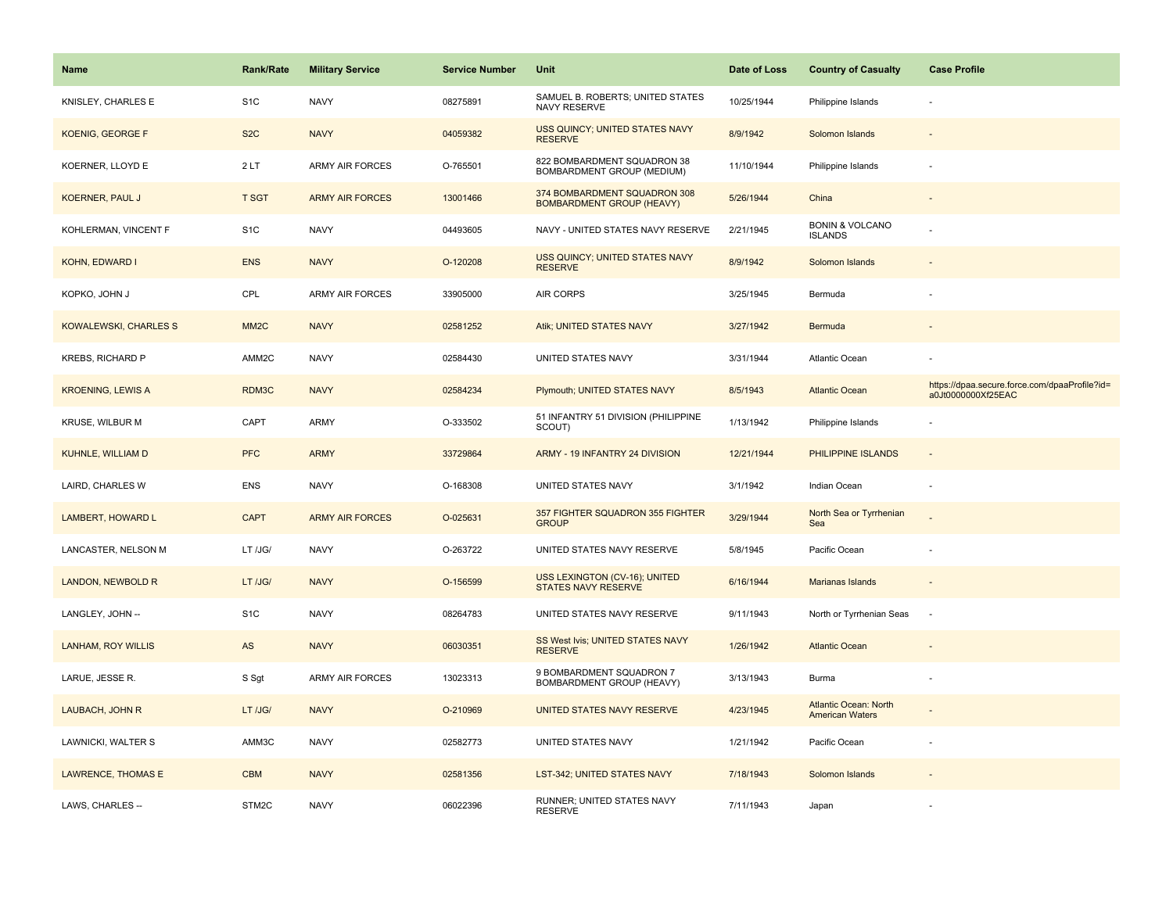| <b>Name</b>                  | Rank/Rate         | <b>Military Service</b> | <b>Service Number</b> | Unit                                                               | Date of Loss | <b>Country of Casualty</b>                             | <b>Case Profile</b>                                                 |
|------------------------------|-------------------|-------------------------|-----------------------|--------------------------------------------------------------------|--------------|--------------------------------------------------------|---------------------------------------------------------------------|
| KNISLEY, CHARLES E           | S <sub>1</sub> C  | <b>NAVY</b>             | 08275891              | SAMUEL B. ROBERTS; UNITED STATES<br>NAVY RESERVE                   | 10/25/1944   | Philippine Islands                                     |                                                                     |
| KOENIG, GEORGE F             | S <sub>2</sub> C  | <b>NAVY</b>             | 04059382              | USS QUINCY; UNITED STATES NAVY<br><b>RESERVE</b>                   | 8/9/1942     | Solomon Islands                                        |                                                                     |
| KOERNER, LLOYD E             | 2LT               | <b>ARMY AIR FORCES</b>  | O-765501              | 822 BOMBARDMENT SQUADRON 38<br>BOMBARDMENT GROUP (MEDIUM)          | 11/10/1944   | Philippine Islands                                     |                                                                     |
| <b>KOERNER, PAUL J</b>       | <b>T SGT</b>      | <b>ARMY AIR FORCES</b>  | 13001466              | 374 BOMBARDMENT SQUADRON 308<br><b>BOMBARDMENT GROUP (HEAVY)</b>   | 5/26/1944    | China                                                  |                                                                     |
| KOHLERMAN, VINCENT F         | S <sub>1</sub> C  | <b>NAVY</b>             | 04493605              | NAVY - UNITED STATES NAVY RESERVE                                  | 2/21/1945    | <b>BONIN &amp; VOLCANO</b><br><b>ISLANDS</b>           |                                                                     |
| <b>KOHN, EDWARD I</b>        | <b>ENS</b>        | <b>NAVY</b>             | O-120208              | USS QUINCY; UNITED STATES NAVY<br><b>RESERVE</b>                   | 8/9/1942     | Solomon Islands                                        |                                                                     |
| KOPKO, JOHN J                | CPL               | ARMY AIR FORCES         | 33905000              | AIR CORPS                                                          | 3/25/1945    | Bermuda                                                |                                                                     |
| <b>KOWALEWSKI, CHARLES S</b> | MM <sub>2</sub> C | <b>NAVY</b>             | 02581252              | Atik; UNITED STATES NAVY                                           | 3/27/1942    | Bermuda                                                |                                                                     |
| KREBS, RICHARD P             | AMM2C             | <b>NAVY</b>             | 02584430              | UNITED STATES NAVY                                                 | 3/31/1944    | Atlantic Ocean                                         |                                                                     |
| <b>KROENING, LEWIS A</b>     | RDM3C             | <b>NAVY</b>             | 02584234              | Plymouth; UNITED STATES NAVY                                       | 8/5/1943     | <b>Atlantic Ocean</b>                                  | https://dpaa.secure.force.com/dpaaProfile?id=<br>a0Jt0000000Xf25EAC |
| <b>KRUSE, WILBUR M</b>       | CAPT              | ARMY                    | O-333502              | 51 INFANTRY 51 DIVISION (PHILIPPINE<br>SCOUT)                      | 1/13/1942    | Philippine Islands                                     |                                                                     |
| KUHNLE, WILLIAM D            | <b>PFC</b>        | <b>ARMY</b>             | 33729864              | ARMY - 19 INFANTRY 24 DIVISION                                     | 12/21/1944   | PHILIPPINE ISLANDS                                     | $\overline{\phantom{a}}$                                            |
| LAIRD, CHARLES W             | ENS               | <b>NAVY</b>             | O-168308              | UNITED STATES NAVY                                                 | 3/1/1942     | Indian Ocean                                           | ÷,                                                                  |
| LAMBERT, HOWARD L            | <b>CAPT</b>       | <b>ARMY AIR FORCES</b>  | O-025631              | 357 FIGHTER SQUADRON 355 FIGHTER<br><b>GROUP</b>                   | 3/29/1944    | North Sea or Tyrrhenian<br>Sea                         |                                                                     |
| LANCASTER, NELSON M          | LT /JG/           | <b>NAVY</b>             | O-263722              | UNITED STATES NAVY RESERVE                                         | 5/8/1945     | Pacific Ocean                                          |                                                                     |
| LANDON, NEWBOLD R            | LT /JG/           | <b>NAVY</b>             | O-156599              | <b>USS LEXINGTON (CV-16); UNITED</b><br><b>STATES NAVY RESERVE</b> | 6/16/1944    | Marianas Islands                                       |                                                                     |
| LANGLEY, JOHN --             | S <sub>1</sub> C  | <b>NAVY</b>             | 08264783              | UNITED STATES NAVY RESERVE                                         | 9/11/1943    | North or Tyrrhenian Seas                               | ٠.                                                                  |
| <b>LANHAM, ROY WILLIS</b>    | AS                | <b>NAVY</b>             | 06030351              | SS West Ivis; UNITED STATES NAVY<br><b>RESERVE</b>                 | 1/26/1942    | <b>Atlantic Ocean</b>                                  |                                                                     |
| LARUE, JESSE R.              | S Sgt             | <b>ARMY AIR FORCES</b>  | 13023313              | 9 BOMBARDMENT SQUADRON 7<br>BOMBARDMENT GROUP (HEAVY)              | 3/13/1943    | Burma                                                  | ÷,                                                                  |
| LAUBACH, JOHN R              | LT /JG/           | <b>NAVY</b>             | O-210969              | <b>UNITED STATES NAVY RESERVE</b>                                  | 4/23/1945    | <b>Atlantic Ocean: North</b><br><b>American Waters</b> |                                                                     |
| LAWNICKI, WALTER S           | AMM3C             | <b>NAVY</b>             | 02582773              | UNITED STATES NAVY                                                 | 1/21/1942    | Pacific Ocean                                          |                                                                     |
| <b>LAWRENCE, THOMAS E</b>    | <b>CBM</b>        | <b>NAVY</b>             | 02581356              | <b>LST-342; UNITED STATES NAVY</b>                                 | 7/18/1943    | Solomon Islands                                        |                                                                     |
| LAWS, CHARLES --             | STM2C             | <b>NAVY</b>             | 06022396              | RUNNER; UNITED STATES NAVY<br><b>RESERVE</b>                       | 7/11/1943    | Japan                                                  |                                                                     |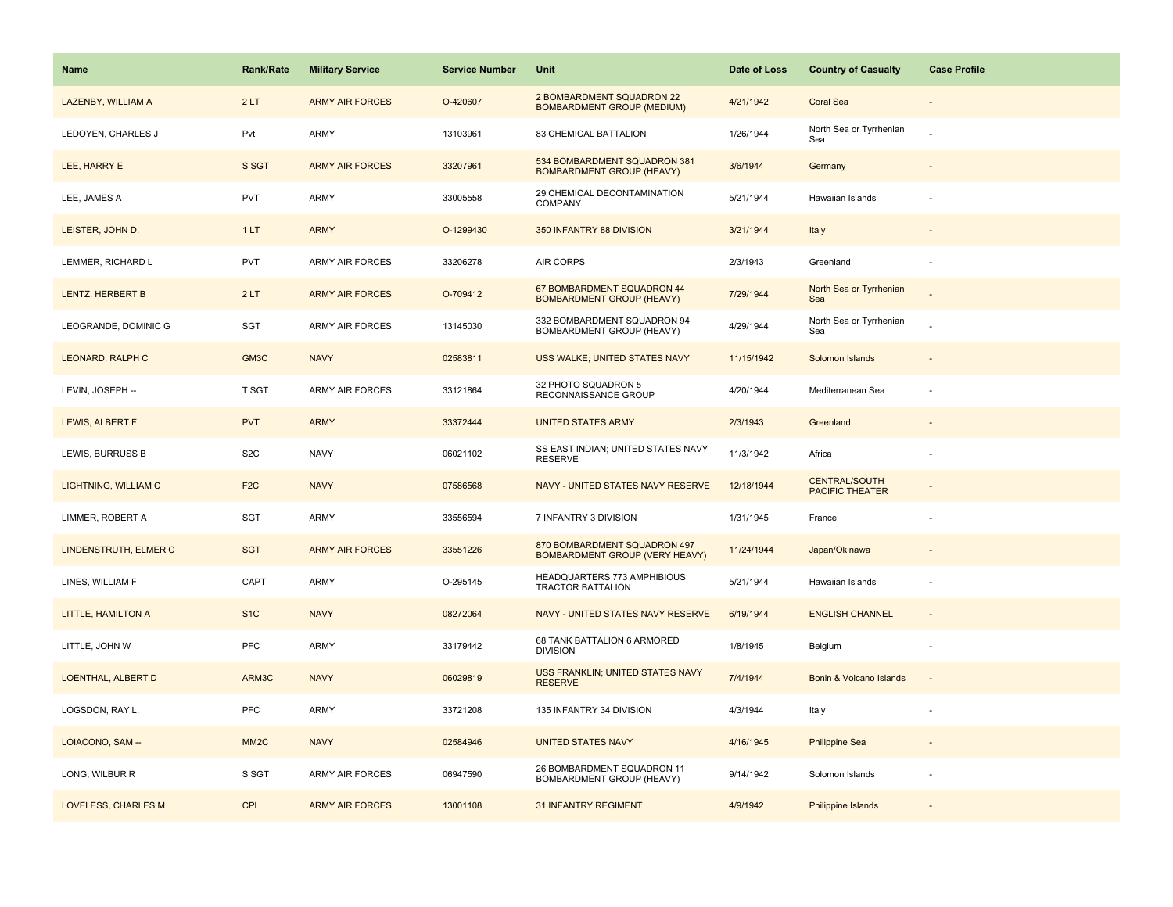| <b>Name</b>                 | Rank/Rate         | <b>Military Service</b> | <b>Service Number</b> | Unit                                                                  | Date of Loss | <b>Country of Casualty</b>                     | <b>Case Profile</b> |
|-----------------------------|-------------------|-------------------------|-----------------------|-----------------------------------------------------------------------|--------------|------------------------------------------------|---------------------|
| LAZENBY, WILLIAM A          | 2LT               | <b>ARMY AIR FORCES</b>  | O-420607              | 2 BOMBARDMENT SQUADRON 22<br><b>BOMBARDMENT GROUP (MEDIUM)</b>        | 4/21/1942    | <b>Coral Sea</b>                               |                     |
| LEDOYEN, CHARLES J          | Pvt               | ARMY                    | 13103961              | 83 CHEMICAL BATTALION                                                 | 1/26/1944    | North Sea or Tyrrhenian<br>Sea                 |                     |
| LEE, HARRY E                | S SGT             | <b>ARMY AIR FORCES</b>  | 33207961              | 534 BOMBARDMENT SQUADRON 381<br><b>BOMBARDMENT GROUP (HEAVY)</b>      | 3/6/1944     | Germany                                        |                     |
| LEE, JAMES A                | <b>PVT</b>        | ARMY                    | 33005558              | 29 CHEMICAL DECONTAMINATION<br>COMPANY                                | 5/21/1944    | Hawaiian Islands                               |                     |
| LEISTER, JOHN D.            | 1LT               | <b>ARMY</b>             | O-1299430             | 350 INFANTRY 88 DIVISION                                              | 3/21/1944    | Italy                                          |                     |
| LEMMER, RICHARD L           | PVT               | <b>ARMY AIR FORCES</b>  | 33206278              | AIR CORPS                                                             | 2/3/1943     | Greenland                                      | ÷,                  |
| LENTZ, HERBERT B            | 2LT               | <b>ARMY AIR FORCES</b>  | O-709412              | 67 BOMBARDMENT SQUADRON 44<br><b>BOMBARDMENT GROUP (HEAVY)</b>        | 7/29/1944    | North Sea or Tyrrhenian<br>Sea                 |                     |
| LEOGRANDE, DOMINIC G        | SGT               | <b>ARMY AIR FORCES</b>  | 13145030              | 332 BOMBARDMENT SQUADRON 94<br>BOMBARDMENT GROUP (HEAVY)              | 4/29/1944    | North Sea or Tyrrhenian<br>Sea                 |                     |
| LEONARD, RALPH C            | GM3C              | <b>NAVY</b>             | 02583811              | USS WALKE; UNITED STATES NAVY                                         | 11/15/1942   | Solomon Islands                                |                     |
| LEVIN, JOSEPH --            | T SGT             | <b>ARMY AIR FORCES</b>  | 33121864              | 32 PHOTO SQUADRON 5<br>RECONNAISSANCE GROUP                           | 4/20/1944    | Mediterranean Sea                              | ÷,                  |
| LEWIS, ALBERT F             | <b>PVT</b>        | <b>ARMY</b>             | 33372444              | <b>UNITED STATES ARMY</b>                                             | 2/3/1943     | Greenland                                      |                     |
| LEWIS, BURRUSS B            | S <sub>2</sub> C  | <b>NAVY</b>             | 06021102              | SS EAST INDIAN; UNITED STATES NAVY<br><b>RESERVE</b>                  | 11/3/1942    | Africa                                         |                     |
| <b>LIGHTNING, WILLIAM C</b> | F <sub>2C</sub>   | <b>NAVY</b>             | 07586568              | NAVY - UNITED STATES NAVY RESERVE                                     | 12/18/1944   | <b>CENTRAL/SOUTH</b><br><b>PACIFIC THEATER</b> |                     |
| LIMMER, ROBERT A            | SGT               | <b>ARMY</b>             | 33556594              | 7 INFANTRY 3 DIVISION                                                 | 1/31/1945    | France                                         |                     |
| LINDENSTRUTH, ELMER C       | <b>SGT</b>        | <b>ARMY AIR FORCES</b>  | 33551226              | 870 BOMBARDMENT SQUADRON 497<br><b>BOMBARDMENT GROUP (VERY HEAVY)</b> | 11/24/1944   | Japan/Okinawa                                  |                     |
| LINES, WILLIAM F            | CAPT              | ARMY                    | O-295145              | HEADQUARTERS 773 AMPHIBIOUS<br>TRACTOR BATTALION                      | 5/21/1944    | Hawaiian Islands                               |                     |
| LITTLE, HAMILTON A          | S <sub>1</sub> C  | <b>NAVY</b>             | 08272064              | NAVY - UNITED STATES NAVY RESERVE                                     | 6/19/1944    | <b>ENGLISH CHANNEL</b>                         | $\sim$              |
| LITTLE, JOHN W              | PFC               | ARMY                    | 33179442              | 68 TANK BATTALION 6 ARMORED<br><b>DIVISION</b>                        | 1/8/1945     | Belgium                                        | ÷,                  |
| LOENTHAL, ALBERT D          | ARM3C             | <b>NAVY</b>             | 06029819              | USS FRANKLIN; UNITED STATES NAVY<br><b>RESERVE</b>                    | 7/4/1944     | Bonin & Volcano Islands                        |                     |
| LOGSDON, RAY L.             | <b>PFC</b>        | <b>ARMY</b>             | 33721208              | 135 INFANTRY 34 DIVISION                                              | 4/3/1944     | Italy                                          |                     |
| LOIACONO, SAM --            | MM <sub>2</sub> C | <b>NAVY</b>             | 02584946              | <b>UNITED STATES NAVY</b>                                             | 4/16/1945    | <b>Philippine Sea</b>                          |                     |
| LONG, WILBUR R              | S SGT             | ARMY AIR FORCES         | 06947590              | 26 BOMBARDMENT SQUADRON 11<br>BOMBARDMENT GROUP (HEAVY)               | 9/14/1942    | Solomon Islands                                |                     |
| LOVELESS, CHARLES M         | <b>CPL</b>        | <b>ARMY AIR FORCES</b>  | 13001108              | <b>31 INFANTRY REGIMENT</b>                                           | 4/9/1942     | Philippine Islands                             |                     |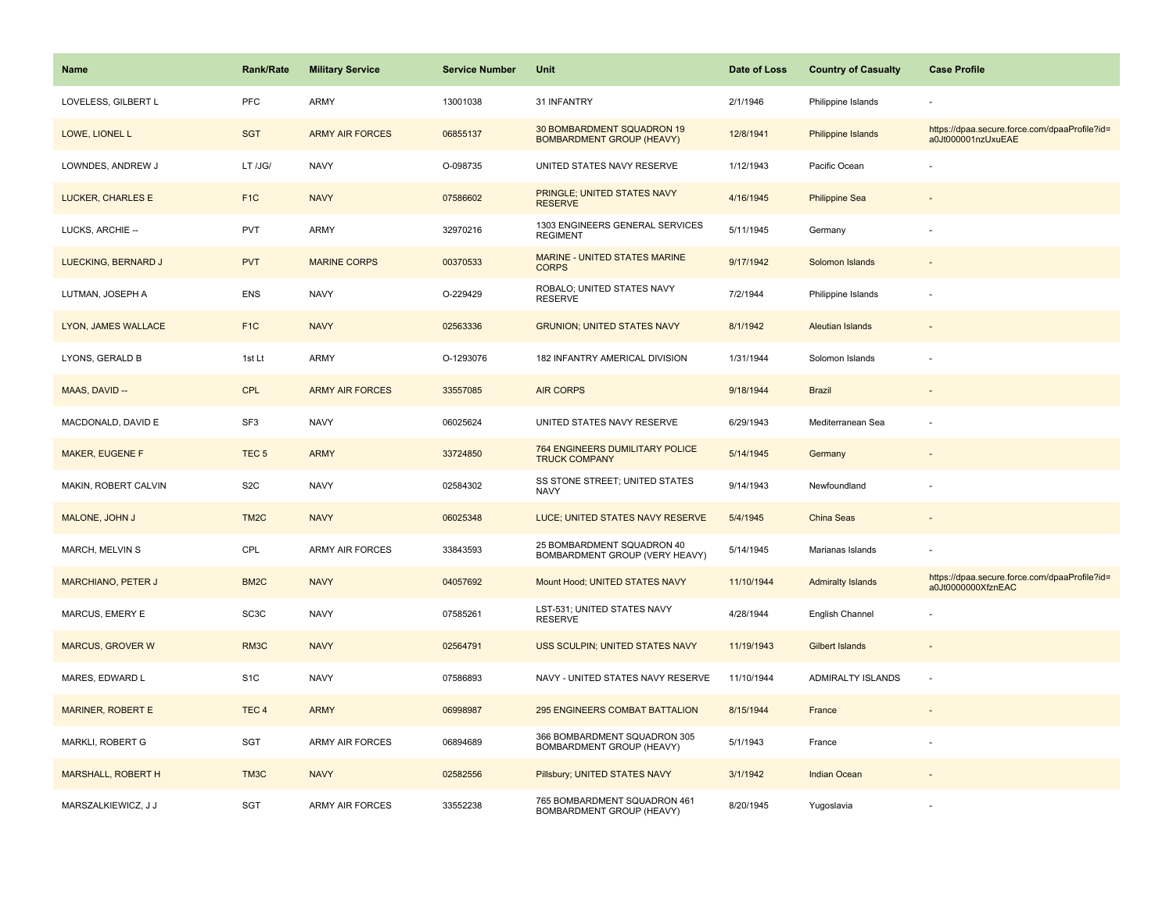| Name                      | <b>Rank/Rate</b>  | <b>Military Service</b> | <b>Service Number</b> | Unit                                                           | Date of Loss | <b>Country of Casualty</b> | <b>Case Profile</b>                                                 |
|---------------------------|-------------------|-------------------------|-----------------------|----------------------------------------------------------------|--------------|----------------------------|---------------------------------------------------------------------|
| LOVELESS, GILBERT L       | PFC               | <b>ARMY</b>             | 13001038              | 31 INFANTRY                                                    | 2/1/1946     | Philippine Islands         |                                                                     |
| LOWE, LIONEL L            | <b>SGT</b>        | <b>ARMY AIR FORCES</b>  | 06855137              | 30 BOMBARDMENT SQUADRON 19<br><b>BOMBARDMENT GROUP (HEAVY)</b> | 12/8/1941    | <b>Philippine Islands</b>  | https://dpaa.secure.force.com/dpaaProfile?id=<br>a0Jt000001nzUxuEAE |
| LOWNDES, ANDREW J         | LT /JG/           | <b>NAVY</b>             | O-098735              | UNITED STATES NAVY RESERVE                                     | 1/12/1943    | Pacific Ocean              |                                                                     |
| LUCKER, CHARLES E         | F <sub>1</sub> C  | <b>NAVY</b>             | 07586602              | PRINGLE; UNITED STATES NAVY<br><b>RESERVE</b>                  | 4/16/1945    | <b>Philippine Sea</b>      |                                                                     |
| LUCKS, ARCHIE --          | <b>PVT</b>        | <b>ARMY</b>             | 32970216              | 1303 ENGINEERS GENERAL SERVICES<br><b>REGIMENT</b>             | 5/11/1945    | Germany                    |                                                                     |
| LUECKING, BERNARD J       | <b>PVT</b>        | <b>MARINE CORPS</b>     | 00370533              | <b>MARINE - UNITED STATES MARINE</b><br><b>CORPS</b>           | 9/17/1942    | Solomon Islands            |                                                                     |
| LUTMAN, JOSEPH A          | ENS               | <b>NAVY</b>             | O-229429              | ROBALO; UNITED STATES NAVY<br><b>RESERVE</b>                   | 7/2/1944     | Philippine Islands         | $\overline{\phantom{a}}$                                            |
| LYON, JAMES WALLACE       | F <sub>1C</sub>   | <b>NAVY</b>             | 02563336              | <b>GRUNION; UNITED STATES NAVY</b>                             | 8/1/1942     | <b>Aleutian Islands</b>    |                                                                     |
| LYONS, GERALD B           | 1st Lt            | <b>ARMY</b>             | O-1293076             | 182 INFANTRY AMERICAL DIVISION                                 | 1/31/1944    | Solomon Islands            |                                                                     |
| MAAS, DAVID --            | <b>CPL</b>        | <b>ARMY AIR FORCES</b>  | 33557085              | <b>AIR CORPS</b>                                               | 9/18/1944    | <b>Brazil</b>              |                                                                     |
| MACDONALD, DAVID E        | SF <sub>3</sub>   | <b>NAVY</b>             | 06025624              | UNITED STATES NAVY RESERVE                                     | 6/29/1943    | Mediterranean Sea          |                                                                     |
| MAKER, EUGENE F           | TEC <sub>5</sub>  | <b>ARMY</b>             | 33724850              | 764 ENGINEERS DUMILITARY POLICE<br><b>TRUCK COMPANY</b>        | 5/14/1945    | Germany                    |                                                                     |
| MAKIN, ROBERT CALVIN      | S <sub>2</sub> C  | <b>NAVY</b>             | 02584302              | SS STONE STREET; UNITED STATES<br><b>NAVY</b>                  | 9/14/1943    | Newfoundland               |                                                                     |
| MALONE, JOHN J            | TM <sub>2</sub> C | <b>NAVY</b>             | 06025348              | LUCE; UNITED STATES NAVY RESERVE                               | 5/4/1945     | China Seas                 |                                                                     |
| MARCH, MELVIN S           | CPL               | ARMY AIR FORCES         | 33843593              | 25 BOMBARDMENT SQUADRON 40<br>BOMBARDMENT GROUP (VERY HEAVY)   | 5/14/1945    | Marianas Islands           |                                                                     |
| MARCHIANO, PETER J        | BM <sub>2</sub> C | <b>NAVY</b>             | 04057692              | Mount Hood; UNITED STATES NAVY                                 | 11/10/1944   | <b>Admiralty Islands</b>   | https://dpaa.secure.force.com/dpaaProfile?id=<br>a0Jt0000000XfznEAC |
| MARCUS, EMERY E           | SC <sub>3</sub> C | <b>NAVY</b>             | 07585261              | LST-531; UNITED STATES NAVY<br><b>RESERVE</b>                  | 4/28/1944    | English Channel            |                                                                     |
| <b>MARCUS, GROVER W</b>   | RM3C              | <b>NAVY</b>             | 02564791              | USS SCULPIN; UNITED STATES NAVY                                | 11/19/1943   | <b>Gilbert Islands</b>     |                                                                     |
| MARES, EDWARD L           | S <sub>1</sub> C  | <b>NAVY</b>             | 07586893              | NAVY - UNITED STATES NAVY RESERVE                              | 11/10/1944   | ADMIRALTY ISLANDS          | $\overline{\phantom{a}}$                                            |
| <b>MARINER, ROBERT E</b>  | TEC <sub>4</sub>  | <b>ARMY</b>             | 06998987              | 295 ENGINEERS COMBAT BATTALION                                 | 8/15/1944    | France                     |                                                                     |
| MARKLI, ROBERT G          | SGT               | <b>ARMY AIR FORCES</b>  | 06894689              | 366 BOMBARDMENT SQUADRON 305<br>BOMBARDMENT GROUP (HEAVY)      | 5/1/1943     | France                     |                                                                     |
| <b>MARSHALL, ROBERT H</b> | TM3C              | <b>NAVY</b>             | 02582556              | Pillsbury; UNITED STATES NAVY                                  | 3/1/1942     | Indian Ocean               |                                                                     |
| MARSZALKIEWICZ, J J       | <b>SGT</b>        | <b>ARMY AIR FORCES</b>  | 33552238              | 765 BOMBARDMENT SQUADRON 461<br>BOMBARDMENT GROUP (HEAVY)      | 8/20/1945    | Yugoslavia                 |                                                                     |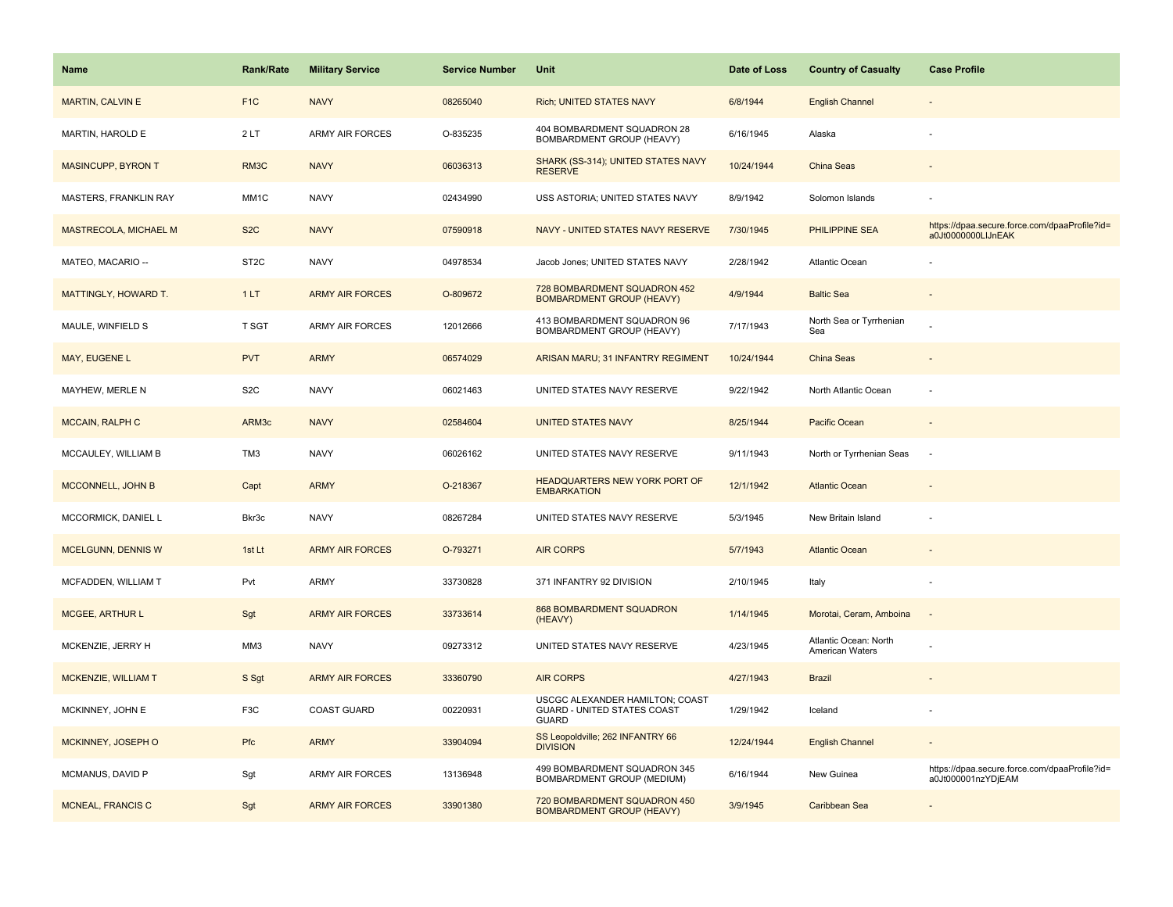| <b>Name</b>                  | <b>Rank/Rate</b>  | <b>Military Service</b> | <b>Service Number</b> | Unit                                                                           | Date of Loss | <b>Country of Casualty</b>               | <b>Case Profile</b>                                                 |
|------------------------------|-------------------|-------------------------|-----------------------|--------------------------------------------------------------------------------|--------------|------------------------------------------|---------------------------------------------------------------------|
| <b>MARTIN, CALVIN E</b>      | F <sub>1</sub> C  | <b>NAVY</b>             | 08265040              | <b>Rich; UNITED STATES NAVY</b>                                                | 6/8/1944     | <b>English Channel</b>                   |                                                                     |
| MARTIN, HAROLD E             | 2LT               | <b>ARMY AIR FORCES</b>  | O-835235              | 404 BOMBARDMENT SQUADRON 28<br>BOMBARDMENT GROUP (HEAVY)                       | 6/16/1945    | Alaska                                   |                                                                     |
| <b>MASINCUPP, BYRON T</b>    | RM3C              | <b>NAVY</b>             | 06036313              | SHARK (SS-314); UNITED STATES NAVY<br><b>RESERVE</b>                           | 10/24/1944   | China Seas                               |                                                                     |
| <b>MASTERS, FRANKLIN RAY</b> | MM1C              | <b>NAVY</b>             | 02434990              | USS ASTORIA; UNITED STATES NAVY                                                | 8/9/1942     | Solomon Islands                          |                                                                     |
| MASTRECOLA, MICHAEL M        | S <sub>2</sub> C  | <b>NAVY</b>             | 07590918              | NAVY - UNITED STATES NAVY RESERVE                                              | 7/30/1945    | <b>PHILIPPINE SEA</b>                    | https://dpaa.secure.force.com/dpaaProfile?id=<br>a0Jt0000000LIJnEAK |
| MATEO, MACARIO --            | ST <sub>2</sub> C | <b>NAVY</b>             | 04978534              | Jacob Jones; UNITED STATES NAVY                                                | 2/28/1942    | <b>Atlantic Ocean</b>                    |                                                                     |
| MATTINGLY, HOWARD T.         | 1LT               | <b>ARMY AIR FORCES</b>  | O-809672              | 728 BOMBARDMENT SQUADRON 452<br><b>BOMBARDMENT GROUP (HEAVY)</b>               | 4/9/1944     | <b>Baltic Sea</b>                        | $\overline{\phantom{a}}$                                            |
| MAULE, WINFIELD S            | T SGT             | <b>ARMY AIR FORCES</b>  | 12012666              | 413 BOMBARDMENT SQUADRON 96<br>BOMBARDMENT GROUP (HEAVY)                       | 7/17/1943    | North Sea or Tyrrhenian<br>Sea           |                                                                     |
| MAY, EUGENE L                | <b>PVT</b>        | <b>ARMY</b>             | 06574029              | ARISAN MARU; 31 INFANTRY REGIMENT                                              | 10/24/1944   | <b>China Seas</b>                        |                                                                     |
| MAYHEW, MERLE N              | S <sub>2</sub> C  | <b>NAVY</b>             | 06021463              | UNITED STATES NAVY RESERVE                                                     | 9/22/1942    | North Atlantic Ocean                     |                                                                     |
| <b>MCCAIN, RALPH C</b>       | ARM3c             | <b>NAVY</b>             | 02584604              | <b>UNITED STATES NAVY</b>                                                      | 8/25/1944    | Pacific Ocean                            |                                                                     |
| MCCAULEY, WILLIAM B          | TM3               | <b>NAVY</b>             | 06026162              | UNITED STATES NAVY RESERVE                                                     | 9/11/1943    | North or Tyrrhenian Seas                 | $\overline{\phantom{a}}$                                            |
| MCCONNELL, JOHN B            | Capt              | <b>ARMY</b>             | O-218367              | HEADQUARTERS NEW YORK PORT OF<br><b>EMBARKATION</b>                            | 12/1/1942    | <b>Atlantic Ocean</b>                    |                                                                     |
| MCCORMICK, DANIEL L          | Bkr3c             | <b>NAVY</b>             | 08267284              | UNITED STATES NAVY RESERVE                                                     | 5/3/1945     | New Britain Island                       |                                                                     |
| MCELGUNN, DENNIS W           | 1st Lt            | <b>ARMY AIR FORCES</b>  | O-793271              | <b>AIR CORPS</b>                                                               | 5/7/1943     | <b>Atlantic Ocean</b>                    |                                                                     |
| MCFADDEN, WILLIAM T          | Pvt               | <b>ARMY</b>             | 33730828              | 371 INFANTRY 92 DIVISION                                                       | 2/10/1945    | Italy                                    |                                                                     |
| <b>MCGEE, ARTHUR L</b>       | Sgt               | <b>ARMY AIR FORCES</b>  | 33733614              | 868 BOMBARDMENT SQUADRON<br>(HEAVY)                                            | 1/14/1945    | Morotai, Ceram, Amboina                  | $\overline{\phantom{a}}$                                            |
| MCKENZIE, JERRY H            | MM3               | <b>NAVY</b>             | 09273312              | UNITED STATES NAVY RESERVE                                                     | 4/23/1945    | Atlantic Ocean: North<br>American Waters |                                                                     |
| MCKENZIE, WILLIAM T          | S Sgt             | <b>ARMY AIR FORCES</b>  | 33360790              | <b>AIR CORPS</b>                                                               | 4/27/1943    | <b>Brazil</b>                            |                                                                     |
| MCKINNEY, JOHN E             | F <sub>3</sub> C  | <b>COAST GUARD</b>      | 00220931              | USCGC ALEXANDER HAMILTON; COAST<br>GUARD - UNITED STATES COAST<br><b>GUARD</b> | 1/29/1942    | Iceland                                  |                                                                     |
| MCKINNEY, JOSEPH O           | Pfc               | <b>ARMY</b>             | 33904094              | SS Leopoldville; 262 INFANTRY 66<br><b>DIVISION</b>                            | 12/24/1944   | <b>English Channel</b>                   |                                                                     |
| MCMANUS, DAVID P             | Sgt               | <b>ARMY AIR FORCES</b>  | 13136948              | 499 BOMBARDMENT SQUADRON 345<br>BOMBARDMENT GROUP (MEDIUM)                     | 6/16/1944    | New Guinea                               | https://dpaa.secure.force.com/dpaaProfile?id=<br>a0Jt000001nzYDjEAM |
| MCNEAL, FRANCIS C            | Sgt               | <b>ARMY AIR FORCES</b>  | 33901380              | 720 BOMBARDMENT SQUADRON 450<br><b>BOMBARDMENT GROUP (HEAVY)</b>               | 3/9/1945     | Caribbean Sea                            |                                                                     |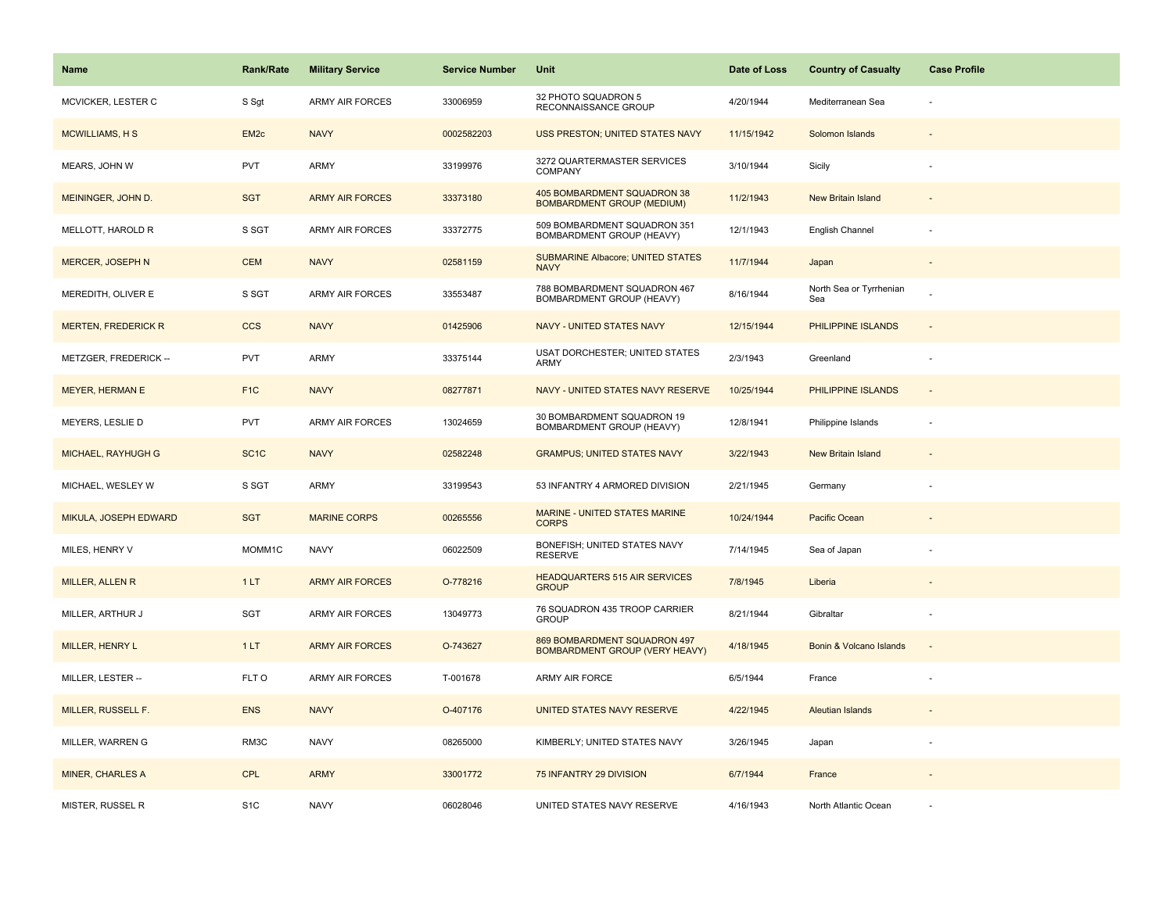| Name                         | <b>Rank/Rate</b>  | <b>Military Service</b> | <b>Service Number</b> | Unit                                                                  | Date of Loss | <b>Country of Casualty</b>     | <b>Case Profile</b>      |
|------------------------------|-------------------|-------------------------|-----------------------|-----------------------------------------------------------------------|--------------|--------------------------------|--------------------------|
| MCVICKER, LESTER C           | S Sgt             | <b>ARMY AIR FORCES</b>  | 33006959              | 32 PHOTO SQUADRON 5<br>RECONNAISSANCE GROUP                           | 4/20/1944    | Mediterranean Sea              |                          |
| <b>MCWILLIAMS, HS</b>        | EM <sub>2c</sub>  | <b>NAVY</b>             | 0002582203            | USS PRESTON; UNITED STATES NAVY                                       | 11/15/1942   | Solomon Islands                |                          |
| MEARS, JOHN W                | <b>PVT</b>        | <b>ARMY</b>             | 33199976              | 3272 QUARTERMASTER SERVICES<br>COMPANY                                | 3/10/1944    | Sicily                         |                          |
| MEININGER, JOHN D.           | <b>SGT</b>        | <b>ARMY AIR FORCES</b>  | 33373180              | 405 BOMBARDMENT SQUADRON 38<br><b>BOMBARDMENT GROUP (MEDIUM)</b>      | 11/2/1943    | <b>New Britain Island</b>      |                          |
| MELLOTT, HAROLD R            | S SGT             | <b>ARMY AIR FORCES</b>  | 33372775              | 509 BOMBARDMENT SQUADRON 351<br>BOMBARDMENT GROUP (HEAVY)             | 12/1/1943    | English Channel                |                          |
| MERCER, JOSEPH N             | <b>CEM</b>        | <b>NAVY</b>             | 02581159              | <b>SUBMARINE Albacore; UNITED STATES</b><br><b>NAVY</b>               | 11/7/1944    | Japan                          | $\overline{\phantom{a}}$ |
| MEREDITH, OLIVER E           | S SGT             | ARMY AIR FORCES         | 33553487              | 788 BOMBARDMENT SQUADRON 467<br>BOMBARDMENT GROUP (HEAVY)             | 8/16/1944    | North Sea or Tyrrhenian<br>Sea |                          |
| <b>MERTEN, FREDERICK R</b>   | <b>CCS</b>        | <b>NAVY</b>             | 01425906              | NAVY - UNITED STATES NAVY                                             | 12/15/1944   | PHILIPPINE ISLANDS             | $\overline{\phantom{a}}$ |
| METZGER, FREDERICK --        | PVT               | <b>ARMY</b>             | 33375144              | USAT DORCHESTER; UNITED STATES<br>ARMY                                | 2/3/1943     | Greenland                      | $\overline{\phantom{a}}$ |
| <b>MEYER, HERMAN E</b>       | F <sub>1</sub> C  | <b>NAVY</b>             | 08277871              | NAVY - UNITED STATES NAVY RESERVE                                     | 10/25/1944   | PHILIPPINE ISLANDS             |                          |
| MEYERS, LESLIE D             | PVT               | <b>ARMY AIR FORCES</b>  | 13024659              | 30 BOMBARDMENT SQUADRON 19<br><b>BOMBARDMENT GROUP (HEAVY)</b>        | 12/8/1941    | Philippine Islands             |                          |
| MICHAEL, RAYHUGH G           | SC <sub>1</sub> C | <b>NAVY</b>             | 02582248              | <b>GRAMPUS; UNITED STATES NAVY</b>                                    | 3/22/1943    | <b>New Britain Island</b>      | $\overline{\phantom{a}}$ |
| MICHAEL, WESLEY W            | S SGT             | ARMY                    | 33199543              | 53 INFANTRY 4 ARMORED DIVISION                                        | 2/21/1945    | Germany                        |                          |
| <b>MIKULA, JOSEPH EDWARD</b> | <b>SGT</b>        | <b>MARINE CORPS</b>     | 00265556              | MARINE - UNITED STATES MARINE<br><b>CORPS</b>                         | 10/24/1944   | Pacific Ocean                  |                          |
| MILES, HENRY V               | MOMM1C            | <b>NAVY</b>             | 06022509              | BONEFISH; UNITED STATES NAVY<br><b>RESERVE</b>                        | 7/14/1945    | Sea of Japan                   |                          |
| MILLER, ALLEN R              | 1LT               | <b>ARMY AIR FORCES</b>  | O-778216              | <b>HEADQUARTERS 515 AIR SERVICES</b><br><b>GROUP</b>                  | 7/8/1945     | Liberia                        |                          |
| MILLER, ARTHUR J             | SGT               | <b>ARMY AIR FORCES</b>  | 13049773              | 76 SQUADRON 435 TROOP CARRIER<br><b>GROUP</b>                         | 8/21/1944    | Gibraltar                      |                          |
| MILLER, HENRY L              | 1LT               | <b>ARMY AIR FORCES</b>  | O-743627              | 869 BOMBARDMENT SQUADRON 497<br><b>BOMBARDMENT GROUP (VERY HEAVY)</b> | 4/18/1945    | Bonin & Volcano Islands        | $\overline{a}$           |
| MILLER, LESTER --            | FLT O             | <b>ARMY AIR FORCES</b>  | T-001678              | <b>ARMY AIR FORCE</b>                                                 | 6/5/1944     | France                         | $\overline{\phantom{a}}$ |
| MILLER, RUSSELL F.           | <b>ENS</b>        | <b>NAVY</b>             | O-407176              | UNITED STATES NAVY RESERVE                                            | 4/22/1945    | <b>Aleutian Islands</b>        |                          |
| MILLER, WARREN G             | RM3C              | <b>NAVY</b>             | 08265000              | KIMBERLY; UNITED STATES NAVY                                          | 3/26/1945    | Japan                          |                          |
| <b>MINER, CHARLES A</b>      | <b>CPL</b>        | <b>ARMY</b>             | 33001772              | 75 INFANTRY 29 DIVISION                                               | 6/7/1944     | France                         |                          |
| MISTER, RUSSEL R             | S <sub>1</sub> C  | <b>NAVY</b>             | 06028046              | UNITED STATES NAVY RESERVE                                            | 4/16/1943    | North Atlantic Ocean           |                          |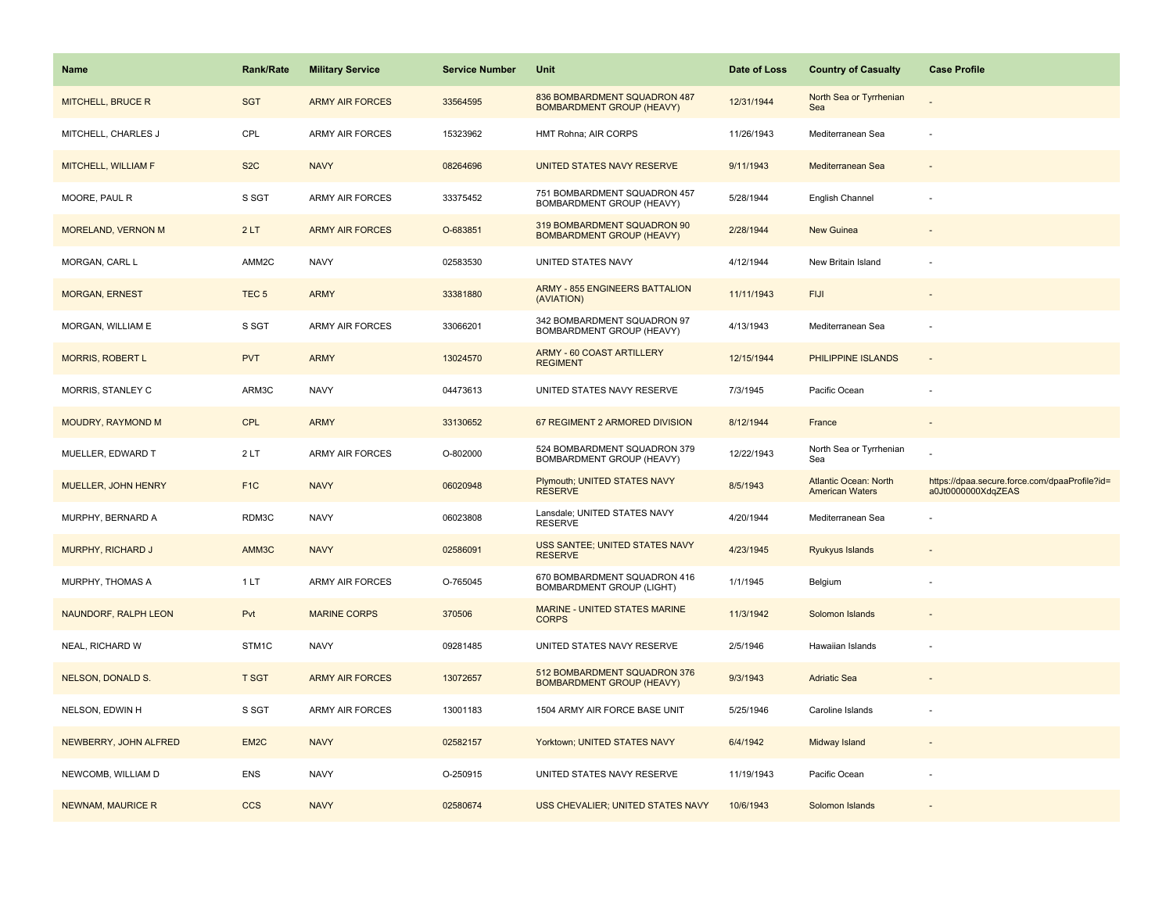| <b>Name</b>               | <b>Rank/Rate</b> | <b>Military Service</b> | <b>Service Number</b> | Unit                                                             | Date of Loss | <b>Country of Casualty</b>                             | <b>Case Profile</b>                                                 |
|---------------------------|------------------|-------------------------|-----------------------|------------------------------------------------------------------|--------------|--------------------------------------------------------|---------------------------------------------------------------------|
| <b>MITCHELL, BRUCE R</b>  | <b>SGT</b>       | <b>ARMY AIR FORCES</b>  | 33564595              | 836 BOMBARDMENT SQUADRON 487<br><b>BOMBARDMENT GROUP (HEAVY)</b> | 12/31/1944   | North Sea or Tyrrhenian<br>Sea                         |                                                                     |
| MITCHELL, CHARLES J       | CPL              | <b>ARMY AIR FORCES</b>  | 15323962              | HMT Rohna; AIR CORPS                                             | 11/26/1943   | Mediterranean Sea                                      |                                                                     |
| MITCHELL, WILLIAM F       | S <sub>2</sub> C | <b>NAVY</b>             | 08264696              | UNITED STATES NAVY RESERVE                                       | 9/11/1943    | Mediterranean Sea                                      |                                                                     |
| MOORE, PAUL R             | S SGT            | <b>ARMY AIR FORCES</b>  | 33375452              | 751 BOMBARDMENT SQUADRON 457<br>BOMBARDMENT GROUP (HEAVY)        | 5/28/1944    | English Channel                                        |                                                                     |
| <b>MORELAND, VERNON M</b> | 2LT              | <b>ARMY AIR FORCES</b>  | O-683851              | 319 BOMBARDMENT SQUADRON 90<br><b>BOMBARDMENT GROUP (HEAVY)</b>  | 2/28/1944    | New Guinea                                             |                                                                     |
| MORGAN, CARL L            | AMM2C            | <b>NAVY</b>             | 02583530              | UNITED STATES NAVY                                               | 4/12/1944    | New Britain Island                                     |                                                                     |
| <b>MORGAN, ERNEST</b>     | TEC <sub>5</sub> | <b>ARMY</b>             | 33381880              | <b>ARMY - 855 ENGINEERS BATTALION</b><br>(AVIATION)              | 11/11/1943   | <b>FIJI</b>                                            |                                                                     |
| MORGAN, WILLIAM E         | S SGT            | <b>ARMY AIR FORCES</b>  | 33066201              | 342 BOMBARDMENT SQUADRON 97<br>BOMBARDMENT GROUP (HEAVY)         | 4/13/1943    | Mediterranean Sea                                      |                                                                     |
| <b>MORRIS, ROBERT L</b>   | <b>PVT</b>       | <b>ARMY</b>             | 13024570              | <b>ARMY - 60 COAST ARTILLERY</b><br><b>REGIMENT</b>              | 12/15/1944   | <b>PHILIPPINE ISLANDS</b>                              |                                                                     |
| MORRIS, STANLEY C         | ARM3C            | <b>NAVY</b>             | 04473613              | UNITED STATES NAVY RESERVE                                       | 7/3/1945     | Pacific Ocean                                          |                                                                     |
| MOUDRY, RAYMOND M         | <b>CPL</b>       | <b>ARMY</b>             | 33130652              | 67 REGIMENT 2 ARMORED DIVISION                                   | 8/12/1944    | France                                                 |                                                                     |
| MUELLER, EDWARD T         | 2LT              | ARMY AIR FORCES         | O-802000              | 524 BOMBARDMENT SQUADRON 379<br>BOMBARDMENT GROUP (HEAVY)        | 12/22/1943   | North Sea or Tyrrhenian<br>Sea                         |                                                                     |
| MUELLER, JOHN HENRY       | F <sub>1C</sub>  | <b>NAVY</b>             | 06020948              | Plymouth; UNITED STATES NAVY<br><b>RESERVE</b>                   | 8/5/1943     | <b>Atlantic Ocean: North</b><br><b>American Waters</b> | https://dpaa.secure.force.com/dpaaProfile?id=<br>a0Jt0000000XdqZEAS |
| MURPHY, BERNARD A         | RDM3C            | <b>NAVY</b>             | 06023808              | Lansdale; UNITED STATES NAVY<br><b>RESERVE</b>                   | 4/20/1944    | Mediterranean Sea                                      |                                                                     |
| MURPHY, RICHARD J         | AMM3C            | <b>NAVY</b>             | 02586091              | USS SANTEE; UNITED STATES NAVY<br><b>RESERVE</b>                 | 4/23/1945    | Ryukyus Islands                                        |                                                                     |
| MURPHY, THOMAS A          | 1LT              | ARMY AIR FORCES         | O-765045              | 670 BOMBARDMENT SQUADRON 416<br><b>BOMBARDMENT GROUP (LIGHT)</b> | 1/1/1945     | Belgium                                                |                                                                     |
| NAUNDORF, RALPH LEON      | Pvt              | <b>MARINE CORPS</b>     | 370506                | MARINE - UNITED STATES MARINE<br><b>CORPS</b>                    | 11/3/1942    | Solomon Islands                                        |                                                                     |
| NEAL, RICHARD W           | STM1C            | <b>NAVY</b>             | 09281485              | UNITED STATES NAVY RESERVE                                       | 2/5/1946     | Hawaiian Islands                                       |                                                                     |
| <b>NELSON, DONALD S.</b>  | <b>T SGT</b>     | <b>ARMY AIR FORCES</b>  | 13072657              | 512 BOMBARDMENT SQUADRON 376<br><b>BOMBARDMENT GROUP (HEAVY)</b> | 9/3/1943     | <b>Adriatic Sea</b>                                    |                                                                     |
| NELSON, EDWIN H           | S SGT            | ARMY AIR FORCES         | 13001183              | 1504 ARMY AIR FORCE BASE UNIT                                    | 5/25/1946    | Caroline Islands                                       |                                                                     |
| NEWBERRY, JOHN ALFRED     | EM2C             | <b>NAVY</b>             | 02582157              | Yorktown; UNITED STATES NAVY                                     | 6/4/1942     | Midway Island                                          |                                                                     |
| NEWCOMB, WILLIAM D        | ENS              | <b>NAVY</b>             | O-250915              | UNITED STATES NAVY RESERVE                                       | 11/19/1943   | Pacific Ocean                                          |                                                                     |
| <b>NEWNAM, MAURICE R</b>  | <b>CCS</b>       | <b>NAVY</b>             | 02580674              | USS CHEVALIER; UNITED STATES NAVY                                | 10/6/1943    | Solomon Islands                                        |                                                                     |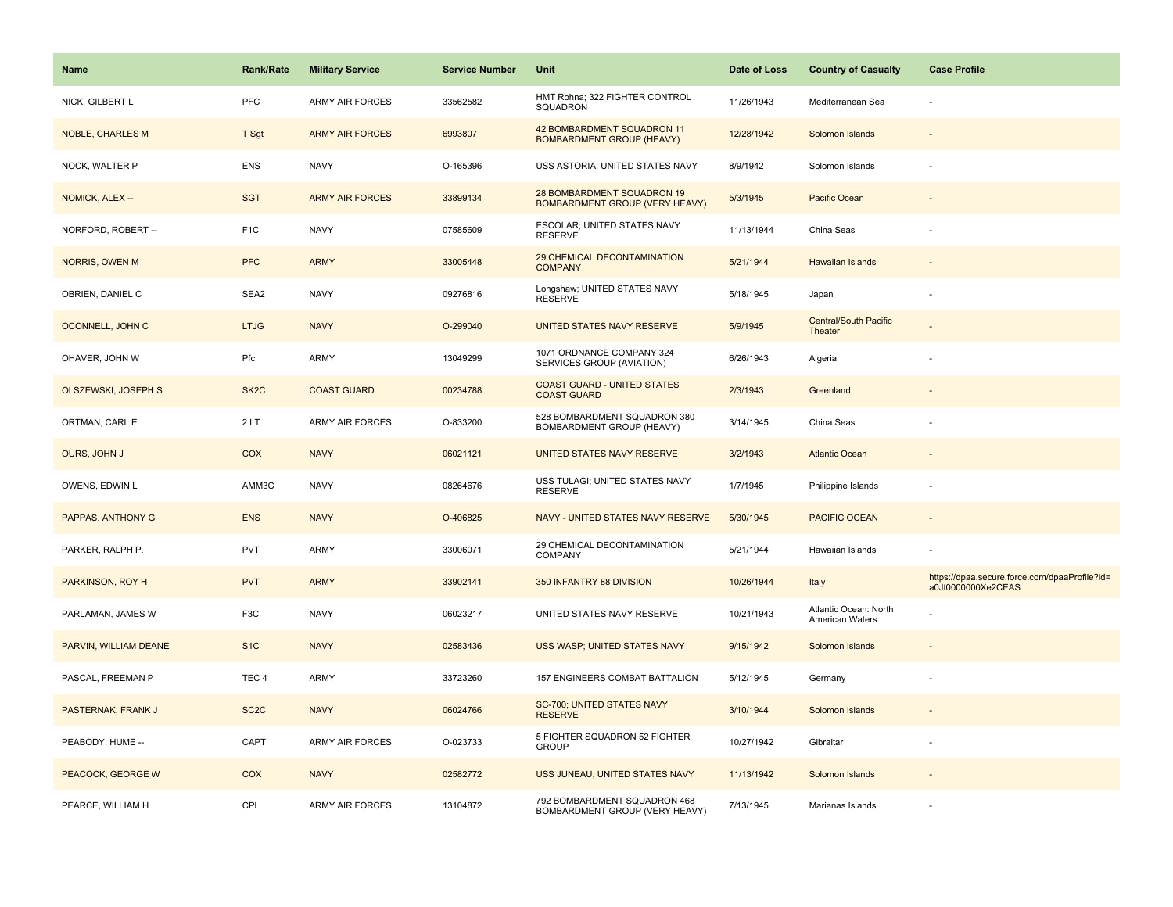| Name                       | <b>Rank/Rate</b>  | <b>Military Service</b> | <b>Service Number</b> | Unit                                                                | Date of Loss | <b>Country of Casualty</b>               | <b>Case Profile</b>                                                 |
|----------------------------|-------------------|-------------------------|-----------------------|---------------------------------------------------------------------|--------------|------------------------------------------|---------------------------------------------------------------------|
| NICK, GILBERT L            | PFC               | <b>ARMY AIR FORCES</b>  | 33562582              | HMT Rohna; 322 FIGHTER CONTROL<br>SQUADRON                          | 11/26/1943   | Mediterranean Sea                        |                                                                     |
| <b>NOBLE, CHARLES M</b>    | T Sgt             | <b>ARMY AIR FORCES</b>  | 6993807               | 42 BOMBARDMENT SQUADRON 11<br><b>BOMBARDMENT GROUP (HEAVY)</b>      | 12/28/1942   | Solomon Islands                          |                                                                     |
| NOCK, WALTER P             | <b>ENS</b>        | <b>NAVY</b>             | O-165396              | USS ASTORIA; UNITED STATES NAVY                                     | 8/9/1942     | Solomon Islands                          |                                                                     |
| NOMICK, ALEX --            | <b>SGT</b>        | <b>ARMY AIR FORCES</b>  | 33899134              | 28 BOMBARDMENT SQUADRON 19<br><b>BOMBARDMENT GROUP (VERY HEAVY)</b> | 5/3/1945     | Pacific Ocean                            |                                                                     |
| NORFORD, ROBERT --         | F <sub>1</sub> C  | <b>NAVY</b>             | 07585609              | ESCOLAR; UNITED STATES NAVY<br><b>RESERVE</b>                       | 11/13/1944   | China Seas                               |                                                                     |
| NORRIS, OWEN M             | <b>PFC</b>        | <b>ARMY</b>             | 33005448              | 29 CHEMICAL DECONTAMINATION<br><b>COMPANY</b>                       | 5/21/1944    | <b>Hawaiian Islands</b>                  |                                                                     |
| OBRIEN, DANIEL C           | SEA2              | <b>NAVY</b>             | 09276816              | Longshaw; UNITED STATES NAVY<br><b>RESERVE</b>                      | 5/18/1945    | Japan                                    |                                                                     |
| OCONNELL, JOHN C           | <b>LTJG</b>       | <b>NAVY</b>             | O-299040              | UNITED STATES NAVY RESERVE                                          | 5/9/1945     | Central/South Pacific<br>Theater         |                                                                     |
| OHAVER, JOHN W             | Pfc               | ARMY                    | 13049299              | 1071 ORDNANCE COMPANY 324<br>SERVICES GROUP (AVIATION)              | 6/26/1943    | Algeria                                  |                                                                     |
| <b>OLSZEWSKI, JOSEPH S</b> | SK <sub>2</sub> C | <b>COAST GUARD</b>      | 00234788              | <b>COAST GUARD - UNITED STATES</b><br><b>COAST GUARD</b>            | 2/3/1943     | Greenland                                |                                                                     |
| ORTMAN, CARL E             | 2LT               | <b>ARMY AIR FORCES</b>  | O-833200              | 528 BOMBARDMENT SQUADRON 380<br>BOMBARDMENT GROUP (HEAVY)           | 3/14/1945    | China Seas                               |                                                                     |
| OURS, JOHN J               | COX               | <b>NAVY</b>             | 06021121              | UNITED STATES NAVY RESERVE                                          | 3/2/1943     | <b>Atlantic Ocean</b>                    |                                                                     |
| OWENS, EDWIN L             | AMM3C             | <b>NAVY</b>             | 08264676              | USS TULAGI; UNITED STATES NAVY<br><b>RESERVE</b>                    | 1/7/1945     | Philippine Islands                       |                                                                     |
| PAPPAS, ANTHONY G          | <b>ENS</b>        | <b>NAVY</b>             | O-406825              | NAVY - UNITED STATES NAVY RESERVE                                   | 5/30/1945    | PACIFIC OCEAN                            |                                                                     |
| PARKER, RALPH P.           | <b>PVT</b>        | ARMY                    | 33006071              | 29 CHEMICAL DECONTAMINATION<br>COMPANY                              | 5/21/1944    | Hawaiian Islands                         |                                                                     |
| PARKINSON, ROY H           | <b>PVT</b>        | <b>ARMY</b>             | 33902141              | 350 INFANTRY 88 DIVISION                                            | 10/26/1944   | Italy                                    | https://dpaa.secure.force.com/dpaaProfile?id=<br>a0Jt0000000Xe2CEAS |
| PARLAMAN, JAMES W          | F <sub>3</sub> C  | <b>NAVY</b>             | 06023217              | UNITED STATES NAVY RESERVE                                          | 10/21/1943   | Atlantic Ocean: North<br>American Waters |                                                                     |
| PARVIN, WILLIAM DEANE      | S <sub>1</sub> C  | <b>NAVY</b>             | 02583436              | USS WASP; UNITED STATES NAVY                                        | 9/15/1942    | Solomon Islands                          |                                                                     |
| PASCAL, FREEMAN P          | TEC <sub>4</sub>  | ARMY                    | 33723260              | 157 ENGINEERS COMBAT BATTALION                                      | 5/12/1945    | Germany                                  |                                                                     |
| PASTERNAK, FRANK J         | SC <sub>2</sub> C | <b>NAVY</b>             | 06024766              | SC-700; UNITED STATES NAVY<br><b>RESERVE</b>                        | 3/10/1944    | Solomon Islands                          |                                                                     |
| PEABODY, HUME --           | CAPT              | ARMY AIR FORCES         | O-023733              | 5 FIGHTER SQUADRON 52 FIGHTER<br><b>GROUP</b>                       | 10/27/1942   | Gibraltar                                |                                                                     |
| PEACOCK, GEORGE W          | COX               | <b>NAVY</b>             | 02582772              | USS JUNEAU; UNITED STATES NAVY                                      | 11/13/1942   | Solomon Islands                          |                                                                     |
| PEARCE, WILLIAM H          | CPL               | <b>ARMY AIR FORCES</b>  | 13104872              | 792 BOMBARDMENT SQUADRON 468<br>BOMBARDMENT GROUP (VERY HEAVY)      | 7/13/1945    | Marianas Islands                         |                                                                     |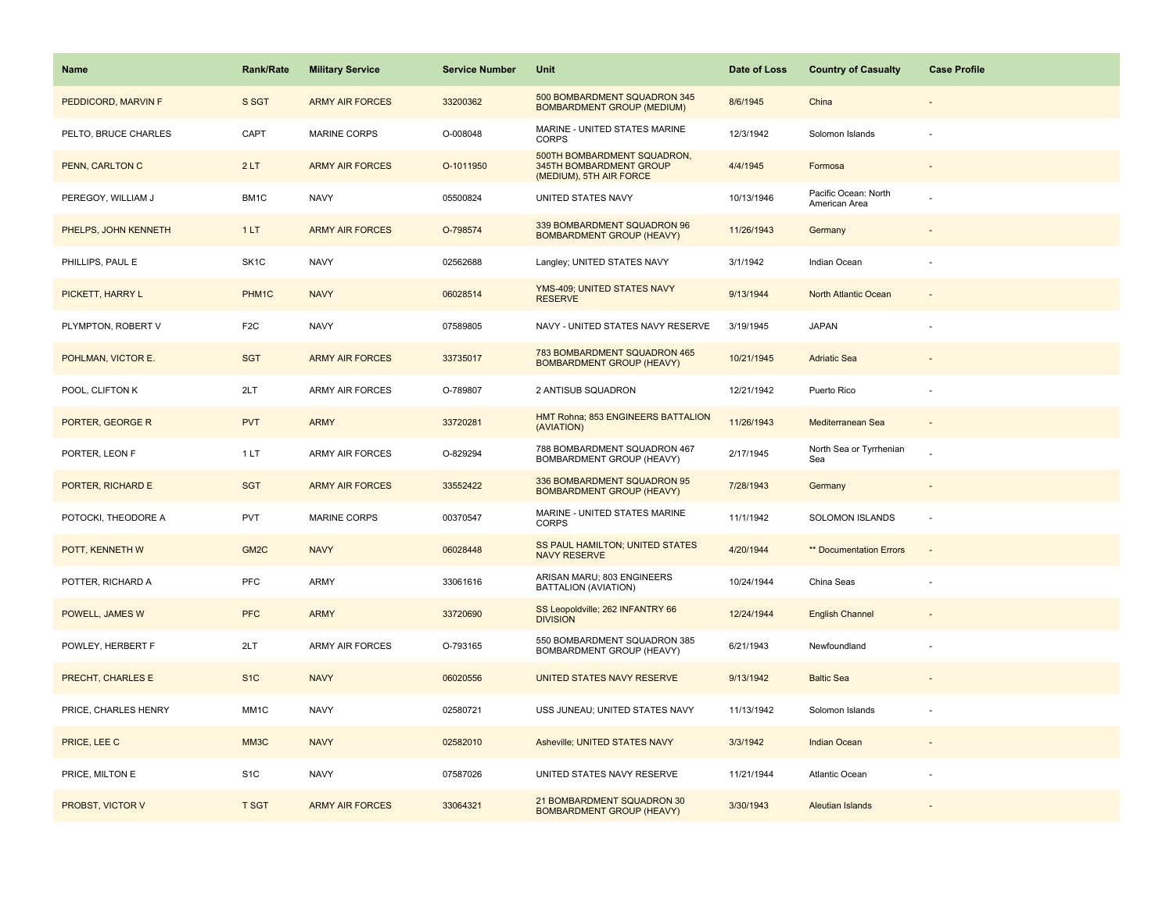| <b>Name</b>          | Rank/Rate         | <b>Military Service</b> | <b>Service Number</b> | Unit                                                                              | Date of Loss | <b>Country of Casualty</b>            | <b>Case Profile</b> |
|----------------------|-------------------|-------------------------|-----------------------|-----------------------------------------------------------------------------------|--------------|---------------------------------------|---------------------|
| PEDDICORD, MARVIN F  | S SGT             | <b>ARMY AIR FORCES</b>  | 33200362              | 500 BOMBARDMENT SQUADRON 345<br><b>BOMBARDMENT GROUP (MEDIUM)</b>                 | 8/6/1945     | China                                 |                     |
| PELTO, BRUCE CHARLES | CAPT              | <b>MARINE CORPS</b>     | O-008048              | MARINE - UNITED STATES MARINE<br><b>CORPS</b>                                     | 12/3/1942    | Solomon Islands                       |                     |
| PENN, CARLTON C      | 2LT               | <b>ARMY AIR FORCES</b>  | O-1011950             | 500TH BOMBARDMENT SQUADRON,<br>345TH BOMBARDMENT GROUP<br>(MEDIUM), 5TH AIR FORCE | 4/4/1945     | Formosa                               |                     |
| PEREGOY, WILLIAM J   | BM1C              | <b>NAVY</b>             | 05500824              | UNITED STATES NAVY                                                                | 10/13/1946   | Pacific Ocean: North<br>American Area |                     |
| PHELPS, JOHN KENNETH | 1LT               | <b>ARMY AIR FORCES</b>  | O-798574              | 339 BOMBARDMENT SQUADRON 96<br><b>BOMBARDMENT GROUP (HEAVY)</b>                   | 11/26/1943   | Germany                               |                     |
| PHILLIPS, PAUL E     | SK <sub>1</sub> C | <b>NAVY</b>             | 02562688              | Langley; UNITED STATES NAVY                                                       | 3/1/1942     | Indian Ocean                          |                     |
| PICKETT, HARRY L     | PHM1C             | <b>NAVY</b>             | 06028514              | YMS-409; UNITED STATES NAVY<br><b>RESERVE</b>                                     | 9/13/1944    | North Atlantic Ocean                  | $\sim$              |
| PLYMPTON, ROBERT V   | F <sub>2</sub> C  | <b>NAVY</b>             | 07589805              | NAVY - UNITED STATES NAVY RESERVE                                                 | 3/19/1945    | <b>JAPAN</b>                          |                     |
| POHLMAN, VICTOR E.   | <b>SGT</b>        | <b>ARMY AIR FORCES</b>  | 33735017              | 783 BOMBARDMENT SQUADRON 465<br><b>BOMBARDMENT GROUP (HEAVY)</b>                  | 10/21/1945   | <b>Adriatic Sea</b>                   |                     |
| POOL, CLIFTON K      | 2LT               | <b>ARMY AIR FORCES</b>  | O-789807              | 2 ANTISUB SQUADRON                                                                | 12/21/1942   | Puerto Rico                           |                     |
| PORTER, GEORGE R     | <b>PVT</b>        | <b>ARMY</b>             | 33720281              | HMT Rohna; 853 ENGINEERS BATTALION<br>(AVIATION)                                  | 11/26/1943   | Mediterranean Sea                     |                     |
| PORTER, LEON F       | 1LT               | <b>ARMY AIR FORCES</b>  | O-829294              | 788 BOMBARDMENT SQUADRON 467<br>BOMBARDMENT GROUP (HEAVY)                         | 2/17/1945    | North Sea or Tyrrhenian<br>Sea        |                     |
| PORTER, RICHARD E    | <b>SGT</b>        | <b>ARMY AIR FORCES</b>  | 33552422              | 336 BOMBARDMENT SQUADRON 95<br><b>BOMBARDMENT GROUP (HEAVY)</b>                   | 7/28/1943    | Germany                               |                     |
| POTOCKI, THEODORE A  | PVT               | MARINE CORPS            | 00370547              | MARINE - UNITED STATES MARINE<br><b>CORPS</b>                                     | 11/1/1942    | SOLOMON ISLANDS                       | ÷,                  |
| POTT, KENNETH W      | GM <sub>2C</sub>  | <b>NAVY</b>             | 06028448              | SS PAUL HAMILTON; UNITED STATES<br><b>NAVY RESERVE</b>                            | 4/20/1944    | ** Documentation Errors               | $\sim$              |
| POTTER, RICHARD A    | PFC               | ARMY                    | 33061616              | ARISAN MARU; 803 ENGINEERS<br>BATTALION (AVIATION)                                | 10/24/1944   | China Seas                            |                     |
| POWELL, JAMES W      | <b>PFC</b>        | <b>ARMY</b>             | 33720690              | SS Leopoldville; 262 INFANTRY 66<br><b>DIVISION</b>                               | 12/24/1944   | <b>English Channel</b>                |                     |
| POWLEY, HERBERT F    | 2LT               | ARMY AIR FORCES         | O-793165              | 550 BOMBARDMENT SQUADRON 385<br>BOMBARDMENT GROUP (HEAVY)                         | 6/21/1943    | Newfoundland                          |                     |
| PRECHT, CHARLES E    | S <sub>1</sub> C  | <b>NAVY</b>             | 06020556              | UNITED STATES NAVY RESERVE                                                        | 9/13/1942    | <b>Baltic Sea</b>                     |                     |
| PRICE, CHARLES HENRY | MM1C              | <b>NAVY</b>             | 02580721              | USS JUNEAU; UNITED STATES NAVY                                                    | 11/13/1942   | Solomon Islands                       |                     |
| PRICE, LEE C         | MM3C              | <b>NAVY</b>             | 02582010              | Asheville; UNITED STATES NAVY                                                     | 3/3/1942     | Indian Ocean                          |                     |
| PRICE, MILTON E      | S <sub>1</sub> C  | <b>NAVY</b>             | 07587026              | UNITED STATES NAVY RESERVE                                                        | 11/21/1944   | Atlantic Ocean                        |                     |
| PROBST, VICTOR V     | <b>T SGT</b>      | <b>ARMY AIR FORCES</b>  | 33064321              | 21 BOMBARDMENT SQUADRON 30<br><b>BOMBARDMENT GROUP (HEAVY)</b>                    | 3/30/1943    | <b>Aleutian Islands</b>               |                     |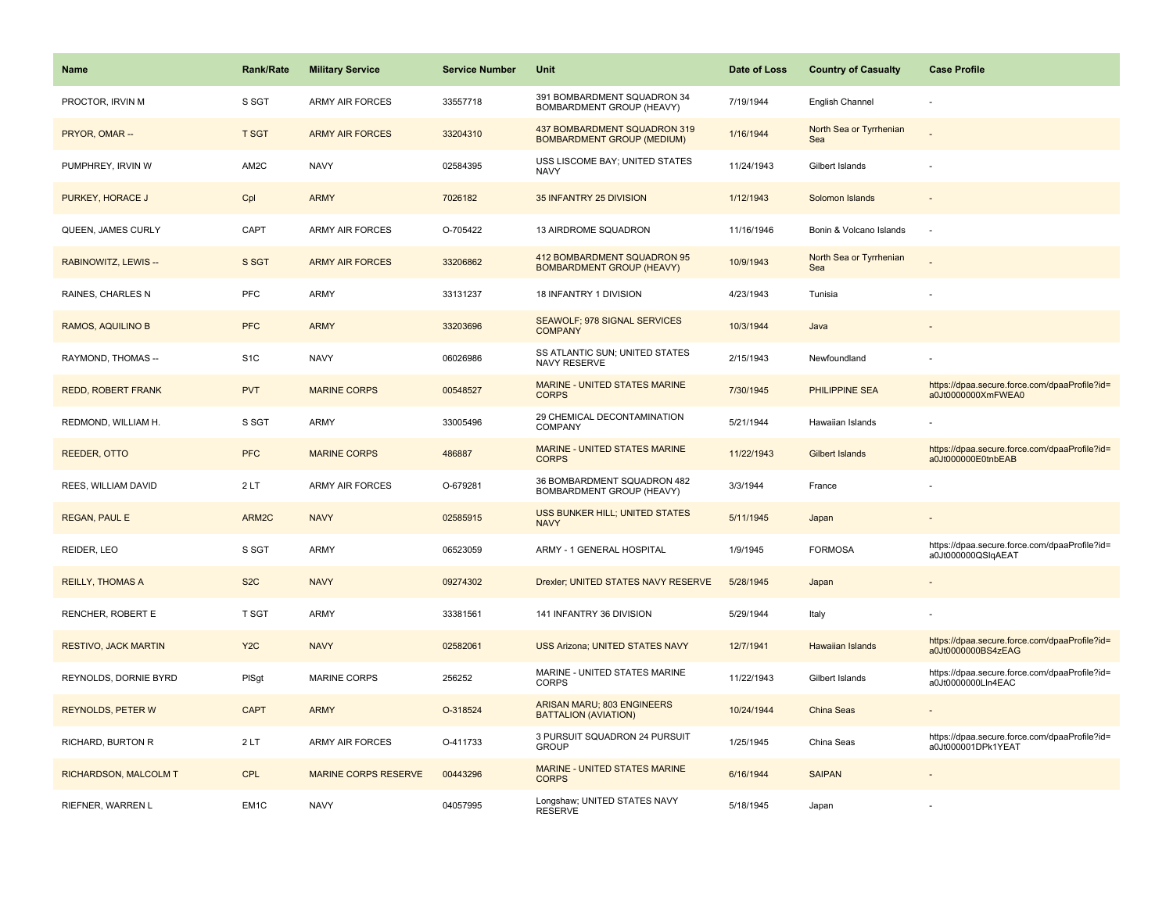| <b>Name</b>                 | <b>Rank/Rate</b> | <b>Military Service</b>     | <b>Service Number</b> | Unit                                                              | Date of Loss | <b>Country of Casualty</b>     | <b>Case Profile</b>                                                 |
|-----------------------------|------------------|-----------------------------|-----------------------|-------------------------------------------------------------------|--------------|--------------------------------|---------------------------------------------------------------------|
| PROCTOR, IRVIN M            | S SGT            | <b>ARMY AIR FORCES</b>      | 33557718              | 391 BOMBARDMENT SQUADRON 34<br>BOMBARDMENT GROUP (HEAVY)          | 7/19/1944    | <b>English Channel</b>         |                                                                     |
| PRYOR, OMAR --              | <b>T SGT</b>     | <b>ARMY AIR FORCES</b>      | 33204310              | 437 BOMBARDMENT SQUADRON 319<br><b>BOMBARDMENT GROUP (MEDIUM)</b> | 1/16/1944    | North Sea or Tyrrhenian<br>Sea |                                                                     |
| PUMPHREY, IRVIN W           | AM2C             | <b>NAVY</b>                 | 02584395              | USS LISCOME BAY; UNITED STATES<br><b>NAVY</b>                     | 11/24/1943   | Gilbert Islands                |                                                                     |
| PURKEY, HORACE J            | Cpl              | <b>ARMY</b>                 | 7026182               | 35 INFANTRY 25 DIVISION                                           | 1/12/1943    | Solomon Islands                |                                                                     |
| QUEEN, JAMES CURLY          | CAPT             | <b>ARMY AIR FORCES</b>      | O-705422              | 13 AIRDROME SQUADRON                                              | 11/16/1946   | Bonin & Volcano Islands        |                                                                     |
| RABINOWITZ, LEWIS --        | S SGT            | <b>ARMY AIR FORCES</b>      | 33206862              | 412 BOMBARDMENT SQUADRON 95<br><b>BOMBARDMENT GROUP (HEAVY)</b>   | 10/9/1943    | North Sea or Tyrrhenian<br>Sea |                                                                     |
| RAINES, CHARLES N           | PFC              | ARMY                        | 33131237              | 18 INFANTRY 1 DIVISION                                            | 4/23/1943    | Tunisia                        |                                                                     |
| RAMOS, AQUILINO B           | <b>PFC</b>       | <b>ARMY</b>                 | 33203696              | SEAWOLF; 978 SIGNAL SERVICES<br><b>COMPANY</b>                    | 10/3/1944    | Java                           |                                                                     |
| RAYMOND, THOMAS --          | S <sub>1</sub> C | <b>NAVY</b>                 | 06026986              | SS ATLANTIC SUN; UNITED STATES<br><b>NAVY RESERVE</b>             | 2/15/1943    | Newfoundland                   |                                                                     |
| <b>REDD, ROBERT FRANK</b>   | <b>PVT</b>       | <b>MARINE CORPS</b>         | 00548527              | MARINE - UNITED STATES MARINE<br><b>CORPS</b>                     | 7/30/1945    | <b>PHILIPPINE SEA</b>          | https://dpaa.secure.force.com/dpaaProfile?id=<br>a0Jt0000000XmFWEA0 |
| REDMOND, WILLIAM H.         | S SGT            | ARMY                        | 33005496              | 29 CHEMICAL DECONTAMINATION<br>COMPANY                            | 5/21/1944    | Hawaiian Islands               |                                                                     |
| <b>REEDER, OTTO</b>         | <b>PFC</b>       | <b>MARINE CORPS</b>         | 486887                | <b>MARINE - UNITED STATES MARINE</b><br><b>CORPS</b>              | 11/22/1943   | <b>Gilbert Islands</b>         | https://dpaa.secure.force.com/dpaaProfile?id=<br>a0Jt000000E0tnbEAB |
| REES, WILLIAM DAVID         | 2LT              | <b>ARMY AIR FORCES</b>      | O-679281              | 36 BOMBARDMENT SQUADRON 482<br>BOMBARDMENT GROUP (HEAVY)          | 3/3/1944     | France                         |                                                                     |
| <b>REGAN, PAUL E</b>        | ARM2C            | <b>NAVY</b>                 | 02585915              | USS BUNKER HILL; UNITED STATES<br><b>NAVY</b>                     | 5/11/1945    | Japan                          |                                                                     |
| REIDER, LEO                 | S SGT            | <b>ARMY</b>                 | 06523059              | ARMY - 1 GENERAL HOSPITAL                                         | 1/9/1945     | <b>FORMOSA</b>                 | https://dpaa.secure.force.com/dpaaProfile?id=<br>a0Jt000000QSlqAEAT |
| <b>REILLY, THOMAS A</b>     | S <sub>2</sub> C | <b>NAVY</b>                 | 09274302              | Drexler; UNITED STATES NAVY RESERVE                               | 5/28/1945    | Japan                          |                                                                     |
| RENCHER, ROBERT E           | T SGT            | <b>ARMY</b>                 | 33381561              | 141 INFANTRY 36 DIVISION                                          | 5/29/1944    | Italy                          |                                                                     |
| <b>RESTIVO, JACK MARTIN</b> | Y <sub>2</sub> C | <b>NAVY</b>                 | 02582061              | <b>USS Arizona; UNITED STATES NAVY</b>                            | 12/7/1941    | <b>Hawaiian Islands</b>        | https://dpaa.secure.force.com/dpaaProfile?id=<br>a0Jt0000000BS4zEAG |
| REYNOLDS, DORNIE BYRD       | PISgt            | <b>MARINE CORPS</b>         | 256252                | MARINE - UNITED STATES MARINE<br><b>CORPS</b>                     | 11/22/1943   | Gilbert Islands                | https://dpaa.secure.force.com/dpaaProfile?id=<br>a0Jt0000000LIn4EAC |
| <b>REYNOLDS, PETER W</b>    | <b>CAPT</b>      | <b>ARMY</b>                 | O-318524              | ARISAN MARU; 803 ENGINEERS<br><b>BATTALION (AVIATION)</b>         | 10/24/1944   | China Seas                     |                                                                     |
| RICHARD, BURTON R           | 2LT              | <b>ARMY AIR FORCES</b>      | O-411733              | 3 PURSUIT SQUADRON 24 PURSUIT<br><b>GROUP</b>                     | 1/25/1945    | China Seas                     | https://dpaa.secure.force.com/dpaaProfile?id=<br>a0Jt000001DPk1YEAT |
| RICHARDSON, MALCOLM T       | <b>CPL</b>       | <b>MARINE CORPS RESERVE</b> | 00443296              | MARINE - UNITED STATES MARINE<br><b>CORPS</b>                     | 6/16/1944    | <b>SAIPAN</b>                  |                                                                     |
| RIEFNER, WARREN L           | EM <sub>1C</sub> | <b>NAVY</b>                 | 04057995              | Longshaw; UNITED STATES NAVY<br><b>RESERVE</b>                    | 5/18/1945    | Japan                          |                                                                     |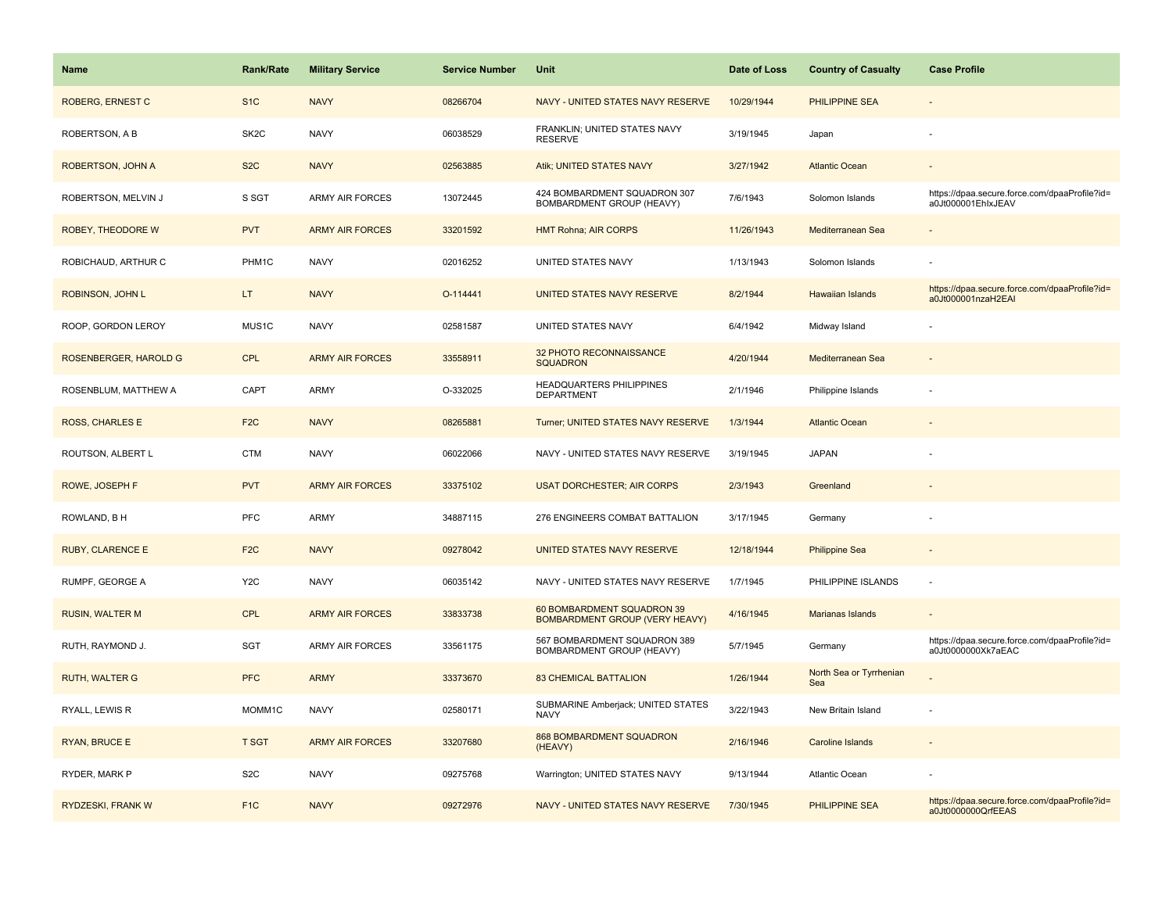| <b>Name</b>              | <b>Rank/Rate</b>  | <b>Military Service</b> | <b>Service Number</b> | <b>Unit</b>                                                         | Date of Loss | <b>Country of Casualty</b>     | <b>Case Profile</b>                                                 |
|--------------------------|-------------------|-------------------------|-----------------------|---------------------------------------------------------------------|--------------|--------------------------------|---------------------------------------------------------------------|
| ROBERG, ERNEST C         | S <sub>1</sub> C  | <b>NAVY</b>             | 08266704              | NAVY - UNITED STATES NAVY RESERVE                                   | 10/29/1944   | <b>PHILIPPINE SEA</b>          |                                                                     |
| ROBERTSON, A B           | SK <sub>2</sub> C | <b>NAVY</b>             | 06038529              | FRANKLIN; UNITED STATES NAVY<br><b>RESERVE</b>                      | 3/19/1945    | Japan                          |                                                                     |
| <b>ROBERTSON, JOHN A</b> | S <sub>2</sub> C  | <b>NAVY</b>             | 02563885              | Atik; UNITED STATES NAVY                                            | 3/27/1942    | <b>Atlantic Ocean</b>          |                                                                     |
| ROBERTSON, MELVIN J      | S SGT             | <b>ARMY AIR FORCES</b>  | 13072445              | 424 BOMBARDMENT SQUADRON 307<br>BOMBARDMENT GROUP (HEAVY)           | 7/6/1943     | Solomon Islands                | https://dpaa.secure.force.com/dpaaProfile?id=<br>a0Jt000001EhlxJEAV |
| ROBEY, THEODORE W        | <b>PVT</b>        | <b>ARMY AIR FORCES</b>  | 33201592              | <b>HMT Rohna; AIR CORPS</b>                                         | 11/26/1943   | Mediterranean Sea              |                                                                     |
| ROBICHAUD, ARTHUR C      | PHM1C             | <b>NAVY</b>             | 02016252              | UNITED STATES NAVY                                                  | 1/13/1943    | Solomon Islands                |                                                                     |
| ROBINSON, JOHN L         | LT.               | <b>NAVY</b>             | O-114441              | UNITED STATES NAVY RESERVE                                          | 8/2/1944     | Hawaiian Islands               | https://dpaa.secure.force.com/dpaaProfile?id=<br>a0Jt000001nzaH2EAI |
| ROOP, GORDON LEROY       | MUS1C             | <b>NAVY</b>             | 02581587              | UNITED STATES NAVY                                                  | 6/4/1942     | Midway Island                  |                                                                     |
| ROSENBERGER, HAROLD G    | <b>CPL</b>        | <b>ARMY AIR FORCES</b>  | 33558911              | 32 PHOTO RECONNAISSANCE<br><b>SQUADRON</b>                          | 4/20/1944    | Mediterranean Sea              |                                                                     |
| ROSENBLUM, MATTHEW A     | CAPT              | <b>ARMY</b>             | O-332025              | <b>HEADQUARTERS PHILIPPINES</b><br><b>DEPARTMENT</b>                | 2/1/1946     | Philippine Islands             |                                                                     |
| <b>ROSS, CHARLES E</b>   | F <sub>2</sub> C  | <b>NAVY</b>             | 08265881              | Turner; UNITED STATES NAVY RESERVE                                  | 1/3/1944     | <b>Atlantic Ocean</b>          |                                                                     |
| ROUTSON, ALBERT L        | <b>CTM</b>        | <b>NAVY</b>             | 06022066              | NAVY - UNITED STATES NAVY RESERVE                                   | 3/19/1945    | <b>JAPAN</b>                   |                                                                     |
| ROWE, JOSEPH F           | <b>PVT</b>        | <b>ARMY AIR FORCES</b>  | 33375102              | <b>USAT DORCHESTER: AIR CORPS</b>                                   | 2/3/1943     | Greenland                      |                                                                     |
| ROWLAND, B H             | PFC               | <b>ARMY</b>             | 34887115              | 276 ENGINEERS COMBAT BATTALION                                      | 3/17/1945    | Germany                        |                                                                     |
| <b>RUBY, CLARENCE E</b>  | F <sub>2</sub> C  | <b>NAVY</b>             | 09278042              | UNITED STATES NAVY RESERVE                                          | 12/18/1944   | <b>Philippine Sea</b>          |                                                                     |
| RUMPF, GEORGE A          | Y <sub>2</sub> C  | <b>NAVY</b>             | 06035142              | NAVY - UNITED STATES NAVY RESERVE                                   | 1/7/1945     | PHILIPPINE ISLANDS             | $\sim$                                                              |
| <b>RUSIN, WALTER M</b>   | <b>CPL</b>        | <b>ARMY AIR FORCES</b>  | 33833738              | 60 BOMBARDMENT SQUADRON 39<br><b>BOMBARDMENT GROUP (VERY HEAVY)</b> | 4/16/1945    | Marianas Islands               |                                                                     |
| RUTH, RAYMOND J.         | SGT               | <b>ARMY AIR FORCES</b>  | 33561175              | 567 BOMBARDMENT SQUADRON 389<br>BOMBARDMENT GROUP (HEAVY)           | 5/7/1945     | Germany                        | https://dpaa.secure.force.com/dpaaProfile?id=<br>a0Jt0000000Xk7aEAC |
| <b>RUTH, WALTER G</b>    | <b>PFC</b>        | <b>ARMY</b>             | 33373670              | <b>83 CHEMICAL BATTALION</b>                                        | 1/26/1944    | North Sea or Tyrrhenian<br>Sea |                                                                     |
| RYALL, LEWIS R           | MOMM1C            | <b>NAVY</b>             | 02580171              | SUBMARINE Amberjack; UNITED STATES<br><b>NAVY</b>                   | 3/22/1943    | New Britain Island             |                                                                     |
| RYAN, BRUCE E            | <b>T SGT</b>      | <b>ARMY AIR FORCES</b>  | 33207680              | 868 BOMBARDMENT SQUADRON<br>(HEAVY)                                 | 2/16/1946    | Caroline Islands               |                                                                     |
| RYDER, MARK P            | S <sub>2</sub> C  | <b>NAVY</b>             | 09275768              | Warrington; UNITED STATES NAVY                                      | 9/13/1944    | Atlantic Ocean                 |                                                                     |
| <b>RYDZESKI, FRANK W</b> | F <sub>1</sub> C  | <b>NAVY</b>             | 09272976              | NAVY - UNITED STATES NAVY RESERVE                                   | 7/30/1945    | PHILIPPINE SEA                 | https://dpaa.secure.force.com/dpaaProfile?id=<br>a0Jt0000000QrfEEAS |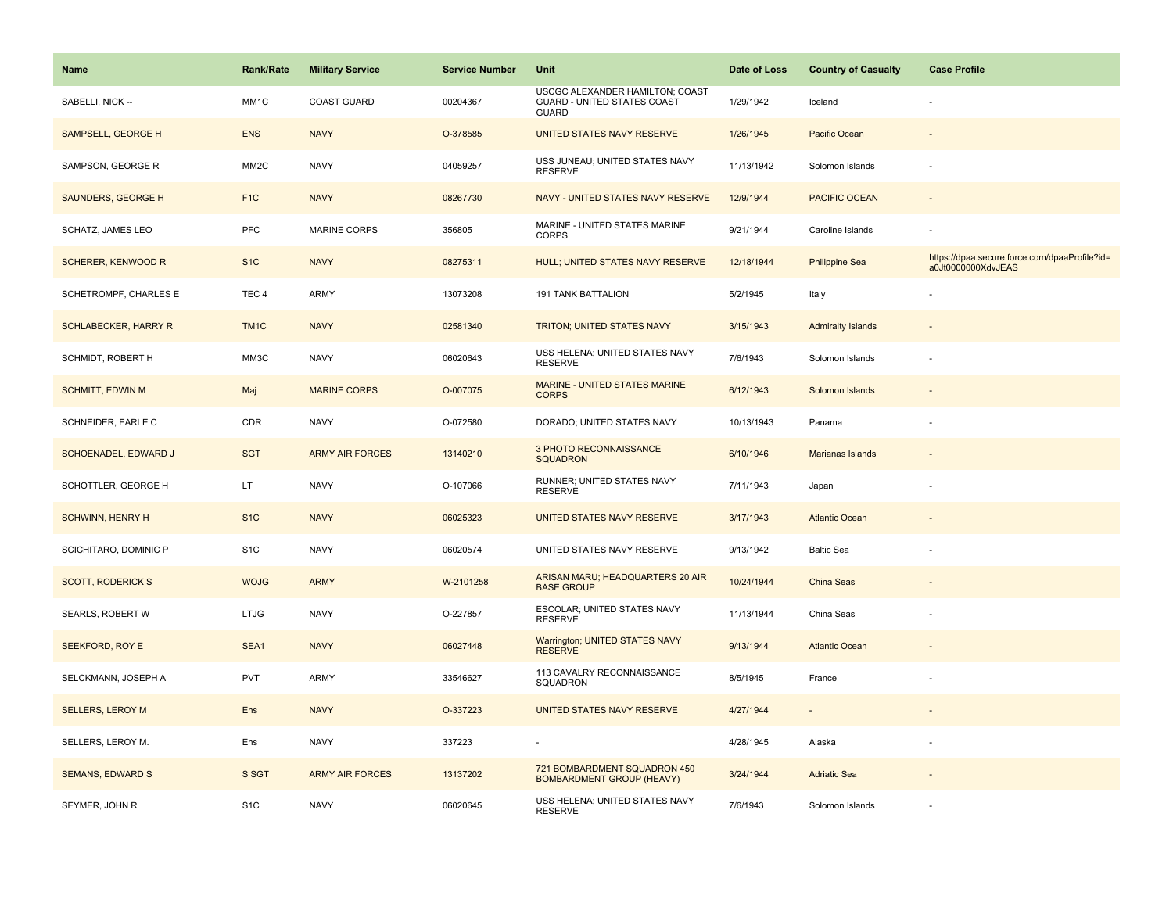| <b>Name</b>                 | <b>Rank/Rate</b>  | <b>Military Service</b> | <b>Service Number</b> | Unit                                                                                  | Date of Loss | <b>Country of Casualty</b> | <b>Case Profile</b>                                                 |
|-----------------------------|-------------------|-------------------------|-----------------------|---------------------------------------------------------------------------------------|--------------|----------------------------|---------------------------------------------------------------------|
| SABELLI, NICK --            | MM1C              | <b>COAST GUARD</b>      | 00204367              | USCGC ALEXANDER HAMILTON; COAST<br><b>GUARD - UNITED STATES COAST</b><br><b>GUARD</b> | 1/29/1942    | Iceland                    |                                                                     |
| SAMPSELL, GEORGE H          | <b>ENS</b>        | <b>NAVY</b>             | O-378585              | UNITED STATES NAVY RESERVE                                                            | 1/26/1945    | Pacific Ocean              |                                                                     |
| SAMPSON, GEORGE R           | MM <sub>2</sub> C | <b>NAVY</b>             | 04059257              | USS JUNEAU; UNITED STATES NAVY<br><b>RESERVE</b>                                      | 11/13/1942   | Solomon Islands            |                                                                     |
| SAUNDERS, GEORGE H          | F <sub>1C</sub>   | <b>NAVY</b>             | 08267730              | NAVY - UNITED STATES NAVY RESERVE                                                     | 12/9/1944    | <b>PACIFIC OCEAN</b>       |                                                                     |
| <b>SCHATZ, JAMES LEO</b>    | <b>PFC</b>        | <b>MARINE CORPS</b>     | 356805                | MARINE - UNITED STATES MARINE<br><b>CORPS</b>                                         | 9/21/1944    | Caroline Islands           |                                                                     |
| <b>SCHERER, KENWOOD R</b>   | S <sub>1</sub> C  | <b>NAVY</b>             | 08275311              | HULL; UNITED STATES NAVY RESERVE                                                      | 12/18/1944   | <b>Philippine Sea</b>      | https://dpaa.secure.force.com/dpaaProfile?id=<br>a0Jt0000000XdvJEAS |
| SCHETROMPF, CHARLES E       | TEC <sub>4</sub>  | <b>ARMY</b>             | 13073208              | <b>191 TANK BATTALION</b>                                                             | 5/2/1945     | Italy                      |                                                                     |
| <b>SCHLABECKER, HARRY R</b> | TM <sub>1</sub> C | <b>NAVY</b>             | 02581340              | TRITON; UNITED STATES NAVY                                                            | 3/15/1943    | <b>Admiralty Islands</b>   |                                                                     |
| SCHMIDT, ROBERT H           | MM3C              | <b>NAVY</b>             | 06020643              | USS HELENA; UNITED STATES NAVY<br><b>RESERVE</b>                                      | 7/6/1943     | Solomon Islands            |                                                                     |
| <b>SCHMITT, EDWIN M</b>     | Maj               | <b>MARINE CORPS</b>     | O-007075              | <b>MARINE - UNITED STATES MARINE</b><br><b>CORPS</b>                                  | 6/12/1943    | Solomon Islands            |                                                                     |
| SCHNEIDER, EARLE C          | CDR               | <b>NAVY</b>             | O-072580              | DORADO; UNITED STATES NAVY                                                            | 10/13/1943   | Panama                     |                                                                     |
| SCHOENADEL, EDWARD J        | <b>SGT</b>        | <b>ARMY AIR FORCES</b>  | 13140210              | 3 PHOTO RECONNAISSANCE<br><b>SQUADRON</b>                                             | 6/10/1946    | Marianas Islands           |                                                                     |
| SCHOTTLER, GEORGE H         | LT                | <b>NAVY</b>             | O-107066              | RUNNER; UNITED STATES NAVY<br><b>RESERVE</b>                                          | 7/11/1943    | Japan                      |                                                                     |
| <b>SCHWINN, HENRY H</b>     | S <sub>1</sub> C  | <b>NAVY</b>             | 06025323              | UNITED STATES NAVY RESERVE                                                            | 3/17/1943    | <b>Atlantic Ocean</b>      |                                                                     |
| SCICHITARO, DOMINIC P       | S <sub>1</sub> C  | <b>NAVY</b>             | 06020574              | UNITED STATES NAVY RESERVE                                                            | 9/13/1942    | <b>Baltic Sea</b>          |                                                                     |
| <b>SCOTT, RODERICK S</b>    | <b>WOJG</b>       | <b>ARMY</b>             | W-2101258             | ARISAN MARU; HEADQUARTERS 20 AIR<br><b>BASE GROUP</b>                                 | 10/24/1944   | <b>China Seas</b>          |                                                                     |
| SEARLS, ROBERT W            | <b>LTJG</b>       | <b>NAVY</b>             | O-227857              | ESCOLAR; UNITED STATES NAVY<br><b>RESERVE</b>                                         | 11/13/1944   | China Seas                 |                                                                     |
| SEEKFORD, ROY E             | SEA1              | <b>NAVY</b>             | 06027448              | Warrington; UNITED STATES NAVY<br><b>RESERVE</b>                                      | 9/13/1944    | <b>Atlantic Ocean</b>      |                                                                     |
| SELCKMANN, JOSEPH A         | PVT               | <b>ARMY</b>             | 33546627              | 113 CAVALRY RECONNAISSANCE<br>SQUADRON                                                | 8/5/1945     | France                     |                                                                     |
| <b>SELLERS, LEROY M</b>     | <b>Ens</b>        | <b>NAVY</b>             | O-337223              | UNITED STATES NAVY RESERVE                                                            | 4/27/1944    | $\overline{\phantom{a}}$   |                                                                     |
| SELLERS, LEROY M.           | Ens               | <b>NAVY</b>             | 337223                |                                                                                       | 4/28/1945    | Alaska                     |                                                                     |
| <b>SEMANS, EDWARD S</b>     | S SGT             | <b>ARMY AIR FORCES</b>  | 13137202              | 721 BOMBARDMENT SQUADRON 450<br><b>BOMBARDMENT GROUP (HEAVY)</b>                      | 3/24/1944    | <b>Adriatic Sea</b>        |                                                                     |
| SEYMER, JOHN R              | S <sub>1</sub> C  | <b>NAVY</b>             | 06020645              | USS HELENA; UNITED STATES NAVY<br><b>RESERVE</b>                                      | 7/6/1943     | Solomon Islands            |                                                                     |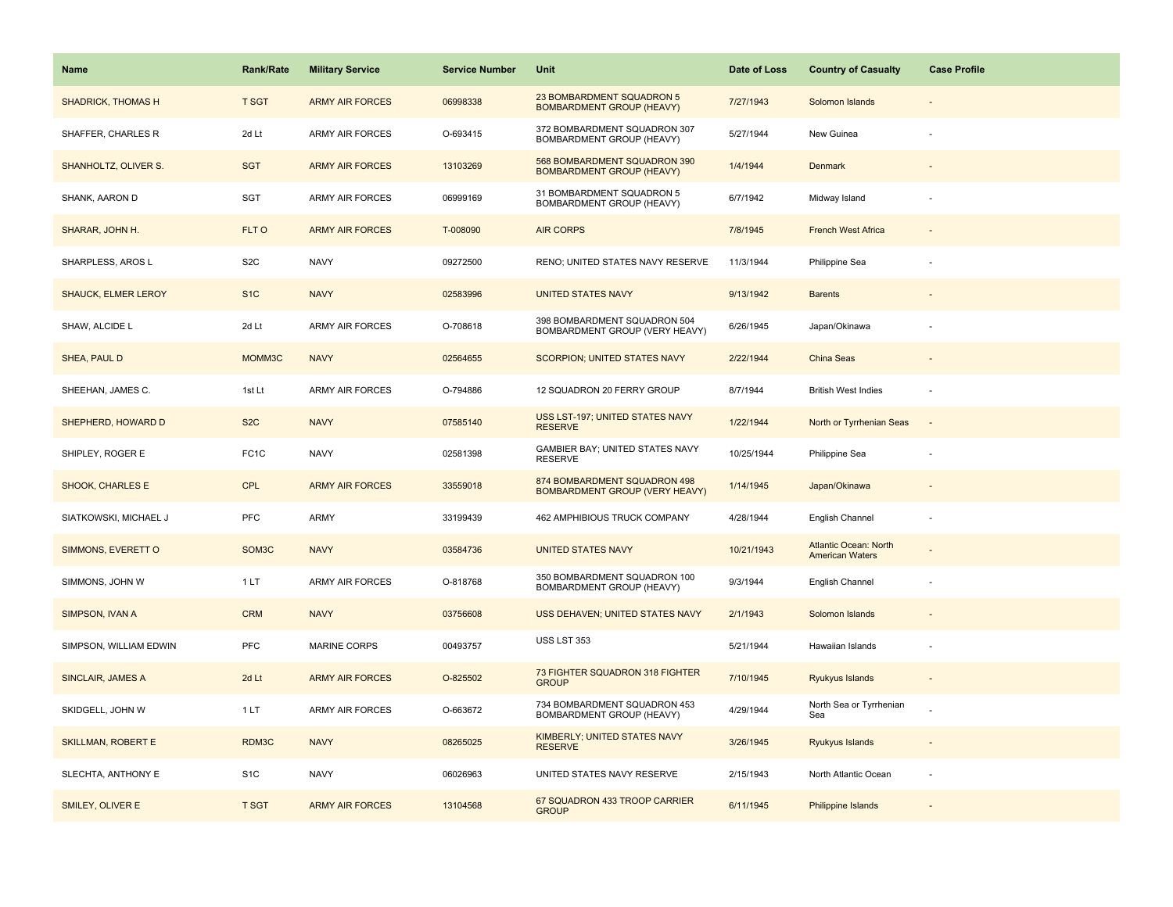| <b>Name</b>                | Rank/Rate         | <b>Military Service</b> | <b>Service Number</b> | Unit                                                             | Date of Loss | <b>Country of Casualty</b>                             | <b>Case Profile</b>      |
|----------------------------|-------------------|-------------------------|-----------------------|------------------------------------------------------------------|--------------|--------------------------------------------------------|--------------------------|
| <b>SHADRICK, THOMAS H</b>  | <b>T SGT</b>      | <b>ARMY AIR FORCES</b>  | 06998338              | 23 BOMBARDMENT SQUADRON 5<br><b>BOMBARDMENT GROUP (HEAVY)</b>    | 7/27/1943    | Solomon Islands                                        |                          |
| SHAFFER, CHARLES R         | 2d Lt             | <b>ARMY AIR FORCES</b>  | O-693415              | 372 BOMBARDMENT SQUADRON 307<br>BOMBARDMENT GROUP (HEAVY)        | 5/27/1944    | New Guinea                                             |                          |
| SHANHOLTZ, OLIVER S.       | <b>SGT</b>        | <b>ARMY AIR FORCES</b>  | 13103269              | 568 BOMBARDMENT SQUADRON 390<br><b>BOMBARDMENT GROUP (HEAVY)</b> | 1/4/1944     | Denmark                                                |                          |
| SHANK, AARON D             | SGT               | <b>ARMY AIR FORCES</b>  | 06999169              | 31 BOMBARDMENT SQUADRON 5<br>BOMBARDMENT GROUP (HEAVY)           | 6/7/1942     | Midway Island                                          |                          |
| SHARAR, JOHN H.            | FLT O             | <b>ARMY AIR FORCES</b>  | T-008090              | <b>AIR CORPS</b>                                                 | 7/8/1945     | <b>French West Africa</b>                              |                          |
| SHARPLESS, AROS L          | S <sub>2</sub> C  | <b>NAVY</b>             | 09272500              | RENO; UNITED STATES NAVY RESERVE                                 | 11/3/1944    | Philippine Sea                                         |                          |
| <b>SHAUCK, ELMER LEROY</b> | S <sub>1</sub> C  | <b>NAVY</b>             | 02583996              | <b>UNITED STATES NAVY</b>                                        | 9/13/1942    | <b>Barents</b>                                         | $\overline{\phantom{a}}$ |
| SHAW, ALCIDE L             | 2d Lt             | <b>ARMY AIR FORCES</b>  | O-708618              | 398 BOMBARDMENT SQUADRON 504<br>BOMBARDMENT GROUP (VERY HEAVY)   | 6/26/1945    | Japan/Okinawa                                          |                          |
| SHEA, PAUL D               | MOMM3C            | <b>NAVY</b>             | 02564655              | <b>SCORPION: UNITED STATES NAVY</b>                              | 2/22/1944    | China Seas                                             |                          |
| SHEEHAN, JAMES C.          | 1st Lt            | ARMY AIR FORCES         | O-794886              | 12 SQUADRON 20 FERRY GROUP                                       | 8/7/1944     | <b>British West Indies</b>                             | ÷,                       |
| SHEPHERD, HOWARD D         | S <sub>2</sub> C  | <b>NAVY</b>             | 07585140              | USS LST-197; UNITED STATES NAVY<br><b>RESERVE</b>                | 1/22/1944    | North or Tyrrhenian Seas                               |                          |
| SHIPLEY, ROGER E           | FC <sub>1</sub> C | <b>NAVY</b>             | 02581398              | GAMBIER BAY; UNITED STATES NAVY<br><b>RESERVE</b>                | 10/25/1944   | Philippine Sea                                         |                          |
| SHOOK, CHARLES E           | <b>CPL</b>        | <b>ARMY AIR FORCES</b>  | 33559018              | 874 BOMBARDMENT SQUADRON 498<br>BOMBARDMENT GROUP (VERY HEAVY)   | 1/14/1945    | Japan/Okinawa                                          |                          |
| SIATKOWSKI, MICHAEL J      | <b>PFC</b>        | ARMY                    | 33199439              | 462 AMPHIBIOUS TRUCK COMPANY                                     | 4/28/1944    | English Channel                                        | ÷,                       |
| SIMMONS, EVERETT O         | SOM3C             | <b>NAVY</b>             | 03584736              | <b>UNITED STATES NAVY</b>                                        | 10/21/1943   | <b>Atlantic Ocean: North</b><br><b>American Waters</b> |                          |
| SIMMONS, JOHN W            | 1LT               | <b>ARMY AIR FORCES</b>  | O-818768              | 350 BOMBARDMENT SQUADRON 100<br>BOMBARDMENT GROUP (HEAVY)        | 9/3/1944     | English Channel                                        | ÷,                       |
| SIMPSON, IVAN A            | <b>CRM</b>        | <b>NAVY</b>             | 03756608              | USS DEHAVEN; UNITED STATES NAVY                                  | 2/1/1943     | Solomon Islands                                        |                          |
| SIMPSON, WILLIAM EDWIN     | <b>PFC</b>        | MARINE CORPS            | 00493757              | USS LST 353                                                      | 5/21/1944    | Hawaiian Islands                                       | ÷,                       |
| <b>SINCLAIR, JAMES A</b>   | 2d Lt             | <b>ARMY AIR FORCES</b>  | O-825502              | 73 FIGHTER SQUADRON 318 FIGHTER<br><b>GROUP</b>                  | 7/10/1945    | Ryukyus Islands                                        |                          |
| SKIDGELL, JOHN W           | 1 LT              | <b>ARMY AIR FORCES</b>  | O-663672              | 734 BOMBARDMENT SQUADRON 453<br>BOMBARDMENT GROUP (HEAVY)        | 4/29/1944    | North Sea or Tyrrhenian<br>Sea                         |                          |
| <b>SKILLMAN, ROBERT E</b>  | RDM3C             | <b>NAVY</b>             | 08265025              | KIMBERLY; UNITED STATES NAVY<br><b>RESERVE</b>                   | 3/26/1945    | Ryukyus Islands                                        |                          |
| SLECHTA, ANTHONY E         | S <sub>1</sub> C  | <b>NAVY</b>             | 06026963              | UNITED STATES NAVY RESERVE                                       | 2/15/1943    | North Atlantic Ocean                                   | ÷,                       |
| SMILEY, OLIVER E           | <b>T SGT</b>      | <b>ARMY AIR FORCES</b>  | 13104568              | 67 SQUADRON 433 TROOP CARRIER<br><b>GROUP</b>                    | 6/11/1945    | Philippine Islands                                     |                          |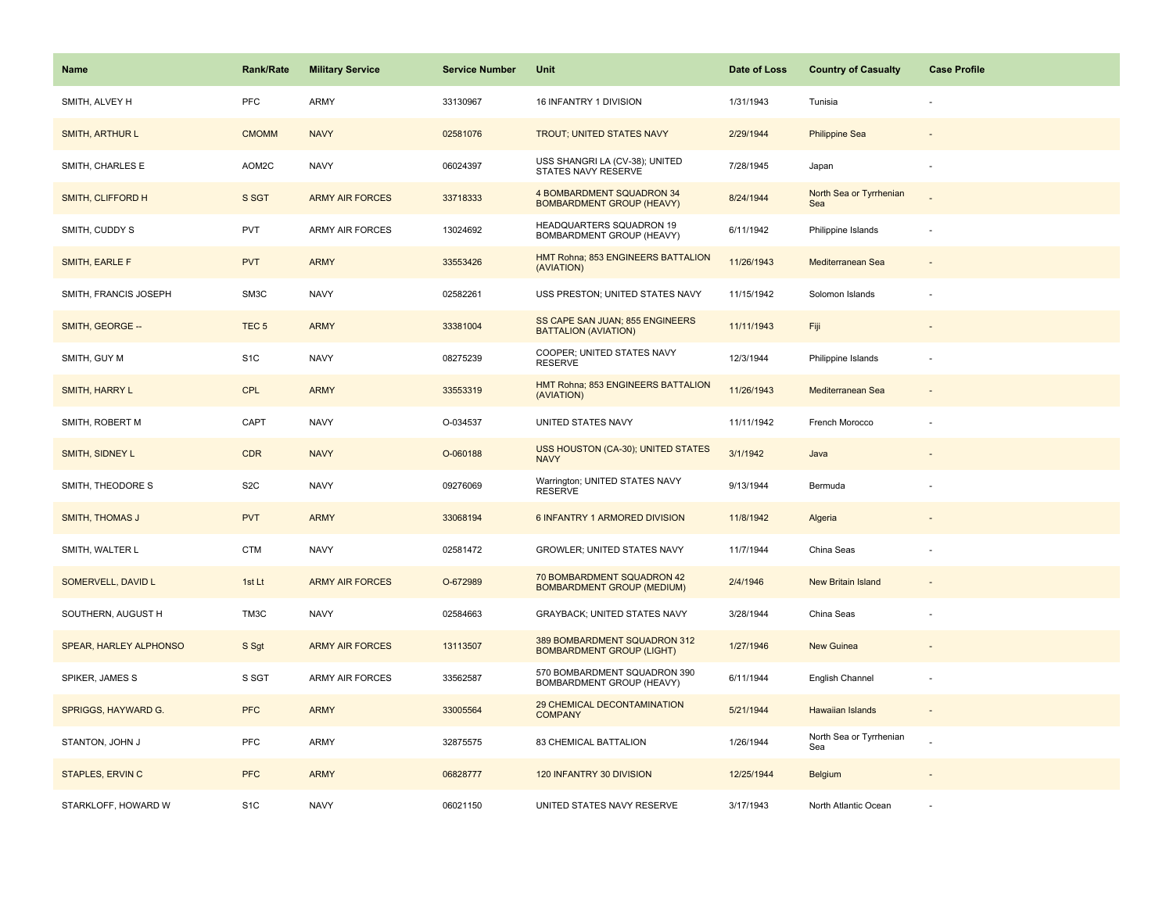| <b>Name</b>             | <b>Rank/Rate</b> | <b>Military Service</b> | <b>Service Number</b> | Unit                                                             | Date of Loss | <b>Country of Casualty</b>     | <b>Case Profile</b>      |
|-------------------------|------------------|-------------------------|-----------------------|------------------------------------------------------------------|--------------|--------------------------------|--------------------------|
| SMITH, ALVEY H          | PFC              | <b>ARMY</b>             | 33130967              | 16 INFANTRY 1 DIVISION                                           | 1/31/1943    | Tunisia                        |                          |
| SMITH, ARTHUR L         | <b>CMOMM</b>     | <b>NAVY</b>             | 02581076              | TROUT; UNITED STATES NAVY                                        | 2/29/1944    | <b>Philippine Sea</b>          |                          |
| SMITH, CHARLES E        | AOM2C            | <b>NAVY</b>             | 06024397              | USS SHANGRI LA (CV-38); UNITED<br>STATES NAVY RESERVE            | 7/28/1945    | Japan                          |                          |
| SMITH, CLIFFORD H       | S SGT            | <b>ARMY AIR FORCES</b>  | 33718333              | 4 BOMBARDMENT SQUADRON 34<br><b>BOMBARDMENT GROUP (HEAVY)</b>    | 8/24/1944    | North Sea or Tyrrhenian<br>Sea |                          |
| SMITH, CUDDY S          | <b>PVT</b>       | <b>ARMY AIR FORCES</b>  | 13024692              | <b>HEADQUARTERS SQUADRON 19</b><br>BOMBARDMENT GROUP (HEAVY)     | 6/11/1942    | Philippine Islands             |                          |
| SMITH, EARLE F          | <b>PVT</b>       | <b>ARMY</b>             | 33553426              | HMT Rohna; 853 ENGINEERS BATTALION<br>(AVIATION)                 | 11/26/1943   | Mediterranean Sea              |                          |
| SMITH, FRANCIS JOSEPH   | SM3C             | <b>NAVY</b>             | 02582261              | USS PRESTON; UNITED STATES NAVY                                  | 11/15/1942   | Solomon Islands                |                          |
| SMITH, GEORGE --        | TEC <sub>5</sub> | <b>ARMY</b>             | 33381004              | SS CAPE SAN JUAN; 855 ENGINEERS<br><b>BATTALION (AVIATION)</b>   | 11/11/1943   | Fiji                           |                          |
| SMITH, GUY M            | S <sub>1</sub> C | <b>NAVY</b>             | 08275239              | COOPER; UNITED STATES NAVY<br><b>RESERVE</b>                     | 12/3/1944    | Philippine Islands             |                          |
| SMITH, HARRY L          | <b>CPL</b>       | <b>ARMY</b>             | 33553319              | HMT Rohna; 853 ENGINEERS BATTALION<br>(AVIATION)                 | 11/26/1943   | Mediterranean Sea              |                          |
| SMITH, ROBERT M         | CAPT             | <b>NAVY</b>             | O-034537              | UNITED STATES NAVY                                               | 11/11/1942   | French Morocco                 |                          |
| SMITH, SIDNEY L         | CDR              | <b>NAVY</b>             | O-060188              | USS HOUSTON (CA-30); UNITED STATES<br><b>NAVY</b>                | 3/1/1942     | Java                           |                          |
| SMITH, THEODORE S       | S <sub>2</sub> C | <b>NAVY</b>             | 09276069              | Warrington; UNITED STATES NAVY<br><b>RESERVE</b>                 | 9/13/1944    | Bermuda                        |                          |
| <b>SMITH, THOMAS J</b>  | <b>PVT</b>       | <b>ARMY</b>             | 33068194              | 6 INFANTRY 1 ARMORED DIVISION                                    | 11/8/1942    | Algeria                        |                          |
| SMITH, WALTER L         | CTM              | <b>NAVY</b>             | 02581472              | <b>GROWLER: UNITED STATES NAVY</b>                               | 11/7/1944    | China Seas                     |                          |
| SOMERVELL, DAVID L      | 1st Lt           | <b>ARMY AIR FORCES</b>  | O-672989              | 70 BOMBARDMENT SQUADRON 42<br><b>BOMBARDMENT GROUP (MEDIUM)</b>  | 2/4/1946     | <b>New Britain Island</b>      |                          |
| SOUTHERN, AUGUST H      | TM3C             | <b>NAVY</b>             | 02584663              | GRAYBACK; UNITED STATES NAVY                                     | 3/28/1944    | China Seas                     |                          |
| SPEAR, HARLEY ALPHONSO  | S Sgt            | <b>ARMY AIR FORCES</b>  | 13113507              | 389 BOMBARDMENT SQUADRON 312<br><b>BOMBARDMENT GROUP (LIGHT)</b> | 1/27/1946    | New Guinea                     |                          |
| SPIKER, JAMES S         | S SGT            | <b>ARMY AIR FORCES</b>  | 33562587              | 570 BOMBARDMENT SQUADRON 390<br>BOMBARDMENT GROUP (HEAVY)        | 6/11/1944    | English Channel                | $\overline{\phantom{a}}$ |
| SPRIGGS, HAYWARD G.     | <b>PFC</b>       | <b>ARMY</b>             | 33005564              | 29 CHEMICAL DECONTAMINATION<br><b>COMPANY</b>                    | 5/21/1944    | Hawaiian Islands               | $\sim$                   |
| STANTON, JOHN J         | <b>PFC</b>       | ARMY                    | 32875575              | 83 CHEMICAL BATTALION                                            | 1/26/1944    | North Sea or Tyrrhenian<br>Sea |                          |
| <b>STAPLES, ERVIN C</b> | <b>PFC</b>       | <b>ARMY</b>             | 06828777              | 120 INFANTRY 30 DIVISION                                         | 12/25/1944   | Belgium                        |                          |
| STARKLOFF, HOWARD W     | S <sub>1</sub> C | <b>NAVY</b>             | 06021150              | UNITED STATES NAVY RESERVE                                       | 3/17/1943    | North Atlantic Ocean           |                          |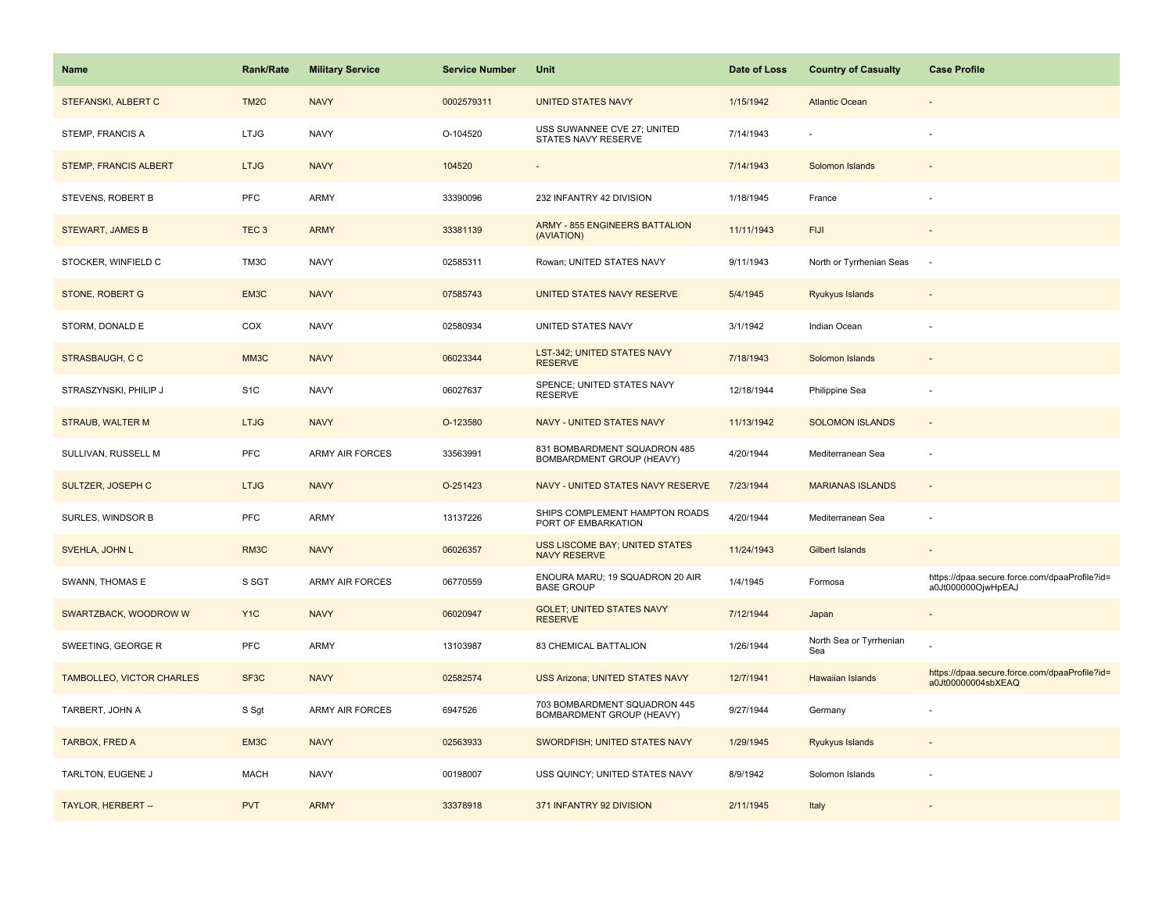| Name                             | <b>Rank/Rate</b>  | <b>Military Service</b> | <b>Service Number</b> | Unit                                                      | Date of Loss | <b>Country of Casualty</b>     | <b>Case Profile</b>                                                 |
|----------------------------------|-------------------|-------------------------|-----------------------|-----------------------------------------------------------|--------------|--------------------------------|---------------------------------------------------------------------|
| <b>STEFANSKI, ALBERT C</b>       | TM <sub>2</sub> C | <b>NAVY</b>             | 0002579311            | <b>UNITED STATES NAVY</b>                                 | 1/15/1942    | <b>Atlantic Ocean</b>          |                                                                     |
| STEMP, FRANCIS A                 | LTJG              | <b>NAVY</b>             | O-104520              | USS SUWANNEE CVE 27; UNITED<br>STATES NAVY RESERVE        | 7/14/1943    |                                |                                                                     |
| <b>STEMP, FRANCIS ALBERT</b>     | <b>LTJG</b>       | <b>NAVY</b>             | 104520                |                                                           | 7/14/1943    | Solomon Islands                |                                                                     |
| STEVENS, ROBERT B                | PFC               | ARMY                    | 33390096              | 232 INFANTRY 42 DIVISION                                  | 1/18/1945    | France                         |                                                                     |
| <b>STEWART, JAMES B</b>          | TEC <sub>3</sub>  | <b>ARMY</b>             | 33381139              | <b>ARMY - 855 ENGINEERS BATTALION</b><br>(AVIATION)       | 11/11/1943   | <b>FIJI</b>                    |                                                                     |
| STOCKER, WINFIELD C              | TM3C              | <b>NAVY</b>             | 02585311              | Rowan; UNITED STATES NAVY                                 | 9/11/1943    | North or Tyrrhenian Seas       | $\sim$                                                              |
| STONE, ROBERT G                  | EM3C              | <b>NAVY</b>             | 07585743              | UNITED STATES NAVY RESERVE                                | 5/4/1945     | Ryukyus Islands                |                                                                     |
| STORM, DONALD E                  | COX               | <b>NAVY</b>             | 02580934              | UNITED STATES NAVY                                        | 3/1/1942     | Indian Ocean                   |                                                                     |
| <b>STRASBAUGH, CC</b>            | MM3C              | <b>NAVY</b>             | 06023344              | LST-342; UNITED STATES NAVY<br><b>RESERVE</b>             | 7/18/1943    | Solomon Islands                |                                                                     |
| STRASZYNSKI, PHILIP J            | S <sub>1</sub> C  | <b>NAVY</b>             | 06027637              | SPENCE; UNITED STATES NAVY<br><b>RESERVE</b>              | 12/18/1944   | Philippine Sea                 |                                                                     |
| <b>STRAUB, WALTER M</b>          | <b>LTJG</b>       | <b>NAVY</b>             | O-123580              | NAVY - UNITED STATES NAVY                                 | 11/13/1942   | <b>SOLOMON ISLANDS</b>         |                                                                     |
| SULLIVAN, RUSSELL M              | PFC               | ARMY AIR FORCES         | 33563991              | 831 BOMBARDMENT SQUADRON 485<br>BOMBARDMENT GROUP (HEAVY) | 4/20/1944    | Mediterranean Sea              |                                                                     |
| SULTZER, JOSEPH C                | <b>LTJG</b>       | <b>NAVY</b>             | O-251423              | NAVY - UNITED STATES NAVY RESERVE                         | 7/23/1944    | <b>MARIANAS ISLANDS</b>        |                                                                     |
| SURLES, WINDSOR B                | PFC               | ARMY                    | 13137226              | SHIPS COMPLEMENT HAMPTON ROADS<br>PORT OF EMBARKATION     | 4/20/1944    | Mediterranean Sea              |                                                                     |
| SVEHLA, JOHN L                   | RM3C              | <b>NAVY</b>             | 06026357              | USS LISCOME BAY; UNITED STATES<br><b>NAVY RESERVE</b>     | 11/24/1943   | <b>Gilbert Islands</b>         |                                                                     |
| SWANN, THOMAS E                  | S SGT             | ARMY AIR FORCES         | 06770559              | ENOURA MARU; 19 SQUADRON 20 AIR<br><b>BASE GROUP</b>      | 1/4/1945     | Formosa                        | https://dpaa.secure.force.com/dpaaProfile?id=<br>a0Jt000000OjwHpEAJ |
| SWARTZBACK, WOODROW W            | Y <sub>1</sub> C  | <b>NAVY</b>             | 06020947              | <b>GOLET: UNITED STATES NAVY</b><br><b>RESERVE</b>        | 7/12/1944    | Japan                          |                                                                     |
| SWEETING, GEORGE R               | PFC               | ARMY                    | 13103987              | 83 CHEMICAL BATTALION                                     | 1/26/1944    | North Sea or Tyrrhenian<br>Sea |                                                                     |
| <b>TAMBOLLEO, VICTOR CHARLES</b> | SF <sub>3</sub> C | <b>NAVY</b>             | 02582574              | <b>USS Arizona; UNITED STATES NAVY</b>                    | 12/7/1941    | Hawaiian Islands               | https://dpaa.secure.force.com/dpaaProfile?id=<br>a0Jt00000004sbXEAQ |
| TARBERT, JOHN A                  | S Sgt             | <b>ARMY AIR FORCES</b>  | 6947526               | 703 BOMBARDMENT SQUADRON 445<br>BOMBARDMENT GROUP (HEAVY) | 9/27/1944    | Germany                        |                                                                     |
| TARBOX, FRED A                   | EM3C              | <b>NAVY</b>             | 02563933              | SWORDFISH; UNITED STATES NAVY                             | 1/29/1945    | Ryukyus Islands                |                                                                     |
| TARLTON, EUGENE J                | <b>MACH</b>       | <b>NAVY</b>             | 00198007              | USS QUINCY; UNITED STATES NAVY                            | 8/9/1942     | Solomon Islands                |                                                                     |
| TAYLOR, HERBERT --               | <b>PVT</b>        | <b>ARMY</b>             | 33378918              | 371 INFANTRY 92 DIVISION                                  | 2/11/1945    | Italy                          |                                                                     |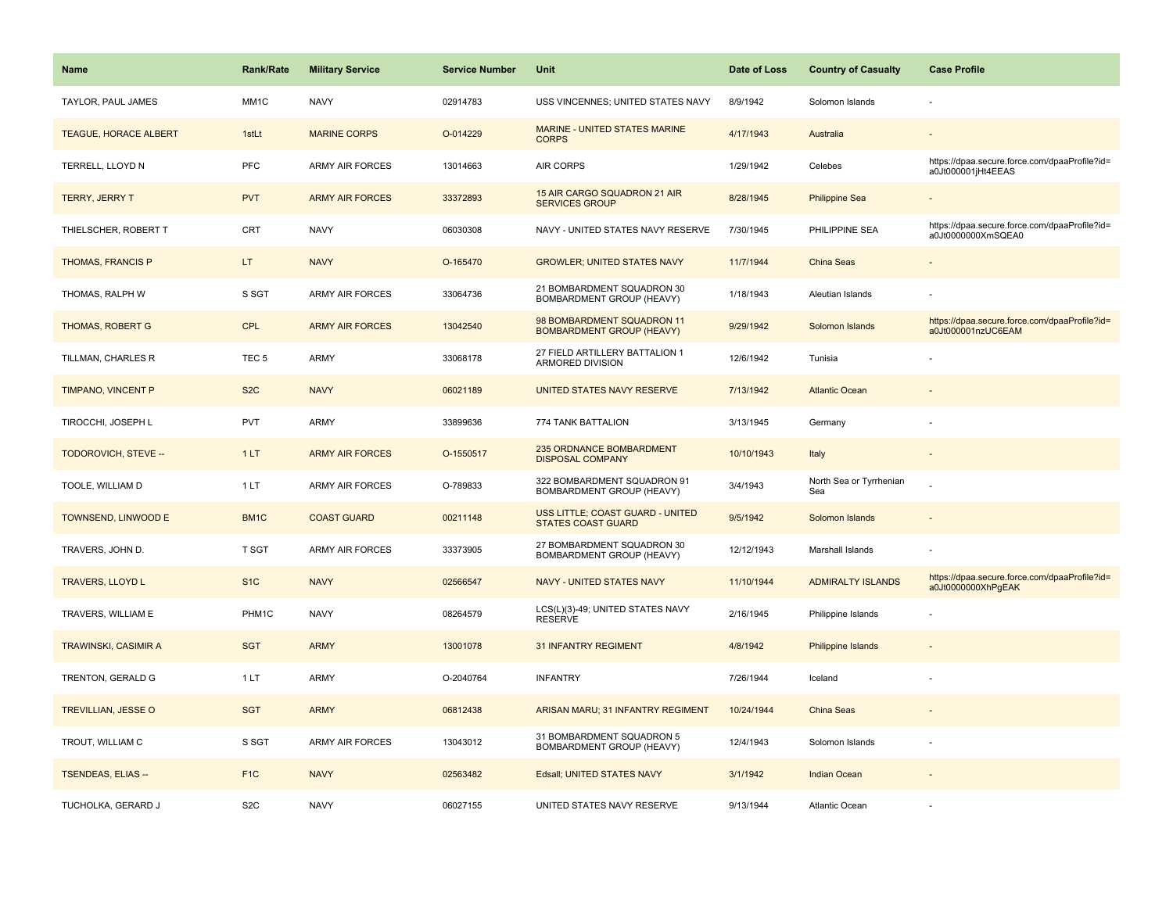| Name                         | <b>Rank/Rate</b>  | <b>Military Service</b> | <b>Service Number</b> | Unit                                                           | Date of Loss | <b>Country of Casualty</b>     | <b>Case Profile</b>                                                 |
|------------------------------|-------------------|-------------------------|-----------------------|----------------------------------------------------------------|--------------|--------------------------------|---------------------------------------------------------------------|
| TAYLOR, PAUL JAMES           | MM1C              | <b>NAVY</b>             | 02914783              | USS VINCENNES; UNITED STATES NAVY                              | 8/9/1942     | Solomon Islands                |                                                                     |
| <b>TEAGUE, HORACE ALBERT</b> | 1stLt             | <b>MARINE CORPS</b>     | O-014229              | MARINE - UNITED STATES MARINE<br><b>CORPS</b>                  | 4/17/1943    | Australia                      |                                                                     |
| TERRELL, LLOYD N             | <b>PFC</b>        | <b>ARMY AIR FORCES</b>  | 13014663              | <b>AIR CORPS</b>                                               | 1/29/1942    | Celebes                        | https://dpaa.secure.force.com/dpaaProfile?id=<br>a0Jt000001jHt4EEAS |
| <b>TERRY, JERRY T</b>        | <b>PVT</b>        | <b>ARMY AIR FORCES</b>  | 33372893              | 15 AIR CARGO SQUADRON 21 AIR<br><b>SERVICES GROUP</b>          | 8/28/1945    | <b>Philippine Sea</b>          |                                                                     |
| THIELSCHER, ROBERT T         | CRT               | <b>NAVY</b>             | 06030308              | NAVY - UNITED STATES NAVY RESERVE                              | 7/30/1945    | PHILIPPINE SEA                 | https://dpaa.secure.force.com/dpaaProfile?id=<br>a0Jt0000000XmSQEA0 |
| <b>THOMAS, FRANCIS P</b>     | LT.               | <b>NAVY</b>             | O-165470              | <b>GROWLER; UNITED STATES NAVY</b>                             | 11/7/1944    | China Seas                     |                                                                     |
| THOMAS, RALPH W              | S SGT             | <b>ARMY AIR FORCES</b>  | 33064736              | 21 BOMBARDMENT SQUADRON 30<br>BOMBARDMENT GROUP (HEAVY)        | 1/18/1943    | Aleutian Islands               |                                                                     |
| <b>THOMAS, ROBERT G</b>      | <b>CPL</b>        | <b>ARMY AIR FORCES</b>  | 13042540              | 98 BOMBARDMENT SQUADRON 11<br><b>BOMBARDMENT GROUP (HEAVY)</b> | 9/29/1942    | Solomon Islands                | https://dpaa.secure.force.com/dpaaProfile?id=<br>a0Jt000001nzUC6EAM |
| TILLMAN, CHARLES R           | TEC <sub>5</sub>  | <b>ARMY</b>             | 33068178              | 27 FIELD ARTILLERY BATTALION 1<br><b>ARMORED DIVISION</b>      | 12/6/1942    | Tunisia                        |                                                                     |
| <b>TIMPANO, VINCENT P</b>    | S <sub>2</sub> C  | <b>NAVY</b>             | 06021189              | <b>UNITED STATES NAVY RESERVE</b>                              | 7/13/1942    | <b>Atlantic Ocean</b>          |                                                                     |
| TIROCCHI, JOSEPH L           | <b>PVT</b>        | <b>ARMY</b>             | 33899636              | 774 TANK BATTALION                                             | 3/13/1945    | Germany                        |                                                                     |
| TODOROVICH, STEVE --         | 1LT               | <b>ARMY AIR FORCES</b>  | O-1550517             | 235 ORDNANCE BOMBARDMENT<br><b>DISPOSAL COMPANY</b>            | 10/10/1943   | Italy                          | $\overline{\phantom{a}}$                                            |
| TOOLE, WILLIAM D             | 1LT               | <b>ARMY AIR FORCES</b>  | O-789833              | 322 BOMBARDMENT SQUADRON 91<br>BOMBARDMENT GROUP (HEAVY)       | 3/4/1943     | North Sea or Tyrrhenian<br>Sea |                                                                     |
| TOWNSEND, LINWOOD E          | BM <sub>1</sub> C | <b>COAST GUARD</b>      | 00211148              | USS LITTLE; COAST GUARD - UNITED<br><b>STATES COAST GUARD</b>  | 9/5/1942     | Solomon Islands                |                                                                     |
| TRAVERS, JOHN D.             | T SGT             | <b>ARMY AIR FORCES</b>  | 33373905              | 27 BOMBARDMENT SQUADRON 30<br><b>BOMBARDMENT GROUP (HEAVY)</b> | 12/12/1943   | Marshall Islands               |                                                                     |
| <b>TRAVERS, LLOYD L</b>      | S <sub>1</sub> C  | <b>NAVY</b>             | 02566547              | <b>NAVY - UNITED STATES NAVY</b>                               | 11/10/1944   | <b>ADMIRALTY ISLANDS</b>       | https://dpaa.secure.force.com/dpaaProfile?id=<br>a0Jt0000000XhPgEAK |
| TRAVERS, WILLIAM E           | PHM1C             | <b>NAVY</b>             | 08264579              | LCS(L)(3)-49; UNITED STATES NAVY<br><b>RESERVE</b>             | 2/16/1945    | Philippine Islands             |                                                                     |
| <b>TRAWINSKI, CASIMIR A</b>  | <b>SGT</b>        | <b>ARMY</b>             | 13001078              | <b>31 INFANTRY REGIMENT</b>                                    | 4/8/1942     | Philippine Islands             |                                                                     |
| TRENTON, GERALD G            | 1LT               | <b>ARMY</b>             | O-2040764             | <b>INFANTRY</b>                                                | 7/26/1944    | Iceland                        |                                                                     |
| TREVILLIAN, JESSE O          | <b>SGT</b>        | <b>ARMY</b>             | 06812438              | ARISAN MARU; 31 INFANTRY REGIMENT                              | 10/24/1944   | China Seas                     |                                                                     |
| TROUT, WILLIAM C             | S SGT             | <b>ARMY AIR FORCES</b>  | 13043012              | 31 BOMBARDMENT SQUADRON 5<br><b>BOMBARDMENT GROUP (HEAVY)</b>  | 12/4/1943    | Solomon Islands                |                                                                     |
| <b>TSENDEAS, ELIAS --</b>    | F <sub>1</sub> C  | <b>NAVY</b>             | 02563482              | Edsall; UNITED STATES NAVY                                     | 3/1/1942     | <b>Indian Ocean</b>            |                                                                     |
| TUCHOLKA, GERARD J           | S <sub>2</sub> C  | <b>NAVY</b>             | 06027155              | UNITED STATES NAVY RESERVE                                     | 9/13/1944    | <b>Atlantic Ocean</b>          |                                                                     |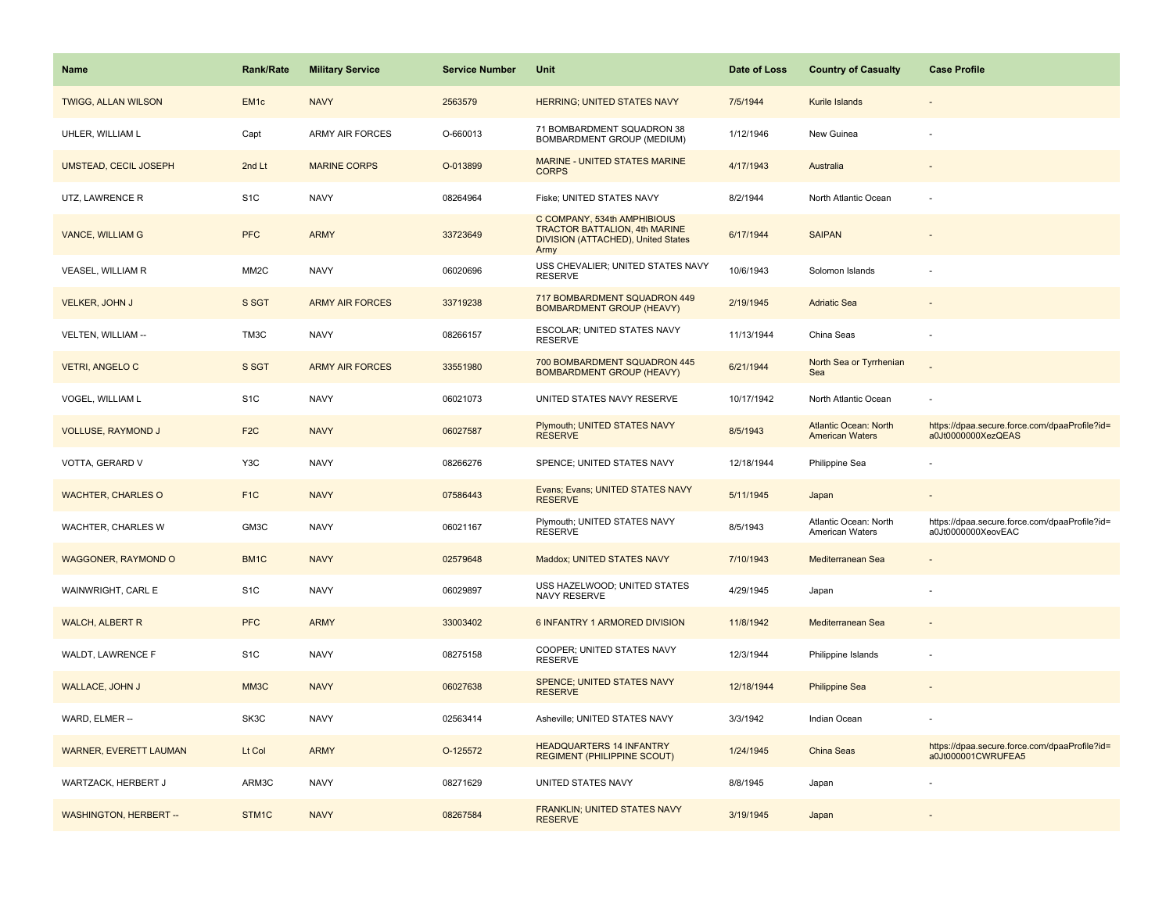| <b>Name</b>                   | <b>Rank/Rate</b>  | <b>Military Service</b> | <b>Service Number</b> | Unit                                                                                                       | Date of Loss | <b>Country of Casualty</b>                             | <b>Case Profile</b>                                                 |
|-------------------------------|-------------------|-------------------------|-----------------------|------------------------------------------------------------------------------------------------------------|--------------|--------------------------------------------------------|---------------------------------------------------------------------|
| <b>TWIGG, ALLAN WILSON</b>    | EM <sub>1</sub> c | <b>NAVY</b>             | 2563579               | <b>HERRING; UNITED STATES NAVY</b>                                                                         | 7/5/1944     | Kurile Islands                                         |                                                                     |
| UHLER, WILLIAM L              | Capt              | <b>ARMY AIR FORCES</b>  | O-660013              | 71 BOMBARDMENT SQUADRON 38<br>BOMBARDMENT GROUP (MEDIUM)                                                   | 1/12/1946    | New Guinea                                             |                                                                     |
| <b>UMSTEAD, CECIL JOSEPH</b>  | 2nd Lt            | <b>MARINE CORPS</b>     | O-013899              | MARINE - UNITED STATES MARINE<br><b>CORPS</b>                                                              | 4/17/1943    | Australia                                              |                                                                     |
| UTZ, LAWRENCE R               | S <sub>1</sub> C  | <b>NAVY</b>             | 08264964              | Fiske; UNITED STATES NAVY                                                                                  | 8/2/1944     | North Atlantic Ocean                                   |                                                                     |
| <b>VANCE, WILLIAM G</b>       | <b>PFC</b>        | <b>ARMY</b>             | 33723649              | C COMPANY, 534th AMPHIBIOUS<br>TRACTOR BATTALION, 4th MARINE<br>DIVISION (ATTACHED), United States<br>Army | 6/17/1944    | <b>SAIPAN</b>                                          |                                                                     |
| VEASEL, WILLIAM R             | MM <sub>2</sub> C | <b>NAVY</b>             | 06020696              | USS CHEVALIER; UNITED STATES NAVY<br><b>RESERVE</b>                                                        | 10/6/1943    | Solomon Islands                                        |                                                                     |
| VELKER, JOHN J                | S SGT             | <b>ARMY AIR FORCES</b>  | 33719238              | 717 BOMBARDMENT SQUADRON 449<br><b>BOMBARDMENT GROUP (HEAVY)</b>                                           | 2/19/1945    | <b>Adriatic Sea</b>                                    |                                                                     |
| VELTEN, WILLIAM --            | TM3C              | <b>NAVY</b>             | 08266157              | ESCOLAR; UNITED STATES NAVY<br><b>RESERVE</b>                                                              | 11/13/1944   | China Seas                                             |                                                                     |
| <b>VETRI, ANGELO C</b>        | S SGT             | <b>ARMY AIR FORCES</b>  | 33551980              | 700 BOMBARDMENT SQUADRON 445<br><b>BOMBARDMENT GROUP (HEAVY)</b>                                           | 6/21/1944    | North Sea or Tyrrhenian<br>Sea                         |                                                                     |
| VOGEL, WILLIAM L              | S <sub>1</sub> C  | <b>NAVY</b>             | 06021073              | UNITED STATES NAVY RESERVE                                                                                 | 10/17/1942   | North Atlantic Ocean                                   |                                                                     |
| <b>VOLLUSE, RAYMOND J</b>     | F <sub>2C</sub>   | <b>NAVY</b>             | 06027587              | Plymouth; UNITED STATES NAVY<br><b>RESERVE</b>                                                             | 8/5/1943     | <b>Atlantic Ocean: North</b><br><b>American Waters</b> | https://dpaa.secure.force.com/dpaaProfile?id=<br>a0Jt0000000XezQEAS |
| VOTTA, GERARD V               | Y3C               | <b>NAVY</b>             | 08266276              | SPENCE; UNITED STATES NAVY                                                                                 | 12/18/1944   | Philippine Sea                                         |                                                                     |
| <b>WACHTER, CHARLES O</b>     | F <sub>1C</sub>   | <b>NAVY</b>             | 07586443              | Evans; Evans; UNITED STATES NAVY<br><b>RESERVE</b>                                                         | 5/11/1945    | Japan                                                  |                                                                     |
| WACHTER, CHARLES W            | GM3C              | <b>NAVY</b>             | 06021167              | Plymouth; UNITED STATES NAVY<br><b>RESERVE</b>                                                             | 8/5/1943     | Atlantic Ocean: North<br>American Waters               | https://dpaa.secure.force.com/dpaaProfile?id=<br>a0Jt0000000XeovEAC |
| <b>WAGGONER, RAYMOND O</b>    | BM1C              | <b>NAVY</b>             | 02579648              | Maddox; UNITED STATES NAVY                                                                                 | 7/10/1943    | Mediterranean Sea                                      |                                                                     |
| WAINWRIGHT, CARL E            | S <sub>1</sub> C  | <b>NAVY</b>             | 06029897              | USS HAZELWOOD; UNITED STATES<br><b>NAVY RESERVE</b>                                                        | 4/29/1945    | Japan                                                  |                                                                     |
| <b>WALCH, ALBERT R</b>        | <b>PFC</b>        | <b>ARMY</b>             | 33003402              | 6 INFANTRY 1 ARMORED DIVISION                                                                              | 11/8/1942    | Mediterranean Sea                                      |                                                                     |
| WALDT, LAWRENCE F             | S <sub>1</sub> C  | <b>NAVY</b>             | 08275158              | COOPER; UNITED STATES NAVY<br><b>RESERVE</b>                                                               | 12/3/1944    | Philippine Islands                                     |                                                                     |
| <b>WALLACE, JOHN J</b>        | MM3C              | <b>NAVY</b>             | 06027638              | SPENCE; UNITED STATES NAVY<br><b>RESERVE</b>                                                               | 12/18/1944   | <b>Philippine Sea</b>                                  |                                                                     |
| WARD, ELMER --                | SK3C              | <b>NAVY</b>             | 02563414              | Asheville; UNITED STATES NAVY                                                                              | 3/3/1942     | Indian Ocean                                           |                                                                     |
| <b>WARNER, EVERETT LAUMAN</b> | Lt Col            | <b>ARMY</b>             | O-125572              | <b>HEADQUARTERS 14 INFANTRY</b><br><b>REGIMENT (PHILIPPINE SCOUT)</b>                                      | 1/24/1945    | China Seas                                             | https://dpaa.secure.force.com/dpaaProfile?id=<br>a0Jt000001CWRUFEA5 |
| WARTZACK, HERBERT J           | ARM3C             | <b>NAVY</b>             | 08271629              | UNITED STATES NAVY                                                                                         | 8/8/1945     | Japan                                                  |                                                                     |
| <b>WASHINGTON, HERBERT --</b> | STM1C             | <b>NAVY</b>             | 08267584              | FRANKLIN; UNITED STATES NAVY<br><b>RESERVE</b>                                                             | 3/19/1945    | Japan                                                  |                                                                     |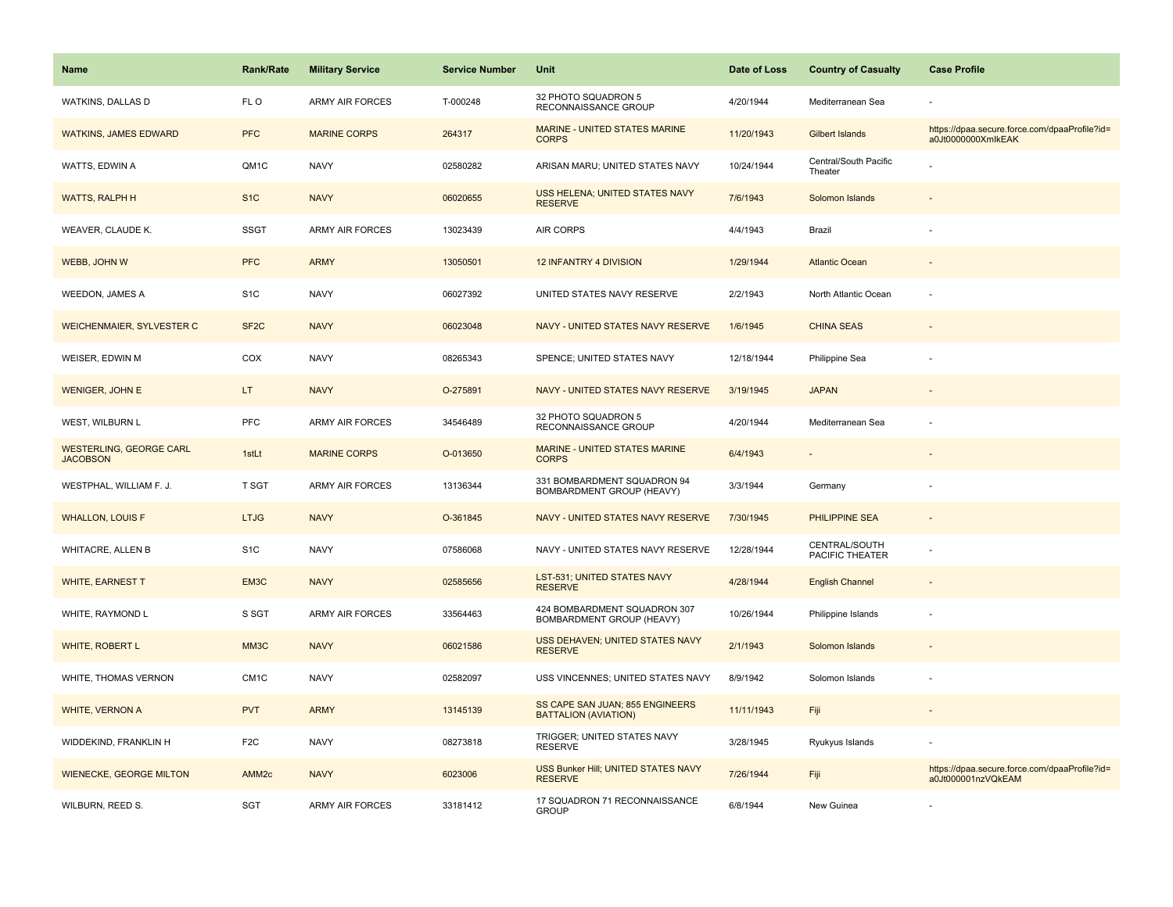| <b>Name</b>                                       | Rank/Rate         | <b>Military Service</b> | <b>Service Number</b> | Unit                                                           | Date of Loss | <b>Country of Casualty</b>       | <b>Case Profile</b>                                                 |
|---------------------------------------------------|-------------------|-------------------------|-----------------------|----------------------------------------------------------------|--------------|----------------------------------|---------------------------------------------------------------------|
| WATKINS, DALLAS D                                 | FL O              | <b>ARMY AIR FORCES</b>  | T-000248              | 32 PHOTO SQUADRON 5<br>RECONNAISSANCE GROUP                    | 4/20/1944    | Mediterranean Sea                |                                                                     |
| <b>WATKINS, JAMES EDWARD</b>                      | <b>PFC</b>        | <b>MARINE CORPS</b>     | 264317                | MARINE - UNITED STATES MARINE<br><b>CORPS</b>                  | 11/20/1943   | Gilbert Islands                  | https://dpaa.secure.force.com/dpaaProfile?id=<br>a0Jt0000000XmlkEAK |
| WATTS, EDWIN A                                    | QM1C              | <b>NAVY</b>             | 02580282              | ARISAN MARU; UNITED STATES NAVY                                | 10/24/1944   | Central/South Pacific<br>Theater |                                                                     |
| <b>WATTS, RALPH H</b>                             | S <sub>1</sub> C  | <b>NAVY</b>             | 06020655              | <b>USS HELENA; UNITED STATES NAVY</b><br><b>RESERVE</b>        | 7/6/1943     | Solomon Islands                  |                                                                     |
| WEAVER, CLAUDE K.                                 | <b>SSGT</b>       | <b>ARMY AIR FORCES</b>  | 13023439              | <b>AIR CORPS</b>                                               | 4/4/1943     | Brazil                           |                                                                     |
| WEBB, JOHN W                                      | <b>PFC</b>        | <b>ARMY</b>             | 13050501              | 12 INFANTRY 4 DIVISION                                         | 1/29/1944    | <b>Atlantic Ocean</b>            |                                                                     |
| <b>WEEDON, JAMES A</b>                            | S <sub>1</sub> C  | <b>NAVY</b>             | 06027392              | UNITED STATES NAVY RESERVE                                     | 2/2/1943     | North Atlantic Ocean             |                                                                     |
| <b>WEICHENMAIER, SYLVESTER C</b>                  | SF <sub>2</sub> C | <b>NAVY</b>             | 06023048              | NAVY - UNITED STATES NAVY RESERVE                              | 1/6/1945     | <b>CHINA SEAS</b>                |                                                                     |
| WEISER, EDWIN M                                   | COX               | <b>NAVY</b>             | 08265343              | SPENCE; UNITED STATES NAVY                                     | 12/18/1944   | Philippine Sea                   |                                                                     |
| <b>WENIGER, JOHN E</b>                            | LT                | <b>NAVY</b>             | O-275891              | NAVY - UNITED STATES NAVY RESERVE                              | 3/19/1945    | <b>JAPAN</b>                     |                                                                     |
| WEST, WILBURN L                                   | PFC               | ARMY AIR FORCES         | 34546489              | 32 PHOTO SQUADRON 5<br>RECONNAISSANCE GROUP                    | 4/20/1944    | Mediterranean Sea                |                                                                     |
| <b>WESTERLING, GEORGE CARL</b><br><b>JACOBSON</b> | 1stLt             | <b>MARINE CORPS</b>     | O-013650              | <b>MARINE - UNITED STATES MARINE</b><br><b>CORPS</b>           | 6/4/1943     |                                  |                                                                     |
| WESTPHAL, WILLIAM F. J.                           | T SGT             | <b>ARMY AIR FORCES</b>  | 13136344              | 331 BOMBARDMENT SQUADRON 94<br>BOMBARDMENT GROUP (HEAVY)       | 3/3/1944     | Germany                          |                                                                     |
| <b>WHALLON, LOUIS F</b>                           | <b>LTJG</b>       | <b>NAVY</b>             | O-361845              | NAVY - UNITED STATES NAVY RESERVE                              | 7/30/1945    | <b>PHILIPPINE SEA</b>            | $\sim$                                                              |
| <b>WHITACRE, ALLEN B</b>                          | S <sub>1</sub> C  | <b>NAVY</b>             | 07586068              | NAVY - UNITED STATES NAVY RESERVE                              | 12/28/1944   | CENTRAL/SOUTH<br>PACIFIC THEATER |                                                                     |
| <b>WHITE, EARNEST T</b>                           | EM3C              | <b>NAVY</b>             | 02585656              | LST-531; UNITED STATES NAVY<br><b>RESERVE</b>                  | 4/28/1944    | <b>English Channel</b>           |                                                                     |
| WHITE, RAYMOND L                                  | S SGT             | <b>ARMY AIR FORCES</b>  | 33564463              | 424 BOMBARDMENT SQUADRON 307<br>BOMBARDMENT GROUP (HEAVY)      | 10/26/1944   | Philippine Islands               |                                                                     |
| WHITE, ROBERT L                                   | MM3C              | <b>NAVY</b>             | 06021586              | USS DEHAVEN; UNITED STATES NAVY<br><b>RESERVE</b>              | 2/1/1943     | Solomon Islands                  |                                                                     |
| WHITE, THOMAS VERNON                              | CM <sub>1</sub> C | <b>NAVY</b>             | 02582097              | USS VINCENNES; UNITED STATES NAVY                              | 8/9/1942     | Solomon Islands                  |                                                                     |
| WHITE, VERNON A                                   | <b>PVT</b>        | <b>ARMY</b>             | 13145139              | SS CAPE SAN JUAN; 855 ENGINEERS<br><b>BATTALION (AVIATION)</b> | 11/11/1943   | Fiji                             |                                                                     |
| WIDDEKIND, FRANKLIN H                             | F <sub>2</sub> C  | <b>NAVY</b>             | 08273818              | TRIGGER; UNITED STATES NAVY<br><b>RESERVE</b>                  | 3/28/1945    | Ryukyus Islands                  |                                                                     |
| <b>WIENECKE, GEORGE MILTON</b>                    | AMM <sub>2c</sub> | <b>NAVY</b>             | 6023006               | USS Bunker Hill; UNITED STATES NAVY<br><b>RESERVE</b>          | 7/26/1944    | Fiji                             | https://dpaa.secure.force.com/dpaaProfile?id=<br>a0Jt000001nzVQkEAM |
| WILBURN, REED S.                                  | SGT               | <b>ARMY AIR FORCES</b>  | 33181412              | 17 SQUADRON 71 RECONNAISSANCE<br><b>GROUP</b>                  | 6/8/1944     | New Guinea                       |                                                                     |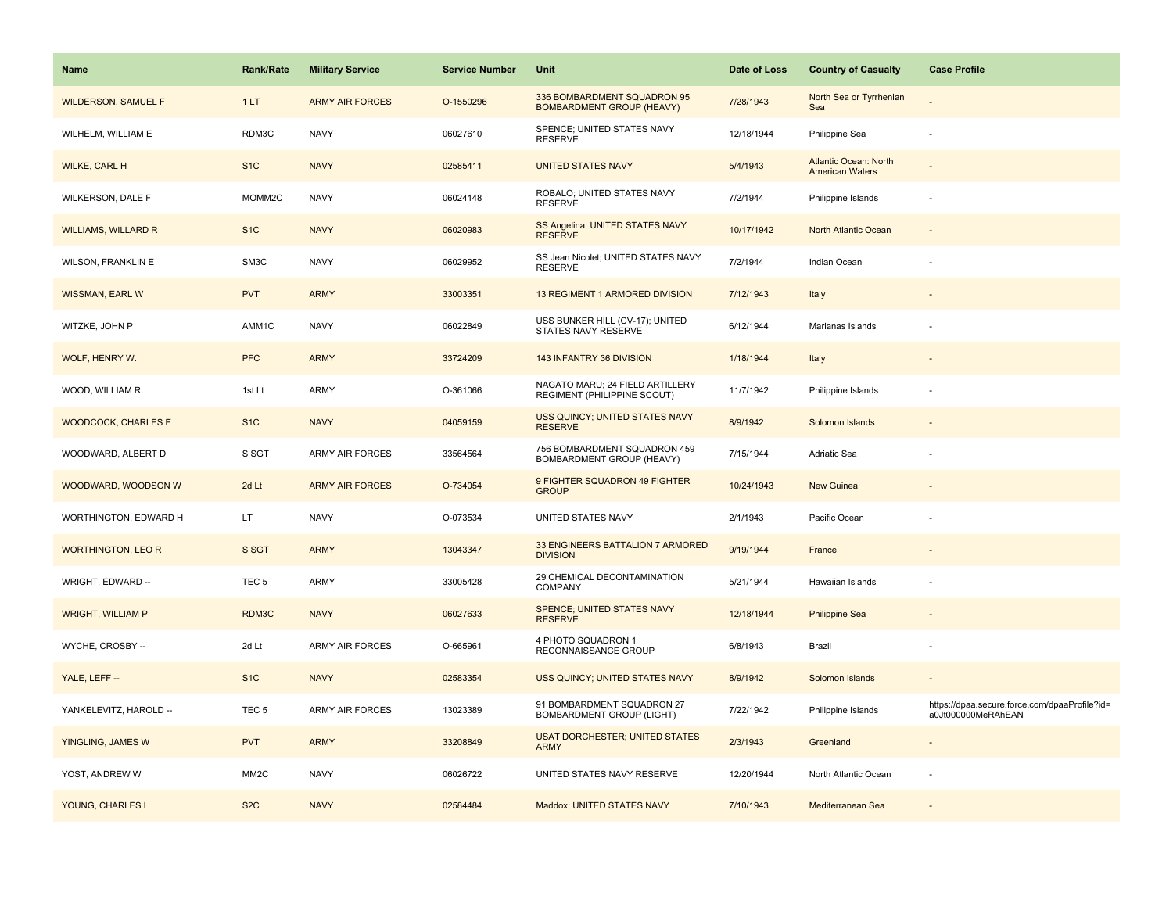| <b>Name</b>                | <b>Rank/Rate</b>  | <b>Military Service</b> | <b>Service Number</b> | Unit                                                            | Date of Loss | <b>Country of Casualty</b>                      | <b>Case Profile</b>                                                 |
|----------------------------|-------------------|-------------------------|-----------------------|-----------------------------------------------------------------|--------------|-------------------------------------------------|---------------------------------------------------------------------|
| <b>WILDERSON, SAMUEL F</b> | 1LT               | <b>ARMY AIR FORCES</b>  | O-1550296             | 336 BOMBARDMENT SQUADRON 95<br><b>BOMBARDMENT GROUP (HEAVY)</b> | 7/28/1943    | North Sea or Tyrrhenian<br>Sea                  |                                                                     |
| WILHELM, WILLIAM E         | RDM3C             | <b>NAVY</b>             | 06027610              | SPENCE; UNITED STATES NAVY<br><b>RESERVE</b>                    | 12/18/1944   | Philippine Sea                                  |                                                                     |
| WILKE, CARL H              | S <sub>1</sub> C  | <b>NAVY</b>             | 02585411              | <b>UNITED STATES NAVY</b>                                       | 5/4/1943     | Atlantic Ocean: North<br><b>American Waters</b> |                                                                     |
| WILKERSON, DALE F          | MOMM2C            | <b>NAVY</b>             | 06024148              | ROBALO; UNITED STATES NAVY<br><b>RESERVE</b>                    | 7/2/1944     | Philippine Islands                              |                                                                     |
| <b>WILLIAMS, WILLARD R</b> | S <sub>1</sub> C  | <b>NAVY</b>             | 06020983              | SS Angelina; UNITED STATES NAVY<br><b>RESERVE</b>               | 10/17/1942   | North Atlantic Ocean                            |                                                                     |
| <b>WILSON, FRANKLIN E</b>  | SM3C              | <b>NAVY</b>             | 06029952              | SS Jean Nicolet; UNITED STATES NAVY<br><b>RESERVE</b>           | 7/2/1944     | Indian Ocean                                    |                                                                     |
| WISSMAN, EARL W            | <b>PVT</b>        | <b>ARMY</b>             | 33003351              | 13 REGIMENT 1 ARMORED DIVISION                                  | 7/12/1943    | Italy                                           |                                                                     |
| WITZKE, JOHN P             | AMM1C             | <b>NAVY</b>             | 06022849              | USS BUNKER HILL (CV-17); UNITED<br>STATES NAVY RESERVE          | 6/12/1944    | Marianas Islands                                |                                                                     |
| WOLF, HENRY W.             | <b>PFC</b>        | <b>ARMY</b>             | 33724209              | 143 INFANTRY 36 DIVISION                                        | 1/18/1944    | Italy                                           |                                                                     |
| WOOD, WILLIAM R            | 1st Lt            | ARMY                    | O-361066              | NAGATO MARU; 24 FIELD ARTILLERY<br>REGIMENT (PHILIPPINE SCOUT)  | 11/7/1942    | Philippine Islands                              |                                                                     |
| <b>WOODCOCK, CHARLES E</b> | S <sub>1</sub> C  | <b>NAVY</b>             | 04059159              | <b>USS QUINCY: UNITED STATES NAVY</b><br><b>RESERVE</b>         | 8/9/1942     | Solomon Islands                                 |                                                                     |
| WOODWARD, ALBERT D         | S SGT             | ARMY AIR FORCES         | 33564564              | 756 BOMBARDMENT SQUADRON 459<br>BOMBARDMENT GROUP (HEAVY)       | 7/15/1944    | Adriatic Sea                                    |                                                                     |
| WOODWARD, WOODSON W        | 2d Lt             | <b>ARMY AIR FORCES</b>  | O-734054              | 9 FIGHTER SQUADRON 49 FIGHTER<br><b>GROUP</b>                   | 10/24/1943   | <b>New Guinea</b>                               |                                                                     |
| WORTHINGTON, EDWARD H      | LT.               | <b>NAVY</b>             | O-073534              | UNITED STATES NAVY                                              | 2/1/1943     | Pacific Ocean                                   |                                                                     |
| <b>WORTHINGTON, LEO R</b>  | S SGT             | <b>ARMY</b>             | 13043347              | 33 ENGINEERS BATTALION 7 ARMORED<br><b>DIVISION</b>             | 9/19/1944    | France                                          |                                                                     |
| WRIGHT, EDWARD --          | TEC <sub>5</sub>  | ARMY                    | 33005428              | 29 CHEMICAL DECONTAMINATION<br><b>COMPANY</b>                   | 5/21/1944    | Hawaiian Islands                                |                                                                     |
| <b>WRIGHT, WILLIAM P</b>   | RDM3C             | <b>NAVY</b>             | 06027633              | <b>SPENCE; UNITED STATES NAVY</b><br><b>RESERVE</b>             | 12/18/1944   | <b>Philippine Sea</b>                           |                                                                     |
| WYCHE, CROSBY --           | 2d Lt             | ARMY AIR FORCES         | O-665961              | 4 PHOTO SQUADRON 1<br>RECONNAISSANCE GROUP                      | 6/8/1943     | Brazil                                          |                                                                     |
| YALE, LEFF --              | S <sub>1C</sub>   | <b>NAVY</b>             | 02583354              | USS QUINCY; UNITED STATES NAVY                                  | 8/9/1942     | Solomon Islands                                 |                                                                     |
| YANKELEVITZ, HAROLD --     | TEC <sub>5</sub>  | ARMY AIR FORCES         | 13023389              | 91 BOMBARDMENT SQUADRON 27<br>BOMBARDMENT GROUP (LIGHT)         | 7/22/1942    | Philippine Islands                              | https://dpaa.secure.force.com/dpaaProfile?id=<br>a0Jt000000MeRAhEAN |
| YINGLING, JAMES W          | <b>PVT</b>        | <b>ARMY</b>             | 33208849              | <b>USAT DORCHESTER; UNITED STATES</b><br><b>ARMY</b>            | 2/3/1943     | Greenland                                       |                                                                     |
| YOST, ANDREW W             | MM <sub>2</sub> C | <b>NAVY</b>             | 06026722              | UNITED STATES NAVY RESERVE                                      | 12/20/1944   | North Atlantic Ocean                            |                                                                     |
| YOUNG, CHARLES L           | S <sub>2</sub> C  | <b>NAVY</b>             | 02584484              | Maddox; UNITED STATES NAVY                                      | 7/10/1943    | Mediterranean Sea                               |                                                                     |